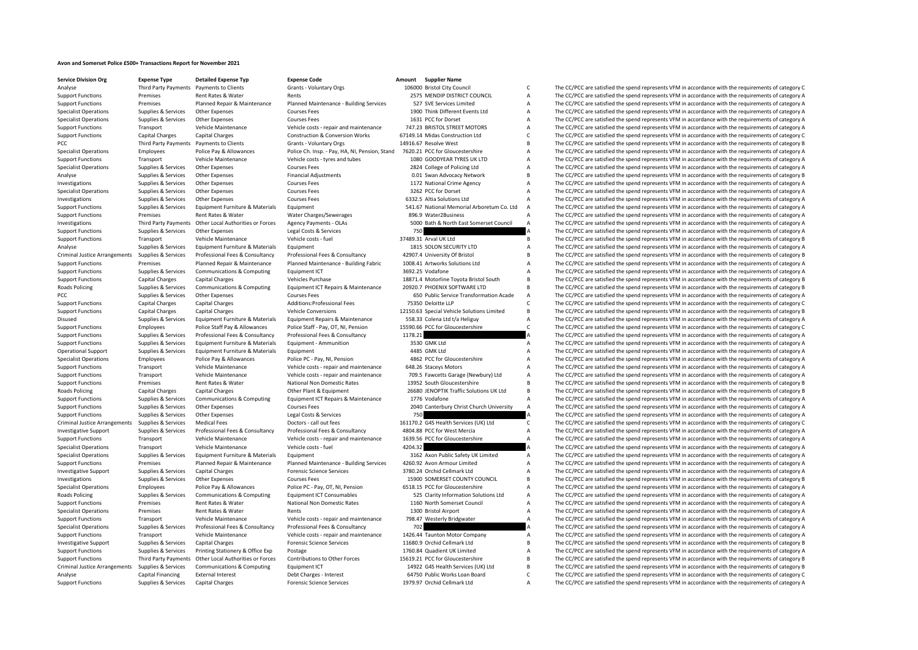## **Avon and Somerset Police £500+ Transactions Report for November 2021**

| <b>Service Division Org</b>                                  | <b>Expense Type</b>            |
|--------------------------------------------------------------|--------------------------------|
| Analyse                                                      | Third Party Paym               |
| <b>Support Functions</b>                                     | Premises                       |
| <b>Support Functions</b>                                     | Premises                       |
| <b>Specialist Operations</b>                                 | Supplies & Servio              |
| <b>Specialist Operations</b>                                 | Supplies & Servio              |
| <b>Support Functions</b>                                     | Transport                      |
| <b>Support Functions</b>                                     | Capital Charges                |
| PCC                                                          | Third Party Paym               |
| <b>Specialist Operations</b>                                 | Employees                      |
| <b>Support Functions</b>                                     | Transport                      |
| <b>Specialist Operations</b>                                 | Supplies & Servio              |
| Analyse                                                      | Supplies & Servio              |
| Investigations                                               | Supplies & Servio              |
| <b>Specialist Operations</b>                                 | Supplies & Servio              |
| Investigations                                               | Supplies & Servio              |
| <b>Support Functions</b><br><b>Support Functions</b>         | Supplies & Servio<br>Premises  |
| Investigations                                               | Third Party Paym               |
| <b>Support Functions</b>                                     | Supplies & Servio              |
| <b>Support Functions</b>                                     | Transport                      |
| Analyse                                                      | Supplies & Servio              |
| <b>Criminal Justice Arrangements</b>                         | Supplies & Servio              |
| <b>Support Functions</b>                                     | Premises                       |
| <b>Support Functions</b>                                     | Supplies & Servio              |
| <b>Support Functions</b>                                     | Capital Charges                |
| <b>Roads Policing</b>                                        | Supplies & Servio              |
| PCC                                                          | Supplies & Servio              |
| <b>Support Functions</b>                                     | Capital Charges                |
| <b>Support Functions</b>                                     | Capital Charges                |
| Disused                                                      | Supplies & Servio              |
| <b>Support Functions</b>                                     | Employees                      |
| <b>Support Functions</b>                                     | Supplies & Servio              |
| <b>Support Functions</b>                                     | Supplies & Servio              |
| <b>Operational Support</b>                                   | Supplies & Servio              |
| <b>Specialist Operations</b>                                 | Employees                      |
| <b>Support Functions</b>                                     | Transport                      |
| <b>Support Functions</b>                                     | Transport                      |
| <b>Support Functions</b>                                     | Premises                       |
| <b>Roads Policing</b>                                        | Capital Charges                |
| <b>Support Functions</b>                                     | Supplies & Servio              |
| <b>Support Functions</b>                                     | Supplies & Servio              |
| <b>Support Functions</b>                                     | Supplies & Servio              |
| <b>Criminal Justice Arrangements</b>                         | Supplies & Servio              |
| <b>Investigative Support</b>                                 | Supplies & Servio              |
| <b>Support Functions</b>                                     | Transport                      |
| <b>Specialist Operations</b><br><b>Specialist Operations</b> | Transport<br>Supplies & Servio |
| <b>Support Functions</b>                                     | Premises                       |
| <b>Investigative Support</b>                                 | Supplies & Servio              |
| Investigations                                               | Supplies & Servio              |
| <b>Specialist Operations</b>                                 | Employees                      |
| <b>Roads Policing</b>                                        | Supplies & Servio              |
| <b>Support Functions</b>                                     | Premises                       |
| <b>Specialist Operations</b>                                 | Premises                       |
| <b>Support Functions</b>                                     | Transport                      |
| <b>Specialist Operations</b>                                 | Supplies & Servio              |
| <b>Support Functions</b>                                     | Transport                      |
| <b>Investigative Support</b>                                 | Supplies & Servio              |
| <b>Support Functions</b>                                     | Supplies & Servio              |
| <b>Support Functions</b>                                     | Third Party Paym               |
| <b>Criminal Justice Arrangements</b>                         | Supplies & Servio              |
| Analyse                                                      | Capital Financing              |
|                                                              |                                |

**Service Division Code Code Buyense Code Condensity Condense Type**<br> **Service Clients Amount Critical City Countains Organized City Condense 106000 Bristol City Countains Amount** 

|    |         | 106000 Bristol City Council                                  |
|----|---------|--------------------------------------------------------------|
|    |         | 2575 MENDIP DISTRICT COUNCIL                                 |
|    |         | 527 SVE Services Limited                                     |
|    |         | 1900 Think Different Events Ltd                              |
|    |         | 1631 PCC for Dorset                                          |
|    |         | 747.23 BRISTOL STREET MOTORS                                 |
|    |         | 67149.14 Midas Construction Ltd                              |
|    |         | 14916.67 Resolve West                                        |
| ıd |         | 7620.21 PCC for Gloucestershire                              |
|    |         | 1080 GOODYEAR TYRES UK LTD                                   |
|    |         | 2824 College of Policing Ltd                                 |
|    |         | 0.01 Swan Advocacy Network                                   |
|    |         | 1172 National Crime Agency                                   |
|    |         | 3262 PCC for Dorset                                          |
|    |         | 6332.5 Altia Solutions Ltd                                   |
|    |         | 541.67 National Memorial Arboretum Co. Ltd                   |
|    |         | 896.9 Water2Business                                         |
|    |         | 5000 Bath & North East Somerset Council                      |
|    | 750     |                                                              |
|    |         | 37489.31 Arval UK Ltd                                        |
|    |         | 1815 SOLON SECURITY LTD                                      |
|    |         | 42907.4 University Of Bristol                                |
|    |         | 1008.41 Artworks Solutions Ltd                               |
|    |         | 3692.25 Vodafone                                             |
|    |         | 18871.4 Motorline Toyota Bristol South                       |
|    |         | 20920.7 PHOENIX SOFTWARE LTD                                 |
|    |         | 650 Public Service Transformation Acade                      |
|    |         | 75350 Deloitte LLP                                           |
|    |         | 12150.63 Special Vehicle Solutions Limited                   |
|    |         | 558.33 Colena Ltd t/a Heliguy                                |
|    |         | 15590.66 PCC for Gloucestershire                             |
|    | 1178.21 |                                                              |
|    |         |                                                              |
|    |         |                                                              |
|    |         | 3530 GMK Ltd                                                 |
|    |         | 4485 GMK Ltd                                                 |
|    |         | 4862 PCC for Gloucestershire                                 |
|    |         | 648.26 Staceys Motors                                        |
|    |         | 709.5 Fawcetts Garage (Newbury) Ltd                          |
|    |         | 13952 South Gloucestershire                                  |
|    |         | 26680 JENOPTIK Traffic Solutions UK Ltd                      |
|    |         | 1776 Vodafone                                                |
|    |         | 2040 Canterbury Christ Church University                     |
|    | 750     |                                                              |
|    |         | 161170.2 G4S Health Services (UK) Ltd                        |
|    |         | 4804.88 PCC for West Mercia                                  |
|    |         | 1639.56 PCC for Gloucestershire                              |
|    | 4204.32 |                                                              |
|    |         | 3162 Axon Public Safety UK Limited                           |
|    |         | 4260.92 Avon Armour Limited                                  |
|    |         | 3780.24 Orchid Cellmark Ltd                                  |
|    |         | 15900 SOMERSET COUNTY COUNCIL                                |
|    |         | 6518.15 PCC for Gloucestershire                              |
|    |         | 525 Clarity Information Solutions Ltd                        |
|    |         | 1160 North Somerset Council                                  |
|    |         | 1300 Bristol Airport                                         |
|    |         | 798.47 Westerly Bridgwater                                   |
|    | 702     |                                                              |
|    |         | 1426.44 Taunton Motor Company                                |
|    |         | 11680.9 Orchid Cellmark Ltd                                  |
|    |         | 1760.84 Quadient UK Limited                                  |
|    |         | 15619.21 PCC for Gloucestershire                             |
|    |         | 14922 G4S Health Services (UK) Ltd                           |
|    |         | 64750 Public Works Loan Board<br>1979.97 Orchid Cellmark Ltd |

Payments to Clients Clients Grants - Voluntary Orgs 106000 Bristol City Council Council C The CC/PCC are satisfied the spend represents VFM in accordance with the requirements of category C 106000 Bristol City Council C Th SUPPORT FUNCTIONS PREMISES RENDIP DISTRICT COUNCIL A The CC/PCC are satisfied the spend represents VFM in accordance with the requirements of category A Planned Repair & Maintenance Planned Maintenance - Building Services 527 SVE Services Limited A The CC/PCC are satisfied the spend represents VFM in accordance with the requirements of category A The CC/PCC are satisfied t Specialist Operations Courses Fees and the Specialist Other Events Ltd A The CC/PCC are satisfied the spend represents VFM in accordance with the requirements of category A 1900 Think Different Events Ltd A The CC/PCC are The CC/PCC are satisfied the spend represents VEM in accordance with the requirements of category A Vehicle costs - repair and maintenance 747.23 BRISTOL STREET MOTORS A The CC/PCC are satisfied the spend represents VFM in accordance with the requirements of category A Support Functions Construction & Conversion Works 67149.14 Midas Construction Ltd Construction Ltd COPCC are satisfied the spend represents VFM in accordance with the requirements of category C 14916.67 Resolve West Suppor Payments to Clients Clients Grants - Voluntary Orgs 14916.67 Resolve West B The CC/PCC are satisfied the spend represents VFM in accordance with the requirements of category B<br>Police Pay & Allowances Police Ch. Insp. - Pay Police Ch. Insp. - Pay, HA, NI, Pension, Stand 7620.21 PCC for Gloucestershire and the CO/PCC are satisfied the spend represents VFM in accordance with the requirements of category A<br>Vehicle costs - tyres and tubes 1080 GO Vehicle Maintenance Vehicle costs - tyres and tubes 1080 GOODYEAR TYRES UK LTD A The CC/PCC are satisfied the spend represents VFM in accordance with the requirements of category A<br>
2824 Courses 1080 SOODYEAR TYRES UK LTD ices Other Expenses 2024 Courses Fees 2824 College of Policing Ltd A The CC/PCC are satisfied the spend represents VFM in accordance with the requirements of category A ices Other Expenses Supplies Supplies Supplies Supplies Other Expenses Courses Financial Adjustments of category B Courses Fees Supplies Courses Fees Supplies Courses Fees Supplies 1172 National Crime Agency A The CC/PCC a Investigations Supplies & Services Other Expenses Courses Fees 1172 National Crime Agency A The CC/PCC are satisfied the spend represents VFM in accordance with the requirements of category A The CC/PCC are satisfied the spend represents VFM in accordance with the requirements of category A Investigations Supplies & Services Other Expenses Courses Fees 6332.5 Altia Solutions Ltd A The CC/PCC are satisfied the spend represents VFM in accordance with the requirements of category A ces Equipment Furniture & Materials Equipment **Functions Co. Exercices** 541.67 National Memorial Arboretum Co. Ltd A The CC/PCC are satisfied the spend represents VFM in accordance with the requirements of category A Rent Rates & Water Water Charges/Sewerages 896.9 Water2Business A The CC/PCC are satisfied the spend represents VFM in accordance with the requirements of category A SOOD Bath & North East Somerset Council A The CC/PCC are The CC/PCC are satisfied the spend represents VEM in accordance with the requirements of category A SUPPORT FUNCTIONS SUPPORT THE CC/PCC are satisfied the spend represents VFM in accordance with the requirements of category A<br>A The CC/PCC are satisfied the spend represents VFM in accordance with the requirements of categ Vehicle Maintenance Vehicle costs - fuel 37489.31 Arval UK Ltd B The CC/PCC are satisfied the spend represents VFM in accordance with the requirements of category B a The CC/PCC are satisfied the spend represents VFM in ac ices Equipment Furniture & Materials Equipment exercices Equipment and the SOLON SECURITY LTD and The CC/PCC are satisfied the spend represents VFM in accordance with the requirements of category A analysis of category A a Professional Fees & Consultancy and the category B and the CC/PCC are satisfied the spend represents VFM in accordance with the requirements of category B<br>Planned Maintenance - Building Fabric and Ray and A artworks Soluti Planned Repair & Maintenance Planned Maintenance - Building Fabric 1008.41 Artworks Solutions Ltd A The CC/PCC are satisfied the spend represents VFM in accordance with the requirements of category A<br>Communications & Compu ices Communications & Computing Founcement ICT 3692.25 Vodafone 3692.25 Vodafone A The CC/PCC are satisfied the spend represents VFM in accordance with the requirements of category A Capital Charges Capital Charges Capital Charges Capital Charges Capital Charges Vehicles Purchase 18871.4 Motorline Toyota Bristol South B The CC/PCC are satisfied the spend represents VFM in accordance with the requiremen ices Communications & Computing Equipment ICT Repairs & Maintenance 20920.7 PHOENIX SOFTWARE LTD B The CC/PCC are satisfied the spend represents VFM in accordance with the requirements of category B<br>Courses Fees Courses Fe ices Other Expenses Courses Fees Courses Fees 650 Public Service Transformation Acade A The CC/PCC are satisfied the spend represents VFM in accordance with the requirements of category A Capital Chapter at A Courses Fees Capital Charges Capital Charges Additions:Professional Fees 75350 Deloitte LLP C The CC/PCC are satisfied the spend represents VFM in accordance with the requirements of category C Capital Charges Vehicle Conversions Capital Charges Capital Charges Vehicle Conversions 12150.63 Special Vehicle Solutions Limited B The CC/PCC are satisfied the spend represents VFM in accordance with the requirements of Equipment Furniture & Materials Equipment Repairs & Maintenance 558.33 Colena Ltd t/a Heliguy A The CC/PCC are satisfied the spend represents VFM in accordance with the requirements of category A Police Staff - Pav. OT. NJ Police Staff - Pay. OT. NI. Pension 25590.66 PCC for Gloucestershire CC The CC/PCC are satisfied the spend represents VFM in accordance with the requirements of category C Support Functions Support Functions Support Functions Support Transmitted Transmitted Transmitted Transmitted Transmitted Transmitted Transmitted Transmitted Transmitted Transmitted Transmitted Transmitted Transmitted Tran ices Equipment Furniture & Materials Equipment - Ammunition 3530 GMK Ltd 3530 GMK Ltd A The CC/PCC are satisfied the spend represents VFM in accordance with the requirements of category A 4455 GMK Ltd 4485 GMK Ltd A The CC Operational Support Supplies & Services Equipment Furniture & Materials Equipment 4485 GMK Ltd A The CC/PCC are satisfied the spend represents VFM in accordance with the requirements of category A Police Pay & Allowances Police PC - Pay, NI, Pension 4862 PCC for Gloucestershire A The CC/PCC are satisfied the spend represents VFM in accordance with the requirements of category A Vehicle Instead of category A The CC/P Vehicle Maintenance Vehicle costs - repair and maintenance 648.26 Staceys Motors A The CC/PCC are satisfied the spend represents VFM in accordance with the requirements of category A Vehicle costs - repair and maintenance Vehicle Maintenance Vehicle costs - repair and maintenance 709.5 Fawcetts Garage (Newbury) Ltd A The CC/PCC are satisfied the spend represents VFM in accordance with the requirements of category A the Spend Rent Rates & Wa B The CC/PCC are satisfied the spend represents VFM in accordance with the requirements of category B Capital Charges Policing Capital Charges Capital Charges Capital Charges Capital Charges Capital Charges Capital Charges Capital Charges Capital Charges Other Plant & Equipment 26680 JENOPTIK Traffic Solutions UK Ltd B The ices Communications & Computing Equipment ICT Repairs & Maintenance 1776 Vodafone A The CC/PCC are satisfied the spend represents VFM in accordance with the requirements of category A Costage Support Functions Courses Fees 2000 Canterbury Christ Church University A The CC/PCC are satisfied the spend represents VFM in accordance with the requirements of category A ices Other Expenses 2003 (Services Category A The CC/PCC are satisfied the spend represents VFM in accordance with the requirements of category A The CC/PCC are satisfied the spend represents VFM in accordance with the re ices Medical Fees experiments of category C and Doctors - call out fees and these and the spend represents of category C are attached the spend represents VFM in accordance with the requirements of category C are a media a ces Professional Fees & Consultancy Professional Fees & Consultancy 4804.88 PCC for West Mercia A The CC/PCC are satisfied the spend represents VFM in accordance with the requirements of category A Vehicle Maintenance Vehicle costs - repair and maintenance 1639.56 PCC for Gloucestershire A The CC/PCC are satisfied the spend represents VFM in accordance with the requirements of category A Vehicle Maintenance Vehicle costs fuel 4204.32 A The CC/PCC are satisfied the spend represents VFM in accordance with the requirements of category A The CC/PCC are satisfied the spend represents VFM in accordance with the Specialist Operations Coperations Suppliers Supplies The CC/PCC are satisfied the spend represents VFM in accordance with the requirements of category A The CC/PCC are satisfied the spend represents VFM in accordance with Planned Repair & Maintenance Planned Maintenance - Building Services 4260.92 Avon Armour Limited Maintenance And The CC/PCC are satisfied the spend represents VFM in accordance with the requirements of category A<br>Capital C Investigative Support Support Support Support Support Communicative Communicative Support Support Support Support Support Support Support Support Support Support Support Support Support Support Support Support Support Supp Investigations Supplies & Services Other Expenses Courses Fees 15900 SOMERSET COUNTY COUNCIL B The CC/PCC are satisfied the spend represents VFM in accordance with the requirements of category B Police Pay & Allowances Police PC - Pay, OT, NI, Pension 6518.15 PCC for Gloucestershire A The CC/PCC are satisfied the spend represents VFM in accordance with the requirements of category A Communications & Computing Equipment ICT Consumables 525 Clarity Information Solutions Ltd A The CC/PCC are satisfied the spend represents VFM in accordance with the requirements of category A<br>Repri Bates National Non Dome Support Functions Premises Additional Non Domestic Rates and Rates and The CC/PCC are satisfied the spend represents VFM in accordance with the requirements of category A The CC/PCC are satisfied the spend represents VFM i Special Airport CC/PCC are satisfied the spend represents VFM in accordance with the requirements of category A The CC/PCC are satisfied the spend represents VFM in accordance with the requirements of category A Vehicle Maintenance Vehicle costs - repair and maintenance 798.47 Westerly Bridgwater A The CC/PCC are satisfied the spend represents VFM in accordance with the requirements of category A The CC/PCC are satisfied the spend Professional Fees & Consultancy Professional Fees & Consultancy 702 **A** The CC/PCC are satisfied the spend represents VFM in accordance with the requirements of category A<br>Vehicle constance 1426.44 Taunton Motor Company A A The CC/PCC are satisfied the spend represents VFM in accordance with the requirements of category A ices Capital Charges Support Support Support Support Capital Cellmark Ltd B The CC/PCC are satisfied the spend represents VFM in accordance with the requirements of category B and the requirements of category B ices Printing Stationery & Office Exp Postage Postage Printing Stategory A 1760.84 Quadient UK Limited A The CC/PCC are satisfied the spend represents VFM in accordance with the requirements of category A 15619.21 PCC for B The CC/PCC are satisfied the spend represents VFM in accordance with the requirements of category B ices Communications & Computing Equipment ICT **1992 645 Health Services (UK)** Ltd B The CC/PCC are satisfied the spend represents VFM in accordance with the requirements of category B<br>For the Communication of the Computer Analyse Capital Financing External Interest Debt Charges - Interest 64750 Public Works Loan Board C The CC/PCC are satisfied the spend represents VFM in accordance with the requirements of category C Support Functions Supplies & Services Capital Charges Forensic Science Services 1979.97 Orchid Cellmark Ltd A The CC/PCC are satisfied the spend represents VFM in accordance with the requirements of category A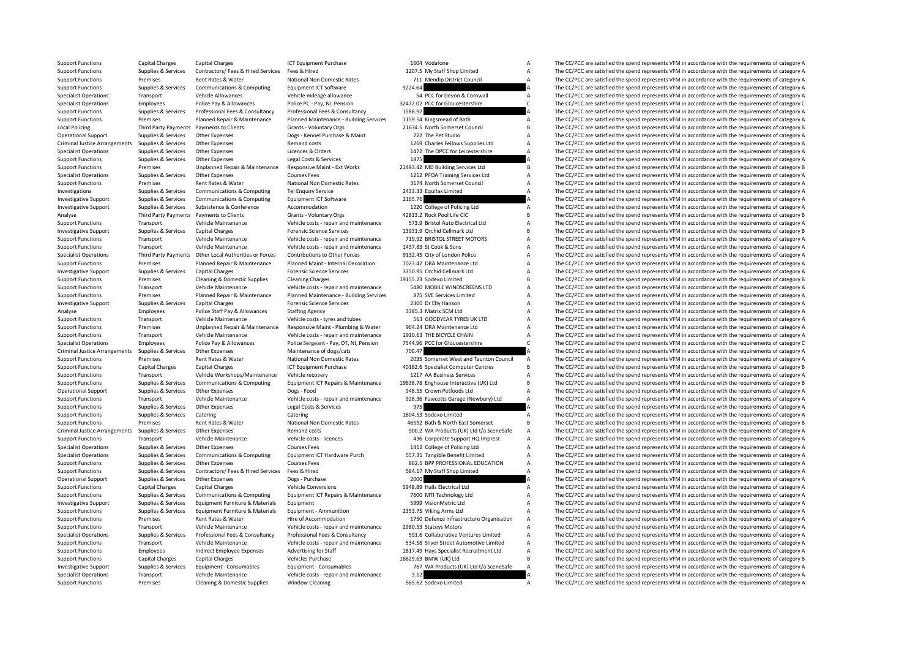|                | 1604 Vodatone                            | А        |
|----------------|------------------------------------------|----------|
|                | 1207.5 My Staff Shop Limited             | A        |
|                | 711 Mendip District Council              | Δ        |
| 9224.64        |                                          | A        |
|                | 54 PCC for Devon & Cornwall              | A        |
|                | 2472.02 PCC for Gloucestershire          | C        |
| 1588.92        |                                          | A        |
|                | 1159.54 Kingsmead of Bath                | A        |
|                | 21634.5 North Somerset Council           | B        |
|                |                                          | $\Delta$ |
|                | 722 The Pet Studio                       |          |
|                | 1269 Charles Fellows Supplies Ltd        | A        |
|                | 1472 The OPCC for Leicestershire         | A        |
| 1875           |                                          | A        |
|                | 1493.42 MD Building Services Ltd         | В        |
|                | 1212 PFOA Training Services Ltd          | Δ        |
|                | 3174 North Somerset Council              | A        |
|                | 2433.33 Equifax Limited                  | A        |
| 2165.76        |                                          | A        |
|                | 1220 College of Policing Ltd             | A        |
|                | 42813.2 Rock Pool Life CIC               | B        |
|                | 573.9 Bristol Auto Electrical Ltd        | A        |
|                | 13931.9 Orchid Cellmark Ltd              | R        |
|                | 719.92 BRISTOL STREET MOTORS             | A        |
|                | 1437.83 SJ Cook & Sons                   | A        |
|                | 9132.45 City of London Police            | A        |
|                | 7023.42 DRA Maintenance Ltd              |          |
|                |                                          | А        |
|                | 3350.95 Orchid Cellmark Ltd              | Δ        |
|                | 9155.23 Sodexo Limited                   | B        |
|                | 5480 MOBILE WINDSCREENS LTD              | A        |
|                | 875 SVE Services Limited                 | A        |
|                | 2300 Dr Elly Hanson                      | A        |
|                | 3385.3 Matrix SCM Ltd                    | $\Delta$ |
|                | 563 GOODYEAR TYRES UK LTD                | A        |
|                | 964.24 DRA Maintenance Ltd               | A        |
|                | 1910.63 THE BICYCLE CHAIN                | A        |
|                | 7544.96 PCC for Gloucestershire          | C        |
| 700.47         |                                          | A        |
|                | 2035 Somerset West and Taunton Council   | A        |
|                | 40182.6 Specialist Computer Centres      | B        |
|                | 1217 AA Business Services                | $\Delta$ |
|                | 9638.78 Enghouse Interactive (UK) Ltd    | B        |
|                | 948.55 Crown Petfoods Ltd                | A        |
|                | 926.36 Fawcetts Garage (Newbury) Ltd     | A        |
| 975            |                                          | A        |
|                |                                          |          |
|                | 1604.53 Sodexo Limited                   | A        |
|                | 46592 Bath & North East Somerset         | B        |
|                | 900.2 WA Products (UK) Ltd t/a SceneSafe | $\Delta$ |
|                | 436 Corporate Support HQ Imprest         | A        |
|                | 1412 College of Policing Ltd             | A        |
|                | 557.31 Tangible Benefit Limited          | A        |
|                | 862.5 BPP PROFESSIONAL EDUCATION         | A        |
|                | 584.17 My Staff Shop Limited             | A        |
| 2000           |                                          | A        |
|                | 5948.89 Halls Electrical Ltd             | A        |
|                | 7600 MTI Technology Ltd                  | A        |
|                | 5999 VisionMetric Ltd                    | A        |
|                | 2353.75 Viking Arms Ltd                  | A        |
|                | 1750 Defence Infrastructure Organisation | A        |
|                | 2980.53 Staceys Motors                   | A        |
|                | 591.6 Collaborative Ventures Limited     | A        |
|                | 534.58 Silver Street Automotive Limited  | A        |
|                | 1817.49 Hays Specialist Recruitment Ltd  | A        |
|                | 6629.63 BMW (UK) Ltd                     |          |
|                |                                          | В<br>A   |
|                | 767 WA Products (UK) Ltd t/a SceneSafe   |          |
| 3.12<br>ECE CO | Codovo Limitod                           | A        |
|                |                                          |          |

Support Functions Capital Charges Capital Charges ICT Foulyment Purchase 1604 Vodafone A The CC/PCC are satisfied the spend represents VFM in accordance with the requirements of category A Support Functions Supplies & Services Contractors/ Fees & Hired Services Fees & Hired 1207.5 My Staff Shop Limited A The CC/PCC are satisfied the spend represents VFM in accordance with the requirements of category A Suppo Support Functions Premises Rent Rates & Water National Non Domestic Rates 711 Mendip District Council A The CC/PCC are satisfied the spend represents VFM in accordance with the requirements of category A<br>Support Functions Support Functions & Computing Equipment ICT Software 9224.64 9224.64 A The CC/PCC are satisfied the spend represents VFM in accordance with the requirements of category A<br>1994 PCC for Devon & Cornwall A The CC/PCC are sati Specialist Operations Transport Vehicle Allowances Vehicle mileage allowance S4 PCC for Devon & Cornwall A The CC/PCC are satisfied the spend represents VFM in accordance with the requirements of category A Specialist Operations Employees Police Pay & Allowances Police PC - Pay, NI, Pension 32472.02 PCC for Gloucestershire C The CC/PCC are satisfied the spend represents VFM in accordance with the requirements of category C Su Support Functions Supplies & Services Professional Fees & Consultancy Professional Fees & Consultancy 1588.92 **A** The CC/PCC are satisfied the spend represents VFM in accordance with the requirements of category A<br>Support Support Functions Planned Repair - Ann and Maintenance Planned Maintenance - Building Services 1159.<br>The CC/PCC are satisfied the spend represents VFM in accordance with the requirements of category A Local Policing Third Party Payments Payments to Clients Grants - Voluntary Orgs 21634.5 North Somerset Council B The CC/PCC are satisfied the spend represents VFM in accordance with the requirements of category B Operational Support Supplies & Services Other Expenses Dogs - Kennel Purchase & Maint 722 The Pet Studio A The CC/PCC are satisfied the spend represents VFM in accordance with the requirements of category A Criminal Justic Criminal Justice Arrangements Supplies & Services Other Expenses Remand costs Remand costs Remand costs 1269 Charles Fellows Supplies Ltd A The CC/PCC are satisfied the spend represents VFM in accordance with the requireme Species A Orders Contents Of category A The CC/PCC are satisfied the spend represents VFM in accordance with the requirements of category A The CC/PCC are satisfied the spend represents VFM in accordance with the requireme Support Functions Supplies & Services Other Expenses Legal Costs & Services 1875 A The CC/PCC are satisfied the spend represents VFM in accordance with the requirements of category A Support Functions Premises Unplanned Re Support Functions Premises Unplanned Repair & Maintenance Responsive Maint - Ext Works 21493.42 MD Building Services Ltd B The CC/PCC are satisfied the spend represents VFM in accordance with the requirements of category B Specialist Operations Supplies & Services Other Expenses Courses Fees Courses Fees 1212 PFOA Training Services Ltd A The CC/PCC are satisfied the spend represents VFM in accordance with the requirements of category A Suppo Support Functions Premises Rent Rates & Water National Non Domestic Rates 3174 North Somerset Council A The CC/PCC are satisfied the spend represents VFM in accordance with the requirements of category A Investigations of The CC/PCC are satisfied the spend represents VFM in accordance with the requirements of category A Investigative Support Supplies & Services Communications & Computing Equipment ICT Software 2165.76 2007 2001 2016 2017 A The CC/PCC are satisfied the spend represents VFM in accordance with the requirements of category A Investigative Support Supplies & Services Subsistence & Conference Accommodation Accommodation 1220 College of Policing Ltd A The CC/PCC are satisfied the spend represents VFM in accordance with the requirements of categor Analyse Third Party Payments Payments to Clients Grants - Voluntary Orgs 42813.2 Rock Pool Life CIC B The CC/PCC are satisfied the spend represents VFM in accordance with the requirements of category B Vehicle Analyse Vehi Support Functions Transport Transport - repairs Vehicle Maintenance Costs - represents - represents VFM in accordance with the requirements of category A Investigative Support Supplies & Services Capital Charges Forensic Science Services 13931.9 Orchid Cellmark Ltd B The CC/PCC are satisfied the spend represents VFM in accordance with the requirements of category B Support Functions Transport Vehicle Maintenance Vehicle costs - repair and maintenance 719.92 BRISTOL STREET MOTORS A The CC/PCC are satisfied the spend represents VFM in accordance with the requirements of category A Supp Support Functions Transport Vehicle Maintenance Vehicle costs - repair and maintenance 1437.83 SJ Cook & Sons A The CC/PCC are satisfied the spend represents VFM in accordance with the requirements of category A Specialist The CC/PCC are satisfied the spend represents VFM in accordance with the requirements of category A Support Functions Premises Planned Repair & Maintenance Planned Maint - Internal Decoration 7023.42 DRA Maintenance Ltd A The CC/PCC are satisfied the spend represents VFM in accordance with the requirements of category A Investigative Support Supplies & Services Capital Charges Forensic Science Services 3350.95 Orchid Cellmark Ltd A The CC/PCC are satisfied the spend represents VFM in accordance with the requirements of category A Support Functions Premises Cleaning & Domestic Supplies Cleaning Charges 19155.23 Sodexo Limited B The CC/PCC are satisfied the spend represents VFM in accordance with the requirements of category B Vehicle costs repair an Support Functions Transport Vehicle Maintenance Vehicle costs - repair and maintenance 5480 MOBILE WINDSCREENS LTD A The CC/PCC are satisfied the spend represents VFM in accordance with the requirements of category A<br>Suppo Premises Planned Repair & Maintenance Planned Maintenance - Building Services 875 SVF Services Limited A The CC/PCC are satisfied the spend represents VFM in accordance with the requirements of category A Investigative Support Supplies & Services Capital Charges **Proportive Services** Forensic Science Services 2300 Dr Elly Hanson A The CC/PCC are satisfied the spend represents VFM in accordance with the requirements of categ Analyse Employees Police Staff Pay & Allowances Staffing Agency 3385.3 Matrix SCM Ltd A The CC/PCC are satisfied the spend represents VFM in accordance with the requirements of category A Support Functions Transport Vehicle Maintenance Vehicle costs - tyres and tubes 563 GOODYEAR TYRES UK LTD A The CC/PCC are satisfied the spend represents VFM in accordance with the requirements of category A Support Functi Support Functions Premises Unplanned Repair & Maintenance Responsive Maint - Plumbing & Water 964.24 DRA Maintenance Ltd A The CC/PCC are satisfied the spend represents VFM in accordance with the requirements of category A Support Functions Transport Vehicle Maintenance Vehicle costs - repair and maintenance 1910.63 THE BICYCLE CHAIN A The CC/PCC are satisfied the spend represents VFM in accordance with the requirements of category A Specialist Operations Employees Police Pay & Allowances Police Sergeant - Pay, OT, NI, Pension 7544.96 PCC for Gloucestershire CC The CC/PCC are satisfied the spend represents VFM in accordance with the requirements of cat Criminal Justice Arrangements Supplies & Services Other Expenses Maintenance of dogs/cats Maintenance of dogs/cats 700.47 700.47 A The CC/PCC are satisfied the spend represents VFM in accordance with the requirements of ca Support Functions Premises Rent Rates & Water National Non Domestic Rates 2035 Somerset West and Taunton Council A The CC/PCC are satisfied the spend represents VFM in accordance with the requirements of category A Support Support Functions Capital Charges Capital Charges Capital Charges ICT Equipment Purchase 40182.6 Specialist Computer Centres B The CC/PCC are satisfied the spend represents VFM in accordance with the requirements of catego Vehicle Workshops/Maintenance Vehicle recovery 1217 AA Business Services A The CC/PCC are satisfied the spend represents VFM in accordance with the requirements of category A Communications & Computing Equipment ICT Repair Support Functions Supplies & Services Communications & Computing Equipment ICT Repairs & Maintenance 19638.78 Enghouse Interactive (UK) Ltd B The CC/PCC are satisfied the spend represents VFM in accordance with the require Operational Support Supplies & Services Other Expenses Dogs - Food Dogs - Food 948.55 Crown Petfoods Ltd A The CC/PCC are satisfied the spend represents VFM in accordance with the requirements of category A Support Support Support Functions Transport Vehicle Maintenance Vehicle costs - repair and maintenance 926.36 Fawcetts Garage (Newbury) Ltd A The CC/PCC are satisfied the spend represents VFM in accordance with the requirements of categor Support Functions Supplies & Services Other Expenses Legal Costs & Services 975 A The CC/PCC are satisfied the spend represents VFM in accordance with the requirements of category A Support Functions Supplies & Services Catering Catering Catering Catering Catering Catering Catering Catering Catering 1604.53 Sodexo Limited A The CC/PCC are satisfied the spend represents VFM in accordance with the requi Support Functions Premises Rent Rates & Water National Non Domestic Rates 46592 Bath & North East Somerset B The CC/PCC are satisfied the spend represents VFM in accordance with the requirements of category B Remand costs The CC/PCC are satisfied the spend represents VFM in accordance with the requirements of category A Support Functions Transport Vehicle Maintenance Vehicle costs - licences Vehicle costs - licences 436 Corporate Support HQ Imprest A The CC/PCC are satisfied the spend represents VFM in accordance with the requirements of Supplies & Services Other Expenses Courses Fees 1412 College of Policing Ltd A The CC/PCC are satisfied the spend represents VFM in accordance with the requirements of category A Supplies & Services Communications & Computing Equipment ICT Hardware Purch 557.31 Tangible Benefit Limited A The CC/PCC are satisfied the spend represents VFM in accordance with the requirements of category A Support Functions Supplies & Services Other Expenses Courses Fees Courses Fees 862.5 BPP PROFESSIONAL EDUCATION A The CC/PCC are satisfied the spend represents VFM in accordance with the requirements of category A support Support Functions Supplies & Services Contractors/ Fees & Hired Services Fees & Hired 584.17 My Staff Shop Limited A The CC/PCC are satisfied the spend represents VFM in accordance with the requirements of category A Ones The CC/PCC are satisfied the spend represents VFM in accordance with the requirements of category A Support Functions Capital Charges Capital Charges Vehicle Conversions S948.89 Halls Electrical Ltd A The CC/PCC are satisfied the spend represents VFM in accordance with the requirements of category A Support Functions Con Support Functions Supplies & Services Communications & Computing Equipment ICT Repairs & Maintenance 7600 MTI Technology Ltd A The CC/PCC are satisfied the spend represents VFM in accordance with the requirements of catego Equipment Furniture & Materials Equipment Support Supplies Services Equipment Supplies and Services Content of category A The CC/PCC are satisfied the spend represents VFM in accordance with the requirements of category A Support Functions Supplies & Services Faultoment Furniture & Materials Faultoment - Ammunition 2353.75 Viking Arms Ltd A The CC/PCC are satisfied the spend represents VFM in accordance with the requirements of category A Support Functions Premises Premises Rent Rates & Water Hire of Accommodation 1750 Defence Infrastructure Organisation A The CC/PCC are satisfied the spend represents VFM in accordance with the requirements of category A Su Support Functions Transport Vehicle Maintenance Vehicle costs - repair and maintenance 2980.53 Staceys Motors A The CC/PCC are satisfied the spend represents VFM in accordance with the requirements of category A Specialist The CC/PCC are satisfied the spend represents VFM in accordance with the requirements of category A Support Functions Transport Vehicle Maintenance Vehicle costs - repair and maintenance 534.58 Silver Street Automotive Limited A The CC/PCC are satisfied the spend represents VFM in accordance with the requirements of cate Support Functions Employees Indirect Employee Expenses Advertising for Staff 1817.49 Hays Specialist Recruitment Ltd A The CC/PCC are satisfied the spend represents VFM in accordance with the requirements of category A Veh Support Functions Capital Charges Capital Charges Vehicles Purchase 16629.63 BMW (UK) Ltd B The CC/PCC are satisfied the spend represents VFM in accordance with the requirements of category B Investigative Support Supplies & Services Equipment Consumables Equipment Consumables Equipment Consumables (IK) Ltd t/a SceneSafe A The CC/PCC are satisfied the spend represents VFM in accordance with the requirements of Vehicle costs - repair and maintenance and 3.12 A The CC/PCC are satisfied the spend represents VFM in accordance with the requirements of category A Support Functions Premises Cleaning & Domestic Supplies Window Cleaning 565.62 Sodexo Limited A The CC/PCC are satisfied the spend represents VFM in accordance with the requirements of category A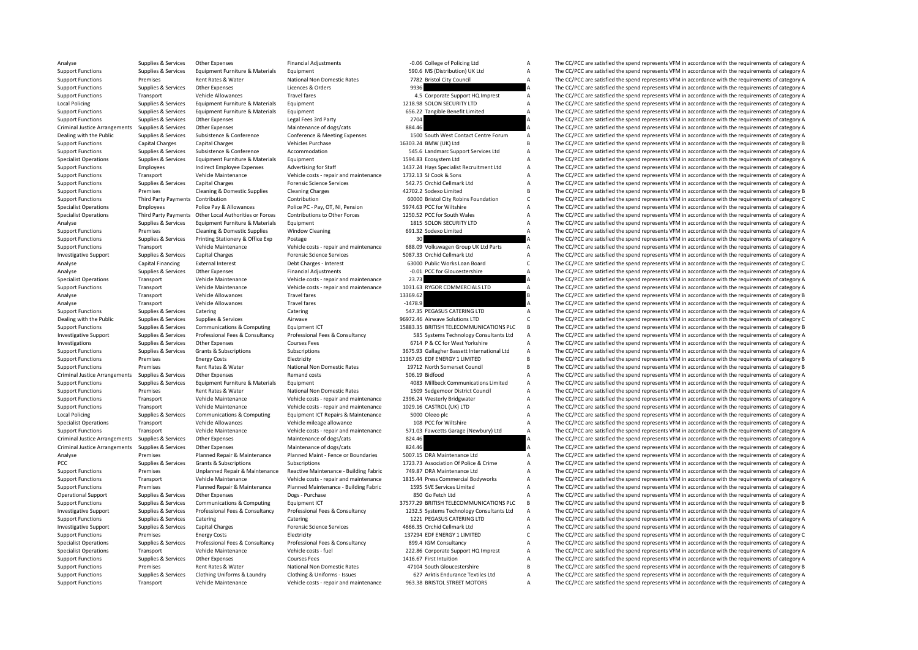Analyse Supplies & Services Other Expenses Financial Adjustments Financial Adjustments -0.06 College of Policing Ltd A The CC/PCC are satisfied the spend represents VFM in accordance with the requirements of category A Sup Support Functions Supplies & Services Equipment Furniture & Materials Equipment Equipment Support Support Function) UK Ltd A The CC/PCC are satisfied the spend represents VFM in accordance with the requirements of category Support Functions Premises Rent Rates & Water National Non Domestic Rates 7782 Bristol City Council A The CC/PCC are satisfied the spend represents VFM in accordance with the requirements of category A Support Functions Su Support Functions Supplies Accepts Other Expenses Critical Support Functions Support Functions Critical A The CC/PCC are satisfied the spend represents VFM in accordance with the requirements of category A Vehicle Allowanc Support Functions Transport Vehicle Allowances Travel fares Travel fares A The CC/PCC are satisfied the spend represents VFM in accordance with the requirements of category A Local Policing Supplies & Services Equipment Furniture & Materials Equipment 1218.98 SOLON SECURITY LTD A The CC/PCC are satisfied the spend represents VFM in accordance with the requirements of category A supplies and the Support Functions Supplies & Services Equipment Furniture & Materials Equipment examines Equipment 656.22 Tangible Benefit Limited A The CC/PCC are satisfied the spend represents VFM in accordance with the requirements of The CC/PCC are satisfied the spend represents VFM in accordance with the requirements of category A Criminal Justice Arrangements Supplies & Services Other Expenses Maintenance of dogs/cats Maintenance of dogs/cats 884.46 A The CC/PCC are satisfied the spend represents VFM in accordance with the requirements of category Dealing with the Public Supplies & Services Subsistence & Conference Conference Conference Conference & Meeting Expenses 1500 South West Contact Centre Forum A The CC/PCC are satisfied the spend represents VFM in accordanc Support Functions Capital Charges Capital Charges Capital Charges Vehicles Purchase Vehicles Purchase 16303.24 BMW (UK) Ltd B The CC/PCC are satisfied the spend represents VFM in accordance with the requirements of categor Supplies & Services Subsistence & Conference Accommodation Support Services Ltd A The CC/PCC are satisfied the spend represents VFM in accordance with the requirements of category A<br>Supplies & Services Equipment Furniture Specialist Operations Supplies & Services Equipment Furniture & Materials Equipment Equipment 1594.83 Ecosystem Ltd A The CC/PCC are satisfied the spend represents VFM in accordance with the requirements of category A Supp Support Functions Employees Indirect Employee Expenses Advertising for Staff 1437.24 Hays Specialist Recruitment Ltd A The CC/PCC are satisfied the spend represents VFM in accordance with the requirements of category A Support Functions Transport Vehicle Maintenance Vehicle costs - repair and maintenance 1732.13 SJ Cook & Sons A The CC/PCC are satisfied the spend represents VFM in accordance with the requirements of category A Support Fu Support Functions Supplies & Services Capital Charges Forensic Science Services 542.75 Orchid Cellmark Ltd A The CC/PCC are satisfied the spend represents VFM in accordance with the requirements of category A Support Funct Support Functions Premises Cleaning Cleaning Cleaning Cleaning B The CC/PCC are satisfied the spend represents VFM in accordance with the requirements of category B The CC/PCC are satisfied the spend represents VFM in acco Support Functions Third Party Payments Contribution Contribution Contribution C 60000 Bristol City Robins Foundation C The CC/PCC are satisfied the spend represents VFM in accordance with the requirements of category C Specialist Operations Employees Police Pay & Allowances Police PC - Pay, OT, NI, Pension 5974.63 PCC for Wiltshire A The CC/PCC are satisfied the spend represents VFM in accordance with the requirements of category A Speci Specialist Operations Third Party Payments Other Local Authorities or Forces Contributions to Other Forces 1250.52 PCC for South Wales Analyse The CC/PCC are satisfied the spend represents VFM in accordance with the requir The CC/PCC are satisfied the spend represents VFM in accordance with the requirements of category A Support Functions Premises Cleaning & Domestic Supplies Window Cleaning 691.32 Sodexo Limited A The CC/PCC are satisfied the spend represents VFM in accordance with the requirements of category A Support Functions Supplies & Services Printing Stationery & Office Exp Postage Postage 30 30 Support Functions The CC/PCC are satisfied the spend represents VFM in accordance with the requirements of category A Vehicle Mai Support Functions Transport Vehicle Maintenance Vehicle costs - repair and maintenance 688.09 Volkswagen Group UK Ltd Parts A The CC/PCC are satisfied the spend represents VFM in accordance with the requirements of categor INVESTIGATIVE SUPPORT SUPPORT SUPPORT SUPPORT SUPPORT SUPPORT SUPPORT SUPPORT SERVICES A The CC/PCC are satisfied the spend represents VFM in accordance with the requirements of category A The CC/PCC are satisfied the spen Analyse Capital Financing External Interest Debt Charges - Interest Debt Charges - Interest 63000 Public Works Loan Board C The CC/PCC are satisfied the spend represents VFM in accordance with the requirements of category Analyse Supplies & Services Other Expenses Financial Adjustments -0.01 PCC for Gloucestershire A The CC/PCC are satisfied the spend represents VFM in accordance with the requirements of category A<br>
1999 Specialist Operatio Specialist Operations Transport Vehicle Maintenance Vehicle costs - repair and maintenance 23.73 A The CC/PCC are satisfied the spend represents VFM in accordance with the requirements of category A<br>Support Functions Trans Support Vehicle Maintenance Vehicle costs - repair and maintenance 1031.63 RYGOR COMMERCIALS LTD A The CC/PCC are satisfied the spend represents VFM in accordance with the requirements of category A Travel fares and Travel Analyse Transport Vehicle Allowances Travel fares 13369.62 13369.62 B The CC/PCC are satisfied the spend represents VFM in accordance with the requirements of category B<br>Analyse Transport Vehicle Allowances Travel fares 14 Analyse Transport Vehicle Allowances Travel fares Travel fares -1478.9 A The CC/PCC are satisfied the spend represents VFM in accordance with the requirements of category A Support Functions Supplies & Services Catering Support Functions Catering Catering Catering Catering Support Functions Support Functions Support Functions Support Functions Support Functions Support Functions of category A Dealing with the Public Supplies & Services Supplies & Services Airwave Airwave Supplies Airwave 96972.46 Airwave Solutions LTD C The CC/PCC are satisfied the spend represents VFM in accordance with the requirements of cat Supplies & Services Communications & Computing Equipment ICT 15883.35 BRITISH TELECOMMUNICATIONS PLC B The CC/PCC are satisfied the spend represents VFM in accordance with the requirements of category B Investigative Support Supplies & Services Professional Fees & Consultancy Professional Fees & Consultancy Professional Fees & Consultancy Professional Fees & Consultancy 585 Systems Technology Consultants Ltd A The CC/PCC Investigations Supplies & Services Other Expenses Courses Fees Courses Fees 6714 P & CC for West Yorkshire A The CC/PCC are satisfied the spend represents VFM in accordance with the requirements of category A Subscriptions A The CC/PCC are satisfied the spend represents VFM in accordance with the requirements of category A Support Functions Premises Energy Costs Electricity Electricity 11367.05 EDF ENERGY 1 LIMITED B The CC/PCC are satisfied the spend represents VFM in accordance with the requirements of category B Electricity 11367.05 EDF E Support Functions Premises Rent Rates & Water National Non Domestic Rates 19712 North Somerset Council B The CC/PCC are satisfied the spend represents VFM in accordance with the requirements of category B Criminal Iustice Criminal The CC/PCC are satisfied the spend represents VFM in accordance with the requirements of category A SO6.19 Bidfood A The CC/PCC are satisfied the spend represents VFM in accordance with the requirements of categor Support Functions Supplies & Services Equipment Furniture & Materials Equipment 4083 Millbeck Communications Limited A The CC/PCC are satisfied the spend represents VFM in accordance with the requirements of category A Nat Support Functions Premises Rent Rates & Water National Non Domestic Rates 1509 Sedgemoor District Council A The CC/PCC are satisfied the spend represents VFM in accordance with the requirements of category A<br>Support Functi Vehicle Costs - repair and maintenance 2396.24 Westerly Bridgwater A The CC/PCC are satisfied the spend represents VFM in accordance with the requirements of category A Vehicle costs - repair and maintenance 1029.16 CASTRO Support Functions Transport Vehicle Maintenance Vehicle costs - repair and maintenance 1029.16 CASTROL (UK) LTD A The CC/PCC are satisfied the spend represents VFM in accordance with the requirements of category A<br>Local Po Local Policing Supplies & Services Communications & Computing Equipment ICT Repairs & Maintenance 5000 Oleeo plc A The CC/PCC are satisfied the spend represents VFM in accordance with the requirements of category A Special Vehicle Allowances Vehicle mileage allowance 108 PCC for Wiltshire 108 PCC for Wiltshire Medical COV Care satisfied the spend represents VFM in accordance with the requirements of category A The CC/PCC are satisfied the sp Support Eurotions Transport Vehicle Maintenance Vehicle costs - repair and maintenance 571.03 Fawcetts Garage (Newbury) Ltd A The CC/PCC are satisfied the spend represents VFM in accordance with the requirements of categor Criminal Justice Arrangements Supplies & Services Other Expenses Maintenance of dogs/cats Maintenance of dogs/cats 824.46 A The CC/PCC are satisfied the spend represents VFM in accordance with the requirements of category Criminal Justice Arrangements Supplies & Services Other Expenses Maintenance of dogs/cats 824.46 A The CC/PCC are satisfied the spend represents VFM in accordance with the requirements of category A Analyse Premises Planned Repair & Maintenance Planned Maint - Fence or Boundaries 5007.15 DRA Maintenance Ltd A The CC/PCC are satisfied the spend represents VFM in accordance with the requirements of category A PCC PEC Supplies A Subscriptions Subscriptions Subscriptions Subscriptions Subscriptions Subscriptions Subscriptions 1723.73 Association Of Police & Crime A The CC/PCC are satisfied the spend represents VFM in accordance w Support Functions Premises Unplanned Repair & Maintenance Reactive Maintenance - Building Fabric 749.87 DRA Maintenance Ltd A The CC/PCC are satisfied the spend represents VFM in accordance with the requirements of categor  $\Delta$  The CC/PCC are satisfied the spend represents VFM in accordance with the requirements of category A Support Functions Premises Planned Repair & Maintenance Planned Maintenance - Building Fabric 1595 SVE Services Limited A The CC/PCC are satisfied the spend represents VFM in accordance with the requirements of category A Opplies & Services Other Expenses Dogs - Purchase 1996 Support Support Support Support A The CC/PCC are satisfied the spend represents VFM in accordance with the requirements of category A Support of the Sendine Support of Support Functions Supplies & Services Communications & Computing Equipment ICT 37577.29 BRITISH TELECOMMUNICATIONS PLC B The CC/PCC are satisfied the spend represents VFM in accordance with the requirements of category B<br>I Investigative Support Supplies & Services Professional Fees & Consultancy Professional Fees & Consultancy Professional Fees & Consultancy 2002-5 Systems Technology Consultants Itd A The CC/PCC are satisfied the spend repre Support Functions Supplies & Services Catering Catering Catering Catering Catering Catering Catering Catering Catering and the CATERING LTD A The CC/PCC are satisfied the spend represents VFM in accordance with the require Investigative Support Supplies & Services Capital Charges **Forensic Science Services** Forensic Science Services 4666.35 Orchid Cellmark Ltd A The CC/PCC are satisfied the spend represents VFM in accordance with the require Premises Energy Costs Electricity Electricity 137294 EDF ENERGY 1 LIMITED C The CC/PCC are satisfied the spend represents VFM in accordance with the requirements of category C Supplies & Services Professional Fees & Consultancy Professional Fees & Consultancy Professional Fees & Consultancy<br>
Specialist Operations Transport the requirements of category A Vehicle costs - fuel vehicle costs - fuel Specialist Operations Transport Vehicle Maintenance Vehicle costs - fuel 222.86 Corporate Support HQ Imprest A The CC/PCC are satisfied the spend represents VFM in accordance with the requirements of category A Support HQ Other Expenses Courses Fees 2001 and Support Terminal Courses Fees 1416.67 First Intuition A The CC/PCC are satisfied the spend represents VFM in accordance with the requirements of category A Support Functions Premises Rent Rates & Water National Non Domestic Rates 47104 South Gloucestershire B The CC/PCC are satisfied the spend represents VFM in accordance with the requirements of category B<br>Support Functions Supplies & Services Clothing Uniforms & Laundry Clothing & Uniforms - Issues 627 Arktis Endurance Textiles I td A The CC/PCC are satisfied the spend represents VEM in accordance with the requirements of category A Support Functions Transport Vehicle Maintenance Vehicle costs - repair and maintenance 963.38 BRISTOL STREET MOTORS A The CC/PCC are satisfied the spend represents VFM in accordance with the requirements of category A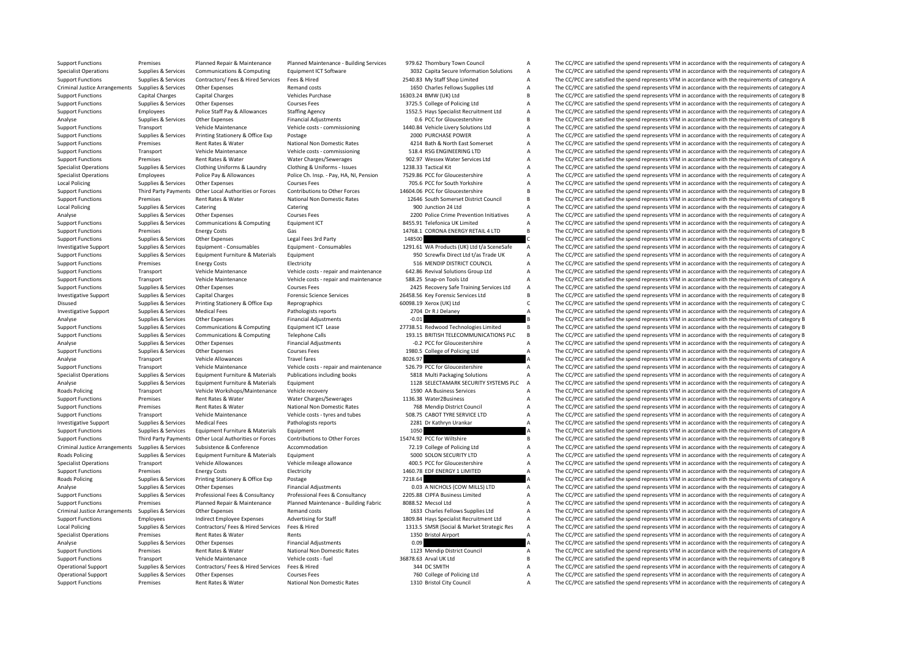|         | 979.62 Thornbury Town Council                            | ÷                        |
|---------|----------------------------------------------------------|--------------------------|
|         | 3032 Capita Secure Information Solutions                 | $\overline{t}$           |
|         | 2540.83 My Staff Shop Limited                            | f                        |
|         | 1650 Charles Fellows Supplies Ltd                        | f                        |
|         | 16303.24 BMW (UK) Ltd                                    | E                        |
|         | 3725.5 College of Policing Ltd                           | f                        |
|         | 1552.5 Hays Specialist Recruitment Ltd                   | ŀ                        |
|         | 0.6 PCC for Gloucestershire                              | E                        |
|         | 1440.84 Vehicle Livery Solutions Ltd                     | f                        |
|         |                                                          |                          |
|         | 2000 PURCHASE POWER                                      | $\overline{t}$           |
|         | 4214 Bath & North East Somerset                          | ŀ                        |
|         | 518.4 RSG ENGINEERING LTD                                | ŀ                        |
|         | 902.97 Wessex Water Services Ltd                         | ŀ                        |
|         | 1238.33 Tactical Kit                                     | ŀ                        |
|         | 7529.86 PCC for Gloucestershire                          | ŀ                        |
|         | 705.6 PCC for South Yorkshire                            | $\overline{t}$           |
|         | 14604.06 PCC for Gloucestershire                         | E                        |
|         | 12646 South Somerset District Council                    | E                        |
|         | 900 Junction 24 Ltd                                      | $\overline{t}$           |
|         | 2200 Police Crime Prevention Initiatives                 | ŀ                        |
|         | 8455.91 Telefonica UK Limited                            | f                        |
|         | 14768.1 CORONA ENERGY RETAIL 4 LTD                       | E                        |
|         |                                                          | $\overline{\mathbf{C}}$  |
| 148500  |                                                          |                          |
|         | 1291.61 WA Products (UK) Ltd t/a SceneSafe               | ŀ                        |
|         | 950 Screwfix Direct Ltd t/as Trade UK                    | f                        |
|         | 516 MENDIP DISTRICT COUNCIL                              | $\overline{t}$           |
|         | 642.86 Revival Solutions Group Ltd                       | ŀ                        |
|         | 588.25 Snap-on Tools Ltd                                 | $\overline{t}$           |
|         | 2425 Recovery Safe Training Services Ltd                 | ŀ                        |
|         | 26458.56 Key Forensic Services Ltd                       | E                        |
|         | 50098.19 Xerox (UK) Ltd                                  | $\mathbf$                |
|         | 2704 Dr R J Delaney                                      | $\overline{t}$           |
| $-0.01$ |                                                          | E                        |
|         |                                                          |                          |
|         |                                                          |                          |
|         | 27738.51 Redwood Technologies Limited                    | E                        |
|         | 193.15 BRITISH TELECOMMUNICATIONS PLC                    | E                        |
|         | -0.2 PCC for Gloucestershire                             | ŀ                        |
|         | 1980.5 College of Policing Ltd                           | ŀ                        |
| 8026.97 |                                                          | $\overline{1}$           |
|         | 526.79 PCC for Gloucestershire                           | ŀ                        |
|         | 5818 Multi Packaging Solutions                           | $\overline{t}$           |
|         | 1128 SELECTAMARK SECURITY SYSTEMS PLC                    | $\overline{t}$           |
|         | 1590 AA Business Services                                | ŀ                        |
|         | 1136.38 Water2Business                                   | ŀ                        |
|         |                                                          | f                        |
|         | 768 Mendip District Council                              |                          |
|         | 508.75 CABOT TYRE SERVICE LTD                            | $\overline{t}$           |
|         | 2281 Dr Kathryn Urankar                                  | ŀ                        |
| 1050    |                                                          | $\overline{1}$           |
|         | 15474.92 PCC for Wiltshire                               | E                        |
|         | 72.19 College of Policing Ltd                            |                          |
|         | 5000 SOLON SECURITY LTD                                  | $\overline{t}$           |
|         | 400.5 PCC for Gloucestershire                            | $\overline{t}$           |
|         | 1460.78 EDF ENERGY 1 LIMITED                             | $\overline{1}$           |
| 7218.64 |                                                          | $\overline{\phantom{a}}$ |
|         | 0.03 A NICHOLS (COW MILLS) LTD                           | $\overline{t}$           |
|         | 2205.88 CIPFA Business Limited                           | $\overline{1}$           |
|         |                                                          | ŀ                        |
|         | 8088.52 Mecsol Ltd                                       |                          |
|         | 1633 Charles Fellows Supplies Ltd                        | ŀ<br>$\overline{t}$      |
|         | 1809.84 Hays Specialist Recruitment Ltd                  |                          |
|         | 1313.5 SMSR (Social & Market Strategic Res               | $\overline{t}$           |
|         | 1350 Bristol Airport                                     | ŀ                        |
| 0.09    |                                                          | $\overline{1}$           |
|         | 1123 Mendip District Council                             | f                        |
|         | 36878.63 Arval UK Ltd                                    | E                        |
|         | 344 DC SMITH                                             | ŀ                        |
|         | 760 College of Policing Ltd<br>1310 Bristol City Council | ŀ<br>ŀ                   |

Support Functions Premises Planned Renair & Maintenance Planned Maintenance Building Services 979.62 Thornbury Town Council A The CC/PCC are satisfied the spend represents VFM in accordance with the requirements of categor Supplies & Services Communications & Computing Equipment ICT Software and a contage and a support of the CC/PCC are satisfied the spend represents VFM in accordance with the requirements of category A<br>Support Functions Sup Support Functions Supplies & Services Contractors/ Fees & Hired Services Fees & Hired 2540.83 My Staff Shop Limited A The CC/PCC are satisfied the spend represents VFM in accordance with the requirements of category A Crim Criminal Arrangements Supplies Arrangements Supplies Content Arrangements of category A The CC/PCC are satisfied the spend represents VFM in accordance with the requirements of category A The Criminal B The CC/PCC are sati Support Functions Capital Charges Capital Charges Vehicles Purchase 16303.24 BMW (UK) Ltd B The CC/PCC are satisfied the spend represents VFM in accordance with the requirements of category B Support Functions Supplies & Services Other Expenses Courses Fees Courses Fees 3725.5 College of Policing Ltd A The CC/PCC are satisfied the spend represents VFM in accordance with the requirements of category A Support Fu Support Functions Employees Police Staff Pay & Allowances Staffing Agency 1552.5 Hays Specialist Recruitment Ltd A The CC/PCC are satisfied the spend represents VFM in accordance with the requirements of category A Support The CC/PCC are satisfied the spend represents VFM in accordance with the requirements of category B Support Functions Transport Vehicle Maintenance Vehicle costs - commissioning 1440.84 Vehicle Livery Solutions Ltd A The CC/PCC are satisfied the spend represents VFM in accordance with the requirements of category A Suppo Support Functions Supplies & Services Printing Stationery & Office Exp Postage Postage 2000 PURCHASE POWER A The CC/PCC are satisfied the spend represents VFM in accordance with the requirements of category A<br>Support Funct Support Functions Premises Rent Rates & Water National Non Domestic Rates 4214 Bath & North East Somerset A The CC/PCC are satisfied the spend represents VFM in accordance with the requirements of category A Support Functi Vehicle Maintenance Vehicle costs - commissioning 518.4 RSG ENGINEERING LTD A The CC/PCC are satisfied the spend represents VFM in accordance with the requirements of category A<br>Rent Rates R. Water Water Marter Charges Com Support Functions Premises Rent Rates & Water Water Charges/Sewerages 902.97 Wessex Water Services Ltd A The CC/PCC are satisfied the spend represents VFM in accordance with the requirements of category A Specialist Operat Specialist Operations Supplier Operations Supplies Clothing American Supplier Clothing Uniforms - Issues 1238.33 Tactical Kit A The CC/PCC are satisfied the spend represents VFM in accordance with the requirements of categ Specialist Operations Employees Police Pay & Allowances Police Ch. Insp. - Pay, HA, NI, Pension 7529.86 PCC for Gloucestershire A The CC/PCC are satisfied the spend represents VFM in accordance with the requirements of cat Local Policing Supplies & Services Other Expenses Courses Fees 705.6 PCC for South Yorkshire A The CC/PCC are satisfied the spend represents VFM in accordance with the requirements of category A Supplies & Services Contrib The CC/PCC are satisfied the spend represents VEM in accordance with the requirements of category B Support Functions Premises Rent Rates & Water National Non Domestic Rates 12646 South Somerset District Council B The CC/PCC are satisfied the spend represents VFM in accordance with the requirements of category B Local Policing Supplies A Services Catering Catering Catering Catering Catering Catering Catering Catering Catering Supplies Catering and the COVIDENT A The CC/PCC are satisfied the spend represents VFM in accordance with Analyse Supplies & Services Other Expenses Courses Fees 2200 Police Crime Prevention Initiatives A The CC/PCC are satisfied the spend represents VFM in accordance with the requirements of category A<br>Support Functions Suppl The CC/PCC are satisfied the spend represents VFM in accordance with the requirements of category A Support Functions Premises Energy Costs Gas Gas Gas 14768.1 CORONA ENERGY RETAIL 4 LTD B The CC/PCC are satisfied the spend represents VFM in accordance with the requirements of category B support Functions Support Functio Support Functions Supplies & Services Other Expenses Legal Fees 3rd Party 148500 C The CC/PCC are satisfied the spend represents VFM in accordance with the requirements of category C<br>Investigative Support Supplies & Servic Investigative Support Supplies & Services Equipment - Consumables Equipment - Consumables Equipment - Consumables<br>Support Functions Support Support Functions Support Functions Support Functions Support Functions Support Fu The CC/PCC are satisfied the spend represents VFM in accordance with the requirements of category A Support Functions Premises Energy Costs Electricity Electricity Support Electricity 516 MENDIP DISTRICT COUNCIL A The CC/PCC are satisfied the spend represents VFM in accordance with the requirements of category A Support Vehicle Maintenance Vehicle costs - repair and maintenance 642.86 Revival Solutions Group Ltd A The CC/PCC are satisfied the spend represents VFM in accordance with the requirements of category A Vehicle costs - repair and Support Functions Transport Vehicle Maintenance Vehicle costs - repair and maintenance 588.25 Snap-on Tools Ltd A The CC/PCC are satisfied the spend represents VFM in accordance with the requirements of category A Currence Support Functions Supplies & Services Other Expenses 2001585 Courses Fees 2425 Recovery Safe Training Services Ltd A The CC/PCC are satisfied the spend represents VFM in accordance with the requirements of category A The C The CC/PCC are satisfied the spend represents VFM in accordance with the requirements of category B Disused Supplies & Services Printing Stationery & Office Exp Reprographics 60098.19 Xerox (UK) Ltd C The CC/PCC are satisfied the spend represents VFM in accordance with the requirements of category C Investigative Support Supplies & Services Medical Fees Pathologists reports 2704 Dr R J Delaney A The CC/PCC are satisfied the spend represents VFM in accordance with the requirements of category A The Criteria of the COV Analyse Supplies & Services Other Expenses Financial Adjustments -0.01 B The CC/PCC are satisfied the spend represents VFM in accordance with the requirements of category B<br>Supplies & Services Communications & Computing Fo Support Functions Supplies & Services Communications & Computing Faultoment ICT Lease 27738.51 Redwood Technologies Limited B The CC/PCC are satisfied the spend represents VFM in accordance with the requirements of categor Support Functions Supplies & Services Communications & Computing Telephone Calls 193.15 BRITISH TELECOMMUNICATIONS PLC B The CC/PCC are satisfied the spend represents VFM in accordance with the requirements of category B<br> Analyse Supplies & Services Other Expenses Financial Adjustments -0.2 PCC for Gloucestershire A The CC/PCC are satisfied the spend represents VFM in accordance with the requirements of category A Support Funderic Setes Cou The CC/PCC are satisfied the spend represents VFM in accordance with the requirements of category A Analyse Transport Vehicle Allowances Travel fares Travel fares 8026.97 BCC/PCC are satisfied the spend represents VFM in accordance with the requirements of category A The CC/PCC are satisfied the spend represents VFM in a Support Functions Transport Vehicle Maintenance Vehicle costs - repair and maintenance 526.79 PCC for Gloucestershire A The CC/PCC are satisfied the spend represents VFM in accordance with the requirements of category A Sa Equipment Furniture & Materials Publications including books 5818 Multi Packaging Solutions A The CC/PCC are satisfied the spend represents VFM in accordance with the requirements of category A<br>Equipment Furniture & Materi Analyse Supplies & Services Equipment Furniture & Materials Equipment equipment 1128 SELECTAMARK SECURITY SYSTEMS PLC A The CC/PCC are satisfied the spend represents VFM in accordance with the requirements of category A Na Roads Policing Transport Vehicle Workshops/Maintenance Vehicle recovery 1590 AA Business Services A The CC/PCC are satisfied the spend represents VFM in accordance with the requirements of category A<br>Support Functions Prem Support Functions Premises Are The CC/PCC are satisfied the spend represents VFM in accordance with the requirements of category A The CC/PCC are satisfied the spend represents VFM in accordance with the requirements of ca Support Functions Premises Rent Rates & Water National Non Domestic Rates 768 Mendip District Council A The CC/PCC are satisfied the spend represents VFM in accordance with the requirements of category A Support Functions Transport Vehicle Maintenance Vehicle costs - tyres and tubes 508.75 CABOT TYRE SERVICE LTD A The CC/PCC are satisfied the spend represents VFM in accordance with the requirements of category A reverse pa Investigative Support Supplies & Services Medical Fees Pathologists reports Pathologists reports 2281 Dr Kathryn Urankar A The CC/PCC are satisfied the spend represents VFM in accordance with the requirements of category A Supplies & Services Equipment Furniture & Materials Equipment 1050 1050 1050 A The CC/PCC are satisfied the spend represents VFM in accordance with the requirements of category A Support Functions Third Party Payments Other Local Authorities or Forces Contributions to Other Forces 15474.92 PCC for Wiltshire B The CC/PCC are satisfied the spend represents VFM in accordance with the requirements of c Criminal Justice Arrangements Supplies & Services Subsistence 8 Conference Accommodation 72.19 College of Policing Ltd A The CC/PCC are satisfied the spend represents VFM in accordance with the requirements of category A Roads Policing Supplies & Services Equipment Furniture & Materials Equipment Equipment Equipment Supplies Agreements of category A SOOO SOLON SECURITY LTD A The CC/PCC are satisfied the spend represents VFM in accordance w Specialist Operations Transport Vehicle Allowances Vehicle mileage allowance 400.5 PCC for Gloucestershire A The CC/PCC are satisfied the spend represents VFM in accordance with the requirements of category A Sunnort Funct Support Functions Premises Energy Costs Electricity Electricity Electricity Electricity Electricity 1460.78 EDF ENERGY 1 LIMITED A The CC/PCC are satisfied the spend represents VFM in accordance with the requirements of ca Postage **Experiences A The CC/PCC** are satisfied the spend represents VFM in accordance with the requirements of category A Analyse Supplies & Services Other Expenses Financial Adjustments Consultances Consultances Consultances Consultances Consultances Consultances Consultances Consultances Consultances Consultances Consultances Consultances C Supplies & Services Professional Fees & Consultancy Professional Fees & Consultancy 2205.88 CIPFA Business Limited A The CC/PCC are satisfied the spend represents VFM in accordance with the requirements of category A<br>Plann Support Functions Premises Planned Repair & Maintenance Planned Maintenance - Building Fabric 8088.52 Mecsol Ltd A The CC/PCC are satisfied the spend represents VFM in accordance with the requirements of category A Crimina Criminal Justice Arrangements Supplies & Services Other Expenses Remand costs 1633 Charles Fellows Supplies Ltd A The CC/PCC are satisfied the spend represents VFM in accordance with the requirements of category A Support Functions Employees Indirect Employee Expenses Advertising for Staff 1809.84 Hays Specialist Recruitment Ltd A The CC/PCC are satisfied the spend represents VFM in accordance with the requirements of category A Loc Supplies & Services Contractors/Fees & Hired Free & Hired Press (Services Pees & Hired 1313.5 SMSR (Social & Market Strategic Res A The CC/PCC are satisfied the spend represents VFM in accordance with the requirements of c Specialist Operations Premises Rent Rates & Water Rents Rents Rents 1350 Bristol Airport A The CC/PCC are satisfied the spend represents VFM in accordance with the requirements of category A Analyse Supplies & Services Other Expenses Financial Adjustments Computers and the CONSTANT COMPUT A The CC/PCC are satisfied the spend represents VFM in accordance with the requirements of category A Support Functions Pre Support Functions Premises Rent Rates & Water National Non Domestic Rates 1123 Mendip District Council A The CC/PCC are satisfied the spend represents VFM in accordance with the requirements of category A Vehicle Metricano Support Functions Transport Vehicle Maintenance Vehicle costs - fuel 36878.63 Arval UK Ltd B The CC/PCC are satisfied the spend represents VFM in accordance with the requirements of category B Operational Support Supplies & Services Contractors/ Fees & Hired Services Fees & Hired 344 DC SMITH A The CC/PCC are satisfied the spend represents VFM in accordance with the requirements of category A Contractors of cate The CC/PCC are satisfied the spend represents VFM in accordance with the requirements of category A Support Functions Premises Rent Rates & Water National Non Domestic Rates 1310 Bristol City Council A The CC/PCC are satisfied the spend represents VFM in accordance with the requirements of category A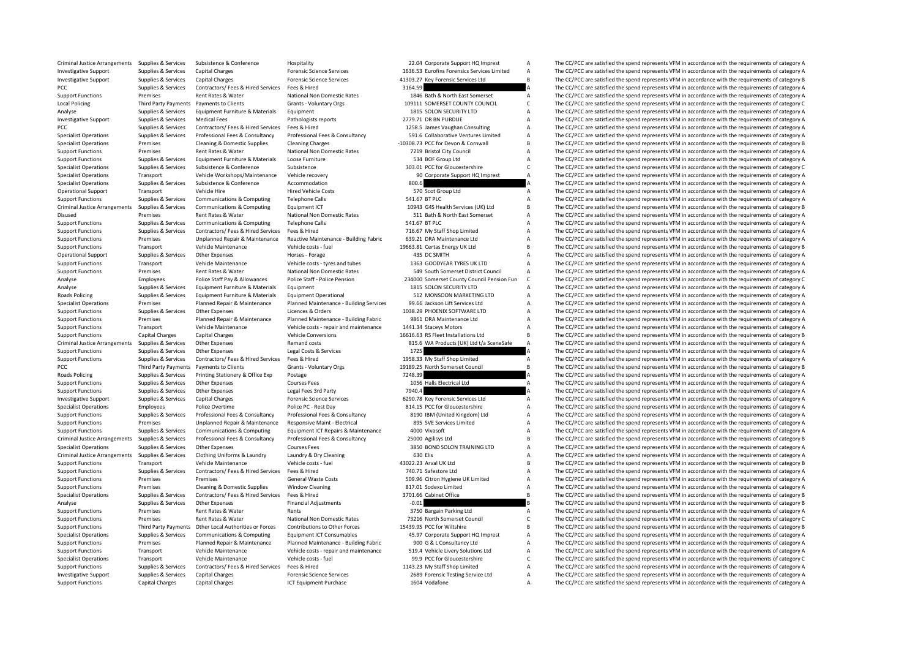|               | 22.04 Corporate Support HQ Imprest                 | Α      |
|---------------|----------------------------------------------------|--------|
|               | 1636.53 Eurofins Forensics Services Limited        | A      |
|               | 1303.27 Key Forensic Services Ltd                  | B      |
| 3164.59       |                                                    | A      |
|               | 1846 Bath & North East Somerset                    | A      |
|               | 109111 SOMERSET COUNTY COUNCIL                     | C      |
|               | 1815 SOLON SECURITY LTD                            | A      |
|               | 2779.71 DR BN PURDUE                               | A      |
|               | 1258.5 James Vaughan Consulting                    | A      |
|               | 591.6 Collaborative Ventures Limited               | A      |
|               | 0308.73 PCC for Devon & Cornwall                   | B      |
|               | 7219 Bristol City Council                          | A      |
|               | 534 BOF Group Ltd                                  | A      |
|               | 303.01 PCC for Gloucestershire                     | C      |
|               | 90 Corporate Support HQ Imprest                    | A      |
| 800.6         |                                                    | A      |
|               | 570 Scot Group Ltd                                 | A      |
| 541.67 BT PLC |                                                    | A      |
|               | 10943 G4S Health Services (UK) Ltd                 | B      |
|               | 511 Bath & North East Somerset                     | A      |
| 541.67 BT PLC |                                                    | A      |
|               | 716.67 My Staff Shop Limited                       | A      |
|               | 639.21 DRA Maintenance Ltd                         | A      |
|               | 9663.81 Certas Energy UK Ltd                       | B      |
|               | 435 DC SMITH                                       | A      |
|               | 1363 GOODYEAR TYRES UK LTD                         | A      |
|               | 549 South Somerset District Council                | A      |
|               | 234000 Somerset County Council Pension Fun         | C      |
|               | 1815 SOLON SECURITY LTD                            | A      |
|               | 512 MONSOON MARKETING LTD                          | A      |
|               | 99.66 Jackson Lift Services Ltd                    | A      |
|               | 1038.29 PHOENIX SOFTWARE LTD                       | A      |
|               | 9861 DRA Maintenance Ltd                           | A      |
|               |                                                    | A      |
|               | 1441.34 Staceys Motors                             |        |
|               | 6616.63 RS Fleet Installations Ltd                 | B      |
|               | 815.6 WA Products (UK) Ltd t/a SceneSafe           | A      |
| 1725          |                                                    | A      |
|               | 1958.33 My Staff Shop Limited                      | A      |
|               | 9189.25 North Somerset Council                     | B      |
| 7248.39       |                                                    | A      |
|               | 1056 Halls Electrical Ltd                          | A      |
| 7940.4        |                                                    | A      |
|               | 6290.78 Key Forensic Services Ltd                  | A      |
|               | 814.15 PCC for Gloucestershire                     | A      |
|               | 8190 IBM (United Kingdom) Ltd                      | A      |
|               | 895 SVE Services Limited                           | A      |
|               | 4000 Vivasoft                                      | A      |
|               | 25000 Agilisys Ltd                                 | B      |
|               | 3850 BOND SOLON TRAINING LTD                       | A      |
| 630 Elis      |                                                    | Α      |
|               | 3022.23 Arval UK Ltd                               | B      |
|               | 740.71 Safestore Ltd                               | A      |
|               | 509.96 Citron Hygiene UK Limited                   | A      |
|               | 817.01 Sodexo Limited                              | A      |
|               | 3701.66 Cabinet Office                             | B      |
| $-0.01$       |                                                    | B      |
|               | 3750 Bargain Parking Ltd                           | А      |
|               | 73216 North Somerset Council                       | C      |
|               | 5439.95 PCC for Wiltshire                          | B      |
|               | 45.97 Corporate Support HQ Imprest                 | A      |
|               | 900 G & L Consultancy Ltd                          | A      |
|               | 519.4 Vehicle Livery Solutions Ltd                 | A      |
|               | 99.9 PCC for Gloucestershire                       | C      |
|               | 1143.23 My Staff Shop Limited                      | A      |
|               | 2689 Forensic Testing Service Ltd<br>1604 Vodafone | A<br>A |

Criminal Justice Arrangements Supplies & Services Subsistence Supportere Hospitality 22.04 Corporate Support HQ Imprest A The CC/PCC are satisfied the spend represents VFM in accordance with the requirements of category A Investigative Support Supplies & Services Capital Charges Material Charges Forensic Science Services 1636.53 Eurofins Forensics Services Limited A The CC/PCC are satisfied the spend represents VFM in accordance with the re Investigative Support Supplies & Services Capital Charges Forensic Science Services 41303.27 Key Forensic Services Ltd B The CC/PCC are satisfied the spend represents VFM in accordance with the requirements of category B T The CC/PCC are satisfied the spend represents VEM in accordance with the requirements of category A Support Functions Premises Rent Rates & Water National Non Domestic Rates 1846 Bath & North East Somerset A The CC/PCC are satisfied the spend represents VFM in accordance with the requirements of category A Local Policing Third Party Payments Payments of Clients Grants - Voluntary Orgs 109111 SOMERSET COUNTY COUNCIL C The CC/PCC are satisfied the spend represents VFM in accordance with the requirements of category C and very Analyse Supplies & Services Equipment Furniture & Materials Equipment Equipment 1815 SOLON SECURITY LTD A The CC/PCC are satisfied the spend represents VFM in accordance with the requirements of category A<br>Investigative Su The CC/PCC are satisfied the spend represents VFM in accordance with the requirements of category A PCC Supplies & Services Contractors/ Fees & Hired Services Fees & Hired Services Fees & Hired 1258.5 James Vaughan Consulting A The CC/PCC are satisfied the spend represents VFM in accordance with the requirements of categ Supplies & Services Professional Fees & Consultancy Professional Fees & Consultancy Consultancy S91.6 Collaborative Ventures Limited A The CC/PCC are satisfied the spend represents VFM in accordance with the requirements o Specialist Operations Premises Cleaning & Domestic Supplies Cleaning Charges -10308.73 PCC for Devon & Cornwall B The CC/PCC are satisfied the spend represents VFM in accordance with the requirements of category B National Support Functions Premises Articlear Mational Non Domestic Rates 7219 Bristol City Council A The CC/PCC are satisfied the spend represents VFM in accordance with the requirements of category A The Critical A The CC/PCC are Support Functions Supplies & Services Equipment Furniture & Materials Loose Furniture Support and the Support Company Company Company Company Company Company Company Company Company Company Company Company Company Company The CC/PCC are satisfied the spend represents VFM in accordance with the requirements of category C Specialist Operations Transport Vehicle Workshops/Maintenance Vehicle recovery 90 Corporate Support HQ Imprest A The CC/PCC are satisfied the spend represents VFM in accordance with the requirements of category A Specialis Specialist Operations Supplies & Services Subsistence 8 Conference Accommodation a BOOS BOOS ACCOMMON SUDS a The CC/PCC are satisfied the spend represents VFM in accordance with the requirements of category A Hired Vehicle Transport Vehicle Hire Hired Vehicle Costs 570 Scot Group Ltd A The CC/PCC are satisfied the spend represents VFM in accordance with the requirements of category A Support Content of category A The CC/PCC are satisfied the Support Functions Supplies & Services Communications & Computing Telephone Calls 541.67 BT PLC A The CC/PCC are satisfied the spend represents VFM in accordance with the requirements of category A Criminal Justice Arrangements Supplies & Services Communications & Computing Equipment ICT 10943 G45 Health Services (UK) Ltd B The CC/PCC are satisfied the spend represents VFM in accordance with the requirements of categ Disused Premises Rent Rates & Water National Non Domestic Rates 511 Bath & North East Somerset A The CC/PCC are satisfied the spend represents VFM in accordance with the requirements of category A<br>Sunnort Functions Sunnies The CC/PCC are satisfied the spend represents VEM in accordance with the requirements of category A Support Functions Supplies & Services Contractors/ Fees & Hired Services Fees & Hired 716.67 My Staff Shop Limited A The CC/PCC are satisfied the spend represents VFM in accordance with the requirements of category A Suppo Support Functions Premises Dipplanned Repair & Maintenance Reactive Maintenance - Building Fabric 639.21 DRA Maintenance Ltd a The CC/PCC are satisfied the spend represents VFM in accordance with the requirements of catego Support Functions Transport Vehicle Maintenance Vehicle costs - fuel 1968.81 Certas Energy UK Ltd B The CC/PCC are satisfied the spend represents VFM in accordance with the requirements of category B Norses - Forace Wester Other Expenses and the Support Support Support Support Support Support Support Support Support Support Support Support Support Support Support Support Support Support Support Support A The CC/PCC are satisfied the spend re Support Functions Transport Vehicle Maintenance Vehicle costs - tyres and tubes 1363 GOODYEAR TYRES UK LTD A The CC/PCC are satisfied the spend represents VFM in accordance with the requirements of category A Support Funct Rent Rates & Water Mational Non Domestic Rates 549 South Somerset District Council A The CC/PCC are satisfied the spend represents VFM in accordance with the requirements of category A<br>Police Staff Police Staff - Police Pe Analyse Employees Police Staff Pay & Allowances Police Staff - Police Pension 234000 Somerset County Council Pension Fun C The CC/PCC are satisfied the spend represents VFM in accordance with the requirements of category C Analyse Supplies & Services Equipment Furniture & Materials Equipment Equipment and the state of category and the spend represents VFM in accordance with the requirements of category A a me in the CC/PCC are satisfied the Equipment Furniture & Materials Equipment Operational 512 MONSOON MARKETING LTD A The CC/PCC are satisfied the spend represents VFM in accordance with the requirements of category A<br>Planned Repair & Maintenance Planned Mai Specialist Operations Premises Planned Repair & Maintenance Planned Maintenance Building Services 99.66 Jackson Lift Services Ltd A The CC/PCC are satisfied the spend represents VFM in accordance with the requirements of c Support Functions Supplies & Services Other Expenses Licences & Orders Licences & Orders 2038.29 PHOENIX SOFTWARE LTD A The CC/PCC are satisfied the spend represents VFM in accordance with the requirements of category A Su Support Functions Premises Planned Repair & Maintenance Planned Maintenance - Building Fabric 9861 DRA Maintenance Ltd A The CC/PCC are satisfied the spend represents VFM in accordance with the requirements of category A S Support Functions Transport Vehicle Maintenance Vehicle costs - repair and maintenance 1441.34 Staceys Motors A The CC/PCC are satisfied the spend represents VFM in accordance with the requirements of category A Support Functions Capital Charges Capital Charges Vehicle Conversions Vehicle Conversions 16616.63 RS Fleet Installations Ltd B The CC/PCC are satisfied the spend represents VFM in accordance with the requirements of categ Criminal Justice Arrangements Supplies & Services Other Expenses A Remand costs Remand costs 815.6 WA Products (UK) Ltd t/a SceneSafe A The CC/PCC are satisfied the spend represents VFM in accordance with the requirements The CC/PCC are satisfied the spend represents VFM in accordance with the requirements of category A Support Functions Supplies & Services Contractors/ Fees & Hired Services Fees & Hired 1958.33 My Staff Shop Limited A The CC/PCC are satisfied the spend represents VFM in accordance with the requirements of category A PCC Third Party Payments Payments to Clients Grants - Voluntary Orgs 19189.25 North Somerset Council B The CC/PCC are satisfied the spend represents VFM in accordance with the requirements of category B<br>Roads Policing Supp Supplies & Services Printing Stationery & Office Exp Postage 7948.39 7248.39 The CC/PCC are satisfied the spend represents VFM in accordance with the requirements of category A The CC/PCC are satisfied the spend represents Support Functions Supplies & Services Other Expenses Courses Fees 2013 Courses Fees 1056 Halls Electrical Ltd A The CC/PCC are satisfied the spend represents VFM in accordance with the requirements of category A Support Fu Support Functions Supplies & Services Other Expenses Legal Fees 3rd Party 7940.4 7940.4 The CC/PCC are satisfied the spend represents VFM in accordance with the requirements of category A The CC/PCC are satisfied the spend The CC/PCC are satisfied the spend represents VFM in accordance with the requirements of category A Specialist Operations Employees Police Overtime Police PC - Rest Day 814.15 PCC for Gloucestershire A The CC/PCC are satisfied the spend represents VFM in accordance with the requirements of category A Support Functions Supplies & Services Professional Fees & Consultancy Professional Fees & Consultancy Professional Fees & Consultancy And the Multiple of the Consultancy and the Consultance of category A a The CC/PCC are s Unplanned Repair & Maintenance Responsive Maint - Electrical 895 SVE Services Limited A The CC/PCC are satisfied the spend represents VFM in accordance with the requirements of category A Communications & Communications A Support Functions Supplies & Services Communications & Computing Equipment ICT Repairs & Maintenance 4000 Vivasoft A The CC/PCC are satisfied the spend represents VFM in accordance with the requirements of category A Criminal Justice Arrangements Supplies & Services Professional Fees & Consultancy Professional Fees & Consultancy Professional Fees & Consultancy Professional Fees & Consultancy 25000 Agilisys Ltd B The CC/PCC are satisfie Specialist Operations Supplies & Services Other Expenses Courses Fees 3850 BOND SOLON TRAINING LTD A The CC/PCC are satisfied the spend represents VFM in accordance with the requirements of category A Criminal Justice Arrangements Supplies & Services Clothing Uniforms & Laundry Laundry Laundry A Dry Cleaning 630 Elis A The CC/PCC are satisfied the spend represents VFM in accordance with the requirements of category A Support Functions Transport Vehicle Maintenance Vehicle costs - fuel 43022.23 Arval UK Ltd B The CC/PCC are satisfied the spend represents VFM in accordance with the requirements of category B Vehicle Costs - fuel 43022.23 Support Functions Supplies & Services Contractors/ Fees & Hired Services Fees & Hired Tees And The CONTA Service Contractors/ Fees & Hired 740.71 Safestore Ltd A The CC/PCC are satisfied the spend represents VFM in accorda The CC/PCC are satisfied the spend represents VFM in accordance with the requirements of category A Support Functions Premises Cleaning & Domestic Supplies Window Cleaning 817.01 Sodexo Limited A The CC/PCC are satisfied the spend represents VFM in accordance with the requirements of category A Specialist Operations Supplies & Services Contractors/ Fees & Hired Services Fees & Hired Services Fees & Hired 3701.66 Cabinet Office B The CC/PCC are satisfied the spend represents VFM in accordance with the requirements Analyse Supplies & Services Other Expenses Financial Adjustments Financial Adjustments -0.01 B The CC/PCC are satisfied the spend represents VFM in accordance with the requirements of category B C in the requirements of ca Support Functions Premises Rent Rates & Water Rents Rents 3750 Bargain Parking Ltd A The CC/PCC are satisfied the spend represents VFM in accordance with the requirements of category A Support Functions Premises Premises Rent Rates & Water National Non Domestic Rates 73216 North Somerset Council C The CC/PCC are satisfied the spend represents VFM in accordance with the requirements of category C National Support Functions Third Party Payments Other Local Authorities or Forces Contributions to Other Forces 15439.95 PCC for Wiltshire B The CC/PCC are satisfied the spend represents VFM in accordance with the requirements of c The CC/PCC are satisfied the spend represents VFM in accordance with the requirements of category A Support Functions Premises Planned Repair & Maintenance Planned Maintenance - Building Fabric 900 G & L Consultancy Ltd A The CC/PCC are satisfied the spend represents VFM in accordance with the requirements of category A Support Functions Transport Vehicle Maintenance Vehicle costs - repair and maintenance 519.4 Vehicle Livery Solutions Ltd A The CC/PCC are satisfied the spend represents VFM in accordance with the requirements of category Transport Vehicle Maintenance Vehicle costs - fuel 99.9 PCC for Gloucestershire C The CC/PCC are satisfied the spend represents VFM in accordance with the requirements of category C Support Functions Supplies & Services Contractors/ Fees & Hired Services Fees & Hired 1143.23 My Staff Shop Limited A The CC/PCC are satisfied the spend represents VFM in accordance with the requirements of category A Inve Investigative Support Supplies & Services Capital Charges Forensic Science Services 2689 Forensic Testing Service Ltd A The CC/PCC are satisfied the spend represents VFM in accordance with the requirements of category A Support Functions Capital Charges Capital Charges ICT Equipment Purchase 1604 Vodafone A The CC/PCC are satisfied the spend represents VFM in accordance with the requirements of category A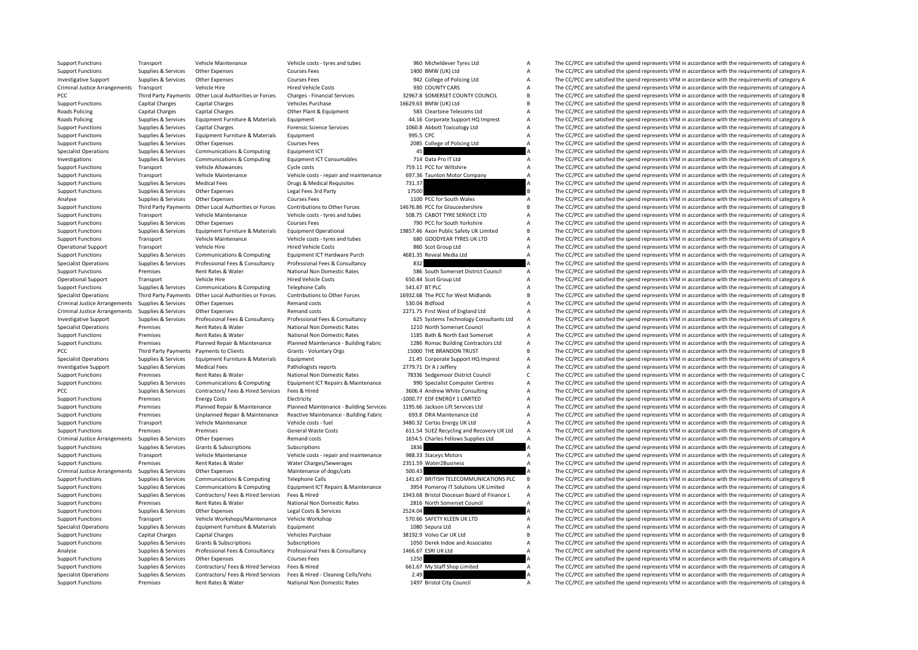Support Functions Transport Vehicle Maintenance Vehicle costs - tyres and tubes 960 Micheldever Tyres Ltd A The CC/PCC are satisfied the spend represents VFM in accordance with the requirements of category A

| טטכ           | <b>INICITERENCI</b><br><b>IVIES</b> LLU     | m |
|---------------|---------------------------------------------|---|
|               | 1400 BMW (UK) Ltd                           | A |
|               | 942 College of Policing Ltd                 | A |
|               | 930 COUNTY CARS                             | A |
|               | 32967.8 SOMERSET COUNTY COUNCIL             | B |
|               |                                             |   |
|               | 16629.63 BMW (UK) Ltd                       | B |
|               | 583 Cleartone Telecoms Ltd                  | A |
|               | 44.16 Corporate Support HQ Imprest          | A |
|               | 1060.8 Abbott Toxicology Ltd                | A |
| 995.5 CPC     |                                             | A |
|               | 2085 College of Policing Ltd                | A |
| 45            |                                             | A |
|               | 714 Data Pro IT Ltd                         | А |
|               | 759.11 PCC for Wiltshire                    | A |
|               |                                             |   |
|               | 697.36 Taunton Motor Company                | A |
| 731.37        |                                             | A |
| 17500         |                                             | B |
|               | 1100 PCC for South Wales                    | A |
|               | 14676.86 PCC for Gloucestershire            | B |
|               | 508.75 CABOT TYRE SERVICE LTD               | А |
|               | 790 PCC for South Yorkshire                 | А |
|               | 19857.46 Axon Public Safety UK Limited      | B |
|               | 680 GOODYEAR TYRES UK LTD                   | A |
|               | 860 Scot Group Ltd                          | A |
|               |                                             |   |
|               | 4681.35 Reveal Media Ltd                    | A |
| 832           |                                             | A |
|               | 586 South Somerset District Council         | A |
|               | 650.44 Scot Group Ltd                       | А |
| 541.67 BT PLC |                                             | A |
|               | 16932.68 The PCC for West Midlands          | B |
|               | 530.04 Bidfood                              | A |
|               |                                             | A |
|               | 2271.75 First West of England Ltd           |   |
|               | 625 Systems Technology Consultants Ltd      | A |
|               | 1210 North Somerset Council                 | A |
|               | 1185 Bath & North East Somerset             | A |
|               | 1286 Romac Building Contractors Ltd         | A |
|               | 15000 THE BRANDON TRUST                     | B |
|               | 21.45 Corporate Support HQ Imprest          | A |
|               | 2779.71 Dr A J Jeffery                      | А |
|               | 78336 Sedgemoor District Council            | C |
|               |                                             |   |
|               | 990 Specialist Computer Centres             | A |
|               | 3606.4 Andrew White Consulting              | A |
|               | -1000.77 EDF ENERGY 1 LIMITED               | A |
|               | 1195.66 Jackson Lift Services Ltd           | A |
|               | 693.8 DRA Maintenance Ltd                   | A |
|               | 3480.32 Certas Energy UK Ltd                | A |
|               | 611.54 SUEZ Recycling and Recovery UK Ltd   | A |
|               | 1654.5 Charles Fellows Supplies Ltd         | A |
| 1836          |                                             | A |
|               |                                             |   |
|               | 988.33 Staceys Motors                       | A |
|               | 2351.59 Water2Business                      | A |
| 500.43        |                                             | A |
|               | 141.67 BRITISH TELECOMMUNICATIONS PLC       | B |
|               | 3954 Pomeroy IT Solutions UK Limited        | A |
|               | 1943.68 Bristol Diocesan Board of Finance L | A |
|               | 2816 North Somerset Council                 | A |
| 2524.04       |                                             | A |
|               | 570.66 SAFETY KLEEN UK LTD                  |   |
|               |                                             | А |
|               | 1080 Sepura Ltd                             | A |
|               | 38192.9 Volvo Car UK Ltd                    | В |
|               | 1050 Derek Indoe and Associates             | A |
|               | 1466.67 ESRI UK Ltd                         | A |
| 1250          |                                             | A |
|               | 661.67 My Staff Shop Limited                | A |
| 2.49          |                                             | А |
|               | 1497 Bristol City Council                   | A |
|               |                                             |   |

Support Functions Supplies & Services Other Expenses Courses Fees 1400 BMW (UK) Ltd A The CC/PCC are satisfied the spend represents VFM in accordance with the requirements of category A<br>
1992 College of Policing Ltd A The Investigative Support Supplies & Services Other Expenses Courses Fees Courses Courses Courses Courses Fees 942 College of Policing Ltd A The CC/PCC are satisfied the spend represents VFM in accordance with the requirements Hired Vehicle Costs 930 COUNTY CARS Arrangements Of category A The CC/PCC are satisfied the spend represents VFM in accordance with the requirements of category A<br>Charges - Financial Services 932967.8 SOMERSET COUNTY COUNC PCC Third Party Payments Other Local Authorities or Forces Charges - Financial Services 32967.8 SOMERSET COUNTY COUNCIL B The CC/PCC are satisfied the spend represents VFM in accordance with the requirements of category B Support Functions Capital Charges Capital Charges Vehicles Purchase 16629.63 BMW (UK) Ltd B The CC/PCC are satisfied the spend represents VFM in accordance with the requirements of category B Capital Charges Capital Charge Roads Policing Capital Charges Capital Charges Capital Charges Capital Charges Other Plant & Equipment Charges Capital Charges Capital Charges Capital Charges Capital Charges Capital Charges Capital Charges Charges Charges The CC/PCC are satisfied the spend represents VFM in accordance with the requirements of category A Support Functions Supplies & Services Capital Charges Forensic Science Services 1060.8 Abbott Toxicology Ltd A The CC/PCC are satisfied the spend represents VFM in accordance with the requirements of category A Support Functions Supplies & Services Equipment Furniture & Materials Equipment equipment of category and the support of the CC/PCC are satisfied the spend represents VFM in accordance with the requirements of category A S Support Functions Supplies & Services Other Expenses 2008 Courses Fees 2085 College of Policing Ltd A The CC/PCC are satisfied the spend represents VFM in accordance with the requirements of category A<br>Support Support of C The CC/PCC are satisfied the spend represents VFM in accordance with the requirements of category A Investigations Supplies & Services Communications & Computing Equipment ICT Consumables 714 Data Pro IT Ltd A The CC/PCC are satisfied the spend represents VFM in accordance with the requirements of category A Support Equi Cycle costs Transport Transport Transport A The CC/PCC are satisfied the spend represents VFM in accordance with the requirements of category A The CC/PCC are satisfied the spend represents VFM in accordance with the requi Support Functions Transport Vehicle Maintenance Vehicle costs - repair and maintenance 697.36 Taunton Motor Company A The CC/PCC are satisfied the spend represents VFM in accordance with the requirements of category A Supp Support Functions Supplies & Services Medical Fees Drugs & Medical Requisites 731.37 A The CC/PCC are satisfied the spend represents VFM in accordance with the requirements of category A<br>Support Functions Supplies & Servic The CC/PCC are satisfied the spend represents VFM in accordance with the requirements of category B Analyse Supplies & Services Other Expenses Courses Fees 1100 PCC for South Wales A The CC/PCC are satisfied the spend represents VFM in accordance with the requirements of category A Support Functions Third Party Payments Other Local Authorities or Forces Contributions to Other Forces 14676.86 PCC for Gloucestershire B<br>Support Functions Transport Vehicle Maintenance Vehicle Costs - tyres and tubes 508. Support Functions Transport Vehicle Maintenance Vehicle costs - tyres and tubes 508.75 CABOT TYRE SERVICE LTD A The CC/PCC are satisfied the spend represents VFM in accordance with the requirements of category A Support Fu Support Functions Supplies The CC/PCC are satisfied the spend represents VFM in accordance with the requirements of category A Supplies & Services Equipment Furniture & Materials Equipment Operational 19857.46 Axon Public Safety UK Limited B The CC/PCC are satisfied the spend represents VFM in accordance with the requirements of category B Support Functions Transport Vehicle Maintenance Vehicle costs - tyres and tubes 680 GOODYEAR TYRES UK LTD A The CC/PCC are satisfied the spend represents VFM in accordance with the requirements of category A Corear the CON Operational Support Transport Vehicle Hire Hired Vehicle Costs Bired Vehicle Costs Bired Vehicle Costs 860 Scot Group Ltd A The CC/PCC are satisfied the spend represents VFM in accordance with the requirements of category Support Functions Supporting Equipment ICT Hardware Purch 4681.35 Reveal Media Ltd A The CC/PCC are satisfied the spend represents VFM in accordance with the requirements of category A The CC/PCC are satisfied the spend re Specialist Operations Supplies & Services Professional Fees & Consultancy Professional Fees & Consultancy Professional Fees & Consultancy 832 A The CC/PCC are satisfied the spend represents VFM in accordance with the requi Support Functions Premises Rent Rates & Water National Non Domestic Rates S86 South Somerset District Council A The CC/PCC are satisfied the spend represents VFM in accordance with the requirements of category A The Creati Operational Support Transport Vehicle Hire Hired Vehicle Costs 650.44 Scot Group Ltd A The CC/PCC are satisfied the spend represents VFM in accordance with the requirements of category A Support Conductions of category A T Support Functions Supplies & Services Communications & Computing Telephone Calls Telephone Calls 541.67 BT PLC A The CC/PCC are satisfied the spend represents VFM in accordance with the requirements of category A Services The CC/PCC are satisfied the spend represents VFM in accordance with the requirements of category B Criminal Justice Arrangements Supplies & Services Other Expenses Remand costs Remand costs 530.04 Bidfood A The CC/PCC are satisfied the spend represents VFM in accordance with the requirements of category A Criminal Justice Arrangements Supplies & Services Other Expenses Remand costs Remand costs Remand costs 2271.75 First West of England Ltd A The CC/PCC are satisfied the spend represents VFM in accordance with the requireme Investigative Support Supplies & Services Professional Fees & Consultancy Professional Fees & Consultancy Professional Fees & Consultancy Consultancy 625 Systems Technology Consultants Ltd A The CC/PCC are satisfied the sp Specialist Operations Premises Rent Rates & Water National Non Domestic Rates 1210 North Somerset Council A The CC/PCC are satisfied the spend represents VFM in accordance with the requirements of category A Support Functions Premises Rent Rates & Water National Non Domestic Rates 1185 Bath & North East Somerset Media The CC/PCC are satisfied the spend represents VFM in accordance with the requirements of category A Support Fu Support Functions Premises Premises Planned Repair & Maintenance Planned Maintenance - Building Fabric 1286 Romac Building Contractors Ltd A The CC/PCC are satisfied the spend represents VFM in accordance with the requirem The CC/PCC are satisfied the spend represents VFM in accordance with the requirements of category B Specialist Operations Supplies & Services Equipment Furniture & Materials Equipment Equipment 21.45 Corporate Support HQ Imprest A The CC/PCC are satisfied the spend represents VFM in accordance with the requirements of ca Investigative Support Supplies & Services Medical Fees Pathologists reports 2779.71 Dr A Jeffery A The CC/PCC are satisfied the spend represents VFM in accordance with the requirements of category A Support Support Support National Non Domestic Rates **78336** Sedgemoor District Council C The CC/PCC are satisfied the spend represents VFM in accordance with the requirements of category C tracking the spend represents VFM in accordance with the Support Functions Supplies & Services Communications & Computing Equipment ICT Repairs & Maintenance 990 Specialist Computer Centres A The CC/PCC are satisfied the spend represents VFM in accordance with the requirements o PCC Supplies & Services Contractors/ Fees & Hired Services Fees & Hired 3606.4 Andrew White Consulting A The CC/PCC are satisfied the spend represents VFM in accordance with the requirements of category A<br>Support Functions Support Functions Premises Energy Costs Electricity Electricity -1000.77 EDF ENERGY 1 LIMITED A The CC/PCC are satisfied the spend represents VFM in accordance with the requirements of category A<br>Support Functions Premises Support Functions Premises Planned Repair & Maintenance Planned Maintenance Building Services 1195.66 Jackson Lift Services Ltd A The CC/PCC are satisfied the spend represents VFM in accordance with the requirements of cat Support Functions Premises Unplanned Repair & Maintenance Reactive Maintenance - Building Fabric 693.8 DRA Maintenance Ltd A The CC/PCC are satisfied the spend represents VFM in accordance with the requirements of category Support Functions Transport Vehicle Maintenance Vehicle costs - fuel 3480.32 Certas Energy UK Ltd A The CC/PCC are satisfied the spend represents VFM in accordance with the requirements of category A Support Functions Prem Premises Premises Support General Waste Costs 611.54 SUEZ Recycling and Recovery UK Ltd A The CC/PCC are satisfied the spend represents VFM in accordance with the requirements of category A Criminal Justice Arrangements Supplies & Services Other Expenses Remand costs Remand costs Remand costs 1654.5 Charles Fellows Supplies Ltd A The CC/PCC are satisfied the spend represents VFM in accordance with the require Support Functions Supplies & Services Grants & Subscriptions Subscriptions Subscriptions and the Subscriptions and the Subscriptions 1836 A The CC/PCC are satisfied the spend represents VFM in accordance with the requireme Support Functions Transport Vehicle Maintenance Vehicle costs - repair and maintenance 988.33 Staceys Motors A The CC/PCC are satisfied the spend represents VFM in accordance with the requirements of category A Support Functions Premises Premises Rent Rates & Water Water Charges/Sewerages 2351.59 Water2Business A The CC/PCC are satisfied the spend represents VFM in accordance with the requirements of category A Criminal Justice A Criminal Justice Arrangements Supplies & Services Other Expenses Maintenance of dogs/cats Maintenance of dogs/cats 500.43 A The CC/PCC are satisfied the spend represents VFM in accordance with the requirements of category The CC/PCC are satisfied the spend represents VFM in accordance with the requirements of category B Support Functions Supplies & Services Communications & Computing Equipment ICT Repairs & Maintenance 3954 Pomeroy IT Solutions UK Limited A The CC/PCC are satisfied the spend represents VFM in accordance with the requireme Support Functions Supplies & Services Contractors/ Fees & Hired Services Fees & Hired Services Fees & Hired Services Fees & Hired Services Fees & Hired Computer and the Services and the CONSTRIANT PRECAPCC are satisfied th Fremises Rent Rates & Water National Non Domestic Rates 2816 North Somerset Council A The CC/PCC are satisfied the spend represents VFM in accordance with the requirements of category A<br>Support A The CC/PCC are satisfied t Support Functions Supplies & Services Other Expenses Legal Costs & Services 2524.04 A The CC/PCC are satisfied the spend represents VFM in accordance with the requirements of category A Support Functions Transport Vehicle Workshops/Maintenance Vehicle Workshop 570.66 SAFETY KLEEN UK LTD A The CC/PCC are satisfied the spend represents VFM in accordance with the requirements of category A<br>Support Support Th Specialist Computer of Computer Computer Computer Computer Supplies A The CC/PCC are satisfied the spend represents VFM in accordance with the requirements of category A Vehicles Purchase 38192.9 Volvo Car UK Ltd A The CC/ Support Functions Capital Charges Capital Charges Vehicles Purchase Vehicles Purchase 38192.9 Volvo Car UK Ltd B The CC/PCC are satisfied the spend represents VFM in accordance with the requirements of category B Support Functions Supplies & Services Grants & Subscriptions Subscriptions Subscriptions 1050 Derek Indoe and Associates A The CC/PCC are satisfied the spend represents VFM in accordance with the requirements of category A Analyse Supplies & Services Professional Fees & Consultancy Professional Fees & Consultancy 1466.67 ESRI UK Ltd A The CC/PCC are satisfied the spend represents VFM in accordance with the requirements of category A Support Supplies & Services Other Expenses Courses Fees 1250 1250 A The CC/PCC are satisfied the spend represents VFM in accordance with the requirements of category A Support Functions Supplies & Services Contractors/ Fees & Hired Services Fees & Hired Fees & Hired 661.67 My Staff Shop Limited A The CC/PCC are satisfied the spend represents VFM in accordance with the requirements of cat The CC/PCC are satisfied the spend represents VEM in accordance with the requirements of category  $\Delta$ Support Functions Premises Rent Rates & Water National Non Domestic Rates 1497 Bristol City Council A The CC/PCC are satisfied the spend represents VFM in accordance with the requirements of category A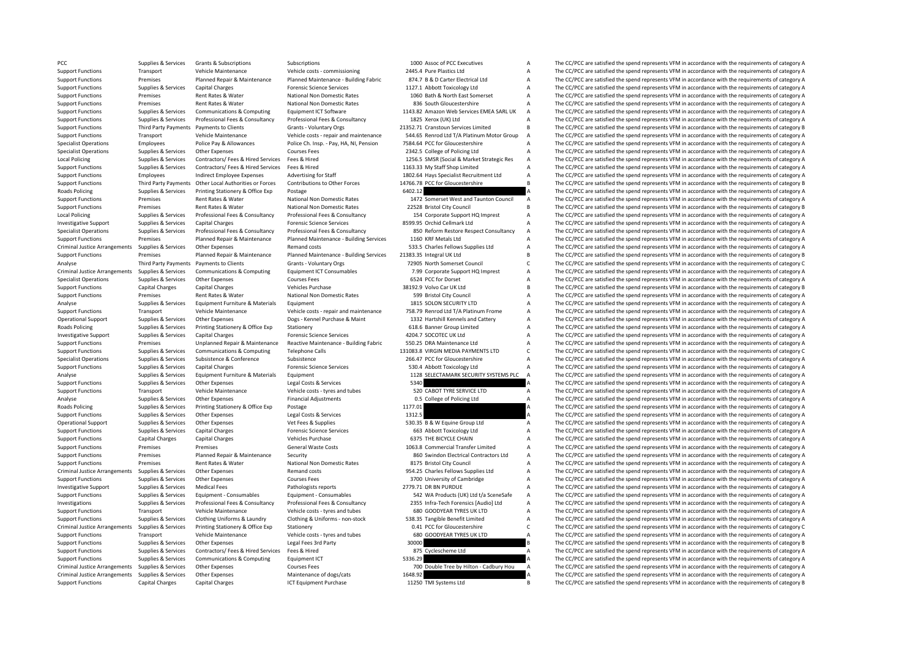|         | 1000 Assoc of PCC Executives               |                          |
|---------|--------------------------------------------|--------------------------|
|         | 2445.4 Pure Plastics Ltd                   | I                        |
|         | 874.7 B & D Carter Electrical Ltd          | l                        |
|         | 1127.1 Abbott Toxicology Ltd               |                          |
|         | 1060 Bath & North East Somerset            |                          |
|         | 836 South Gloucestershire                  |                          |
|         | 1143.82 Amazon Web Services EMEA SARL UK   |                          |
|         | 1825 Xerox (UK) Ltd                        |                          |
|         | 21352.71 Cranstoun Services Limited        |                          |
|         | 544.65 Renrod Ltd T/A Platinum Motor Group |                          |
|         | 7584.64 PCC for Gloucestershire            |                          |
|         | 2342.5 College of Policing Ltd             |                          |
|         | 1256.5 SMSR (Social & Market Strategic Res |                          |
|         | 1163.33 My Staff Shop Limited              | l                        |
|         | 1802.64 Hays Specialist Recruitment Ltd    |                          |
|         | 14766.78 PCC for Gloucestershire           | $\frac{1}{1}$            |
| 6402.12 |                                            | $\overline{\phantom{a}}$ |
|         | 1472 Somerset West and Taunton Council     | J                        |
|         | 22528 Bristol City Council                 | l                        |
|         | 154 Corporate Support HQ Imprest           |                          |
|         | 8599.95 Orchid Cellmark Ltd                |                          |
|         | 850 Reform Restore Respect Consultancy     |                          |
|         | 1160 KRF Metals Ltd                        |                          |
|         | 533.5 Charles Fellows Supplies Ltd         |                          |
|         | 21383.35 Integral UK Ltd                   |                          |
|         | 72905 North Somerset Council               | $\overline{\phantom{a}}$ |
|         |                                            |                          |
|         | 7.99 Corporate Support HQ Imprest          | $\frac{1}{2}$            |
|         | 6524 PCC for Dorset                        |                          |
|         | 38192.9 Volvo Car UK Ltd                   | l                        |
|         | 599 Bristol City Council                   |                          |
|         | 1815 SOLON SECURITY LTD                    |                          |
|         | 758.79 Renrod Ltd T/A Platinum Frome       |                          |
|         | 1332 Hartshill Kennels and Cattery         |                          |
|         | 618.6 Banner Group Limited                 |                          |
|         | 4204.7 SOCOTEC UK Ltd                      |                          |
|         | 550.25 DRA Maintenance Ltd                 |                          |
|         | 131083.8 VIRGIN MEDIA PAYMENTS LTD         |                          |
|         | 266.47 PCC for Gloucestershire             |                          |
|         | 530.4 Abbott Toxicology Ltd                | $\overline{1}$           |
|         | 1128 SELECTAMARK SECURITY SYSTEMS PLC      | $\overline{1}$           |
| 5340    |                                            | þ                        |
|         | 520 CABOT TYRE SERVICE LTD                 | Í                        |
|         | 0.5 College of Policing Ltd                | I                        |
| 1177.01 |                                            | $\overline{\phantom{a}}$ |
| 1312.5  |                                            |                          |
|         | 530.35 B & W Equine Group Ltd              |                          |
|         | 663 Abbott Toxicology Ltd                  | l                        |
|         | 6375 THE BICYCLE CHAIN                     |                          |
|         | 1063.8 Commercial Transfer Limited         |                          |
|         | 860 Swindon Electrical Contractors Ltd     |                          |
|         | 8175 Bristol City Council                  |                          |
|         | 954.25 Charles Fellows Supplies Ltd        |                          |
|         | 3700 University of Cambridge               |                          |
|         | 2779.71 DR BN PURDUE                       |                          |
|         | 542 WA Products (UK) Ltd t/a SceneSafe     |                          |
|         | 2355 Infra-Tech Forensics [Audio] Ltd      |                          |
|         | 680 GOODYEAR TYRES UK LTD                  |                          |
|         | 538.35 Tangible Benefit Limited            |                          |
|         | 0.41 PCC for Gloucestershire               | l                        |
|         | 680 GOODYEAR TYRES UK LTD                  | l                        |
| 30000   |                                            | ı                        |
|         | 875 Cyclescheme Ltd                        | I                        |
| 5336.29 |                                            | $\overline{\phantom{a}}$ |
|         | 700 Double Tree by Hilton - Cadbury Hou    | I                        |
| 1648.92 |                                            | Þ                        |
|         |                                            |                          |

PCC Supplies & Services Grants & Subscriptions Subscriptions Subscriptions and the COPC are satisfied the spend represents VFM in accordance with the requirements of category A The CC/PCC are satisfied the spend represents Support Functions Transport Vehicle Maintenance Vehicle costs - commissioning 2445.4 Pure Plastics Ltd A The CC/PCC are satisfied the spend represents VFM in accordance with the requirements of category A<br>Support Functions Support Functions Premises Planned Repair & Maintenance Planned Maintenance Building Fabric 874.7 B & D Carter Electrical Ltd A The CC/PCC are satisfied the spend represents VFM in accordance with the requirements of categ Support Functions Functions Science Services Capital Charges Capital Charges To Communicate Communicates of category A The CC/PCC are satisfied the spend represents VFM in accordance with the requirements of category A The Support Functions Premises Rent Rates & Water National Non Domestic Rates 1060 Bath & North East Somerset A The CC/PCC are satisfied the spend represents VFM in accordance with the requirements of category A Support Functions Premises Rent Rates & Water National Non Domestic Rates 836 South Gloucestershire A The CC/PCC are satisfied the spend represents VFM in accordance with the requirements of category A Support Functions Sc Supplies & Supplies & Services Communications & Computing Equipment ICT Software 1143.82 Amazon Web Services EMEA SARL UK A The CC/PCC are satisfied the spend represents VFM in accordance with the requirements of category The CC/PCC are satisfied the spend represents VFM in accordance with the requirements of category A Support Functions Third Party Payments Payments to Clients Grants - Voluntary Orgs 21352.71 Cranstoun Services Limited B The CC/PCC are satisfied the spend represents VFM in accordance with the requirements of category B Support Functions Transport Vehicle Maintenance Vehicle Costs - repair and maintenance 544.65 Renrod Ltd T/A Platinum Motor Group A The CC/PCC are satisfied the spend represents VFM in accordance with the requirements of c Specialist Operations Employees Police Pay & Allowances Police Ch. Insp. - Pay, HA, NI, Pension 7584.64 PCC for Gloucestershire ATHE CC/PCC are satisfied the spend represents VFM in accordance with the requirements of cate Other Expenses Courses Fees 2342.5 College of Policing Ltd A The CC/PCC are satisfied the spend represents VFM in accordance with the requirements of category A The CC/PCC are satisfied the spend represents VFM in accordan Local Policing Supplies & Services Contractors/Fees & Hired Services Fees & Hired Services Fees & Hired Services Fees & Hired Services Fees & Hired 1256.5 SMSR (Social & Market Strategic Res A The CC/PCC are satisfied the Support Functions Supplies & Services Contractors/ Fees & Hired Services Fees & Hired 1163.33 My Staff Shop Limited A The CC/PCC are satisfied the spend represents VFM in accordance with the requirements of category A Support Functions Employees Indirect Employee Expenses Advertising for Staff 1802.64 Hays Specialist Recruitment Ltd A The CC/PCC are satisfied the spend represents VFM in accordance with the requirements of category B<br>Sup Support Functions Third Party Payments Other Local Authorities or Forces Contributions to Other Forces 14766.78 PCC for Gloucestershire B The CC/PCC are satisfied the spend represents VFM in accordance with the requirement Printing Stationery & Office Exp Postage Printing Stationery & Office Exp Printing Stationery & Office Exp Postage 1971 A The CC/PCC are satisfied the spend represents VFM in accordance with the requirements of category A<br> Support Functions Premises Rent Rates & Water National Non Domestic Rates 1472 Somerset West and Taunton Council A The CC/PCC are satisfied the spend represents VFM in accordance with the requirements of category A Support Functions Premises Rent Rates & Water National Non Domestic Rates 22528 Bristol City Council B The CC/PCC are satisfied the spend represents VFM in accordance with the requirements of category B<br>Local Policing Supp Local Policing Supplies & Services Professional Fees & Consultancy Professional Fees & Consultancy Professional Fees & Consultancy Supplies & Consultancy 154 Corporate Support HQ Imprest A The CC/PCC are satisfied the spen The CC/PCC are satisfied the spend represents VFM in accordance with the requirements of category A Supplies & Services Professional Fees & Consultancy Professional Fees & Consultancy Professional Fees & Consultancy<br>Support Functions Premises Planned Renair & Maintenance Planned Maintenance Building Services 1160 KBF Met Support Functions Premises Planned Repair & Maintenance Planned Maintenance - Building Services 1160 KRF Metals Ltd A The CC/PCC are satisfied the spend represents VFM in accordance with the requirements of category A Crim Criminal Justice Arrangements Supplies & Services Other Expenses Remand costs Remand costs Supplies Expendies Remand costs 533.5 Charles Fellows Supplies Ltd A The CC/PCC are satisfied the spend represents VFM in accordanc The CC/PCC are satisfied the spend represents VFM in accordance with the requirements of category B Analyse Third Party Payments Payments Payments Oclients Grants - Voluntary Orgs 72905 North Somerset Council C The CC/PCC are satisfied the spend represents VFM in accordance with the requirements of category C Criminal lu Equipment ICT Consumables **1.99** Corporate Support HQ Imprest<br>Courses Fees experiments of category A The CC/PCC are satisfied the spend represents VFM in accordance with the requirements of category A The CC/PCC are satisf Specialist Operations Supplies & Services Other Expenses Courses Fees 6524 PCC for Dorset A The CC/PCC are satisfied the spend represents VFM in accordance with the requirements of category A Vehicle Burshace Managements o Support Functions Capital Charges Capital Charges Capital Charges Vehicles Purchase 38192.9 Volvo Car UK Ltd B The CC/PCC are satisfied the spend represents VFM in accordance with the requirements of category B National No Experiments of category and the CC/PCC are satisfied the spend represents VFM in accordance with the requirements of category A Support Functions Premises Rent Rates Rent Rates Are and Non Domestic Rates 599 Bristol City C Analyse Supplies & Services Equipment Furniture & Materials Equipment 1815 SOLON SECURITY LTD A The CC/PCC are satisfied the spend represents VFM in accordance with the requirements of category A Support Functions Transport Vehicle Maintenance Vehicle costs - repair and maintenance 758.79 Renrod Ltd T/A Platinum Frome A The CC/PCC are satisfied the spend represents VFM in accordance with the requirements of categor Operational Support Supplies & Services Other Expenses Dogs - Kennel Purchase & Maint 1332 Hartshill Kennels and Cattery A The CC/PCC are satisfied the spend represents VFM in accordance with the requirements of category A Roads Policing Supplies & Services Printing Stationery & Office Exp Stationery 618.6 Banner Group Limited A The CC/PCC are satisfied the spend represents VFM in accordance with the requirements of category A Investigative Support Supplies & Services Capital Charges Forensic Science Services 4204.7 SOCOTEC UK Ltd A The CC/PCC are satisfied the spend represents VFM in accordance with the requirements of category A Support Functi Support Functions Premises Unplanned Repair & Maintenance Reactive Maintenance - Building Fabric 550.25 DRA Maintenance Ltd A The CC/PCC are satisfied the spend represents VFM in accordance with the requirements of categor The CC/PCC are satisfied the spend represents VFM in accordance with the requirements of category C Specialist Operations Supplies & Services Subsistence Subsistence Subsistence Subsistence 266.47 PCC for Gloucestershire A The CC/PCC are satisfied the spend represents VFM in accordance with the requirements of category A Support Functions Supplies & Services Capital Charges Capital Charges Forensic Science Services 530.4 Abbott Toxicology Ltd A The CC/PCC are satisfied the spend represents VFM in accordance with the requirements of categor Analysis Supplies & Services Equipment Furniture & Materials Equipment Equipment 1128 SELECTAMARK SECURITY SYSTEMS PLC A The CC/PCC are satisfied the spend represents VFM in accordance with the requirements of category A S Support Functions Supplies & Services Other Expenses Legal Costs & Services 5340 A The CC/PCC are satisfied the spend represents VFM in accordance with the requirements of category A Support Functions Transport Vehicle Maintenance Vehicle costs - tyres and tubes 520 CABOT TYRE SERVICE LTD A The CC/PCC are satisfied the spend represents VFM in accordance with the requirements of category A The CABOT TYR Analyse Supplies & Services Other Expenses Financial Adjustments Financial Adjustments College of Policing Ltd A The CC/PCC are satisfied the spend represents VFM in accordance with the requirements of category A Reads Pol Supplies & Services Printing Stationery & Office Exp Postage 1177.01 1177.01 1177.01 A The CC/PCC are satisfied the spend represents VFM in accordance with the requirements of category A Support Functions Supplies & Services Other Expenses Legal Costs & Services 1312.5 A The CC/PCC are satisfied the spend represents VFM in accordance with the requirements of category A Coerational Support Support Support S Operational Support Supplies & Services Other Expenses Vet Fees & Supplies Vet Fees & Supplies Supplies Supplies 530.35 B & W Equine Group Ltd A The CC/PCC are satisfied the spend represents VFM in accordance with the requ The CC/PCC are satisfied the spend represents VFM in accordance with the requirements of category A Support Functions Capital Charges Capital Charges Vehicles Purchase Capital Charges Vehicles Purchase Capital Charges Vehicles Purchase 6375 THE BICYCLE CHAIN A The CC/PCC are satisfied the spend represents VFM in accordan Support Functions Support Premises Premises Premises Premiers Connects Contracts Contracts 1063.8 Commercial Transfer Limited A The CC/PCC are satisfied the spend represents VFM in accordance with the requirements of categ Support Functions Premises Planned Repair & Maintenance Security 860 Swindon Electrical Contractors Ltd A The CC/PCC are satisfied the spend represents VFM in accordance with the requirements of category A Support Functions Premises Premises Rent Rates & Water National Non Domestic Rates 8175 Bristol City Council A The CC/PCC are satisfied the spend represents VFM in accordance with the requirements of category A Criminal Ju Criminal Justice Arrangements Supplies & Services Other Expenses Remand costs Remand costs 954.25 Charles Fellows Supplies Ltd A The CC/PCC are satisfied the spend represents VFM in accordance with the requirements of cate The CC/PCC are satisfied the spend represents VFM in accordance with the requirements of category A Investigative Support Supplies & Services Medical Fees Pathologists reports 2779.71 DR BN PURDUE A The CC/PCC are satisfied the spend represents VFM in accordance with the requirements of category A<br>Support Functions Suppo Support Functions Supplies & Services Equipment Consumables Equipment Consumables Equipment Consumables Equipment Consumables (Support Function Support A The CC/PCC are satisfied the spend represents VFM in accordance with Investigations Supplies & Services Professional Fees & Consultancy Professional Fees & Consultancy Professional Fees & Consultancy Supplies & Service Professional Fees & Consultancy Professional Fees & Consultancy 2355 Inf Transport Vehicle Maintenance Vehicle costs - tyres and tubes 680 GOODYEAR TYRES UK LTD A The CC/PCC are satisfied the spend represents VFM in accordance with the requirements of category A Supplies & Services Clothing Uniforms & Laundry Clothing & Uniforms - non-stock 538.35 Tangible Benefit Limited A The CC/PCC are satisfied the spend represents VFM in accordance with the requirements of category A Criminal Criming Stationery & Office Exp Stationery Stationery Stationery Stationery Stationery Stationery of Stationer<br>
Vehicle Octor Criminal Arrangements of category A The CC/PCC are satisfied the spend represents VFM in accorda Support Functions Transport Vehicle Maintenance Vehicle costs - tyres and tubes 680 GOODYEAR TYRES UK LTD A The CC/PCC are satisfied the spend represents VFM in accordance with the requirements of category A Support Functions Supplies & Services Other Expenses Legal Fees 3rd Party 30000 30000 B The CC/PCC are satisfied the spend represents VFM in accordance with the requirements of category B Support Functions Supplies & Services Contractors/ Fees & Hired Services Fees & Hired Services Fees & Hired 875 Cyclescheme Ltd A The CC/PCC are satisfied the spend represents VFM in accordance with the requirements of cat Support Functions Supplies & Services Communications & Computing Equipment ICT 5336.29 A The CC/PCC are satisfied the spend represents VFM in accordance with the requirements of category A Criminal Justice Arrangements Supplies & Services Other Expenses Courses Fees 700 Double Tree by Hilton - Cadbury Hou A The CC/PCC are satisfied the spend represents VFM in accordance with the requirements of category A Cr Criminal Justice Arrangements of dogs/cats arrangements of category A The CC/PCC are satisfied the spend represents VFM in accordance with the requirements of category A Support Functions Capital Charges Capital Charges ICT Foulyoment Purchase 11250 TMI Systems Ltd B The CC/PCC are satisfied the spend represents VFM in accordance with the requirements of category B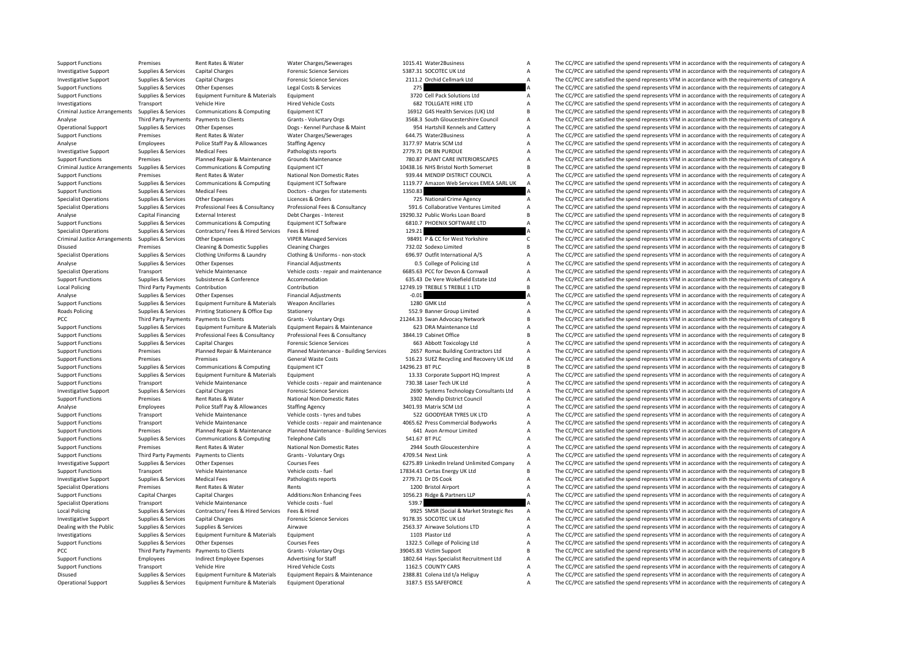|                 | 1015.41 Water2Business                               | А      |
|-----------------|------------------------------------------------------|--------|
|                 | 5387.31 SOCOTEC UK Ltd                               | A      |
|                 | 2111.2 Orchid Cellmark Ltd                           | A      |
| 275             |                                                      | A      |
|                 | 3720 Cell Pack Solutions Ltd                         | A      |
|                 | 682 TOLLGATE HIRE LTD                                | A      |
|                 | 16912 G4S Health Services (UK) Ltd                   | B      |
|                 | 3568.3 South Gloucestershire Council                 | A      |
|                 | 954 Hartshill Kennels and Cattery                    | A      |
|                 |                                                      |        |
|                 | 644.75 Water2Business                                | A      |
|                 | 3177.97 Matrix SCM Ltd                               | A      |
|                 | 2779.71 DR BN PURDUE                                 | A      |
|                 | 780.87 PLANT CARE INTERIORSCAPES                     | A      |
|                 | 10438.16 NHS Bristol North Somerset                  | B      |
|                 | 939.44 MENDIP DISTRICT COUNCIL                       | A      |
|                 | 1119.77 Amazon Web Services EMEA SARL UK             | A      |
| 1350.83         |                                                      | A      |
|                 | 725 National Crime Agency                            | A      |
|                 | 591.6 Collaborative Ventures Limited                 | A      |
|                 | 19290.32 Public Works Loan Board                     | B      |
|                 | 6810.7 PHOENIX SOFTWARE LTD                          | A      |
| 129.21          |                                                      | A      |
|                 | 98491 P & CC for West Yorkshire                      | Ċ      |
|                 | 732.02 Sodexo Limited                                | B      |
|                 | 696.97 Outfit International A/S                      | A      |
|                 | 0.5 College of Policing Ltd                          | A      |
|                 | 6685.63 PCC for Devon & Cornwall                     | A      |
|                 | 635.43 De Vere Wokefield Estate Ltd                  | A      |
|                 | 12749.19 TREBLE 5 TREBLE 1 LTD                       | B      |
| $-0.01$         |                                                      | A      |
|                 | 1280 GMK Ltd                                         | А      |
|                 | 552.9 Banner Group Limited                           | A      |
|                 | 21244.33 Swan Advocacy Network                       | B      |
|                 | 623 DRA Maintenance Ltd                              | A      |
|                 | 3844.19 Cabinet Office                               | B      |
|                 | 663 Abbott Toxicology Ltd                            |        |
|                 | 2657 Romac Building Contractors Ltd                  | Α<br>А |
|                 |                                                      |        |
| 14296.23 BT PLC | 516.23 SUEZ Recycling and Recovery UK Ltd            | A<br>B |
|                 |                                                      |        |
|                 | 13.33 Corporate Support HQ Imprest                   |        |
|                 |                                                      | A      |
|                 | 730.38 Laser Tech UK Ltd                             | A      |
|                 | 2690 Systems Technology Consultants Ltd              | A      |
|                 | 3302 Mendip District Council                         | A      |
|                 | 3401.93 Matrix SCM Ltd                               | A      |
|                 | 522 GOODYEAR TYRES UK LTD                            | A      |
|                 | 4065.62 Press Commercial Bodyworks                   | A      |
|                 | 641 Avon Armour Limited                              | А      |
| 541.67 BT PLC   |                                                      | A      |
|                 | 2944 South Gloucestershire                           | A      |
|                 | 4709.54 Next Link                                    | A      |
|                 | 6275.89 LinkedIn Ireland Unlimited Company           | A      |
|                 | 17834.43 Certas Energy UK Ltd                        | B      |
|                 | 2779.71 Dr DS Cook                                   | A      |
|                 | 1200 Bristol Airport                                 | А      |
|                 |                                                      |        |
| 539.7           | 1056.23 Ridge & Partners LLP                         | A<br>A |
|                 | 9925 SMSR (Social & Market Strategic Res             | А      |
|                 | 9178.35 SOCOTEC UK Ltd                               | A      |
|                 |                                                      | А      |
|                 | 2563.37 Airwave Solutions LTD<br>1103 Plastor Ltd    | A      |
|                 |                                                      | А      |
|                 | 1322.5 College of Policing Ltd                       | B      |
|                 | 39045.83 Victim Support                              |        |
|                 | 1802.64 Hays Specialist Recruitment Ltd              | А<br>A |
|                 | 1162.5 COUNTY CARS<br>2388.81 Colena Ltd t/a Heliguy | A      |

Support Functions Premises Rent Rates & Water Water Charges/Sewerages 1015.41 Water2Business A The CC/PCC are satisfied the spend represents VFM in accordance with the requirements of category A Investigative Support Supplies & Services Capital Charges **Category A** Forensic Science Services 5387.31 SOCOTEC UK Ltd A The CC/PCC are satisfied the spend represents VFM in accordance with the requirements of category A Investigative Support Supplies & Services Capital Charges **Capital Charges Forensic Science Services** 2111.2 Orchid Cellmark Ltd A The CC/PCC are satisfied the spend represents VFM in accordance with the requirements of ca Support The CC/PCC are satisfied the spend represents VFM in accordance with the requirements of category A The CC/PCC are satisfied the spend represents VFM in accordance with the requirements of category A The CC/PCC are Support Functions Supplies & Services Equipment Furniture & Materials Equipment 3720 Cell Pack Solutions Ltd A The CC/PCC are satisfied the spend represents VFM in accordance with the requirements of category A Investigations Transport Vehicle Hire Vehicle Hire Hired Vehicle Costs Hired Vehicle Costs and the Mired Vehicle Costs and the COVEC are satisfied the spend represents VFM in accordance with the requirements of category A Criminal Justice Arrangements Supplies & Services Communications & Computing Equipment ICT 16912 G4S Health Services (UK) Ltd B The CC/PCC are satisfied the spend represents VFM in accordance with the requirements of categ The CC/PCC are satisfied the spend represents VFM in accordance with the requirements of category A Operational Support Supplies & Services Other Expenses Dogs - Kennel Purchase & Maint 954 Hartshill Kennels and Cattery A The CC/PCC are satisfied the spend represents VFM in accordance with the requirements of category A Support Functions Premises Rent Rates & Water Water Charges/Sewerages 644.75 Water 2Business A The CC/PCC are satisfied the spend represents VFM in accordance with the requirements of category A Charges/Sewerages Staffine Analyse Employees Police Staff Pay & Allowances Staffing Agency 3177.97 Matrix SCM Ltd A The CC/PCC are satisfied the spend represents VFM in accordance with the requirements of category A The Creatisfied the spend represe Nedical Fees Pathologists reports 2779.71 DR BN PURDUE A The CC/PCC are satisfied the spend represents VFM in accordance with the requirements of category A<br>Planned Renair & Maintenance Grounds Maintenance 780.87 PLANT CA Support Functions Premises Planned Repair & Maintenance Grounds Maintenance 780.87 PLANT CARE INTERIORSCAPES A The CC/PCC are satisfied the spend represents VFM in accordance with the requirements of category A Criminal lu The CC/PCC are satisfied the spend represents VEM in accordance with the requirements of category B Support Functions Premises Rent Rates & Water National Non Domestic Rates 939.44 MENDIP DISTRICT COUNCIL A The CC/PCC are satisfied the spend represents VFM in accordance with the requirements of category A<br>Support Functio Supplies & Services Communications & Computing Equipment ICT Software 1119.77 Amazon Web Services EMEA SARL UK A The CC/PCC are satisfied the spend represents VFM in accordance with the requirements of category A Cunnor Eq Support Functions Supplies Act The CC/PCC are satisfied the spend represents VFM in accordance with the requirements of category A The CC/PCC are satisfied the spend represents VFM in accordance with the requirements of ca Specialist Operations Supplies & Services Other Expenses Licences & Orders 225 National Crime Agency A The CC/PCC are satisfied the spend represents VFM in accordance with the requirements of category A Supplies & Services Professional Fees & Consultancy Professional Fees & Consultancy Professional Fees & Consultancy S91.6 Collaborative Ventures Limited A The CC/PCC are satisfied the spend represents VFM in accordance wit Analyse Capital Financing External Interest Debt Charges - Interest 19290.32 Public Works Loan Board B The CC/PCC are satisfied the spend represents VFM in accordance with the requirements of category B Sunnort Loan Board Support Functions Supplies Area Services Computing Inc.<br>The CC/PCC are satisfied the spend represents VFM in accordance with the requirements of category A Specialist Operations Supplies & Services Contractors/ Fees & Hired Services Fees & Hired 129.21 A The CC/PCC are satisfied the spend represents VFM in accordance with the requirements of category A Criminal lustice Arrang Criminal Justice Arrangements Supplies & Services Other Expenses VIPER Managed Services 98491 P & CC for West Yorkshire C The CC/PCC are satisfied the spend represents VFM in accordance with the requirements of category C Disused Premises Cleaning & Domestic Supplies Cleaning Charges 732.02 Sodexo Limited B The CC/PCC are satisfied the spend represents VFM in accordance with the requirements of category B 752.02 Sodexo Limited B 732.02 Sode Supplies & Services Clothing Uniforms & Laundry Clothing & Uniforms - non-stock 696.97 Outfit International A/S<br>Supplies & Services Other Evenences Change of Policing the CLOU a The CC/PCC are satisfied the spend represent Analyse Supplies & Services Other Expenses Financial Adjustments College of Policing Ltd A The CC/PCC are satisfied the spend represents VFM in accordance with the requirements of category A Service Webliche Maintenance Ve Vehicle costs - repair and maintenance 6685.63 PCC for Devon & Cornwall Communical CACC/PCC are satisfied the spend represents VFM in accordance with the requirements of category A<br>Accommodation correlation of astegory A T Support Functions Supplies & Services Subsistence & Conference Accommodation 635.43 De Vere Wokefield Estate Ltd A The CC/PCC are satisfied the spend represents VFM in accordance with the requirements of category A Confere Third Party Payments Contribution Contribution Contribution 12749.19 TREBLE 5 TREBLE 1 LTD B The CC/PCC are satisfied the spend represents VFM in accordance with the requirements of category B 12749.19 TREBLE 5 TREBLE 1 LT Analyse Supplies & Services Other Expenses Financial Adjustments Financial Adjustments -0.01 A The CC/PCC are satisfied the spend represents VFM in accordance with the requirements of category A<br>Support Functions - Supplie Support Functions Supplies & Services Equipment Furniture & Materials Weapon Ancillaries 1280 GMK Ltd A The CC/PCC are satisfied the spend represents VFM in accordance with the requirements of category A Roads Policing Supplies & Services Printing Stationery & Office Exp Stationery 552.9 Banner Group Limited A The CC/PCC are satisfied the spend represents VFM in accordance with the requirements of category A PCC Third Party Payments Payments of Clients Grants - Voluntary Orgs 21244.33 Swan Advocacy Network B The CC/PCC are satisfied the spend represents VFM in accordance with the requirements of category B Support Functions Su Supplies & Services Foujoment Furniture & Materials Foujoment Repairs & Maintenance Materials Foujoment Repairs & Materials Repairs & Materials Repairs & Materials Repairs & Materials Repairs & Materials Repairs & Material Support Functions Supplies & Services Professional Fees & Consultancy Professional Fees & Consultancy Professional Fees & Consultancy Professional Fees & Consultancy 3844.19 Cabinet Office The CC/PCC are satisfied the spen Support Functions Supplies & Services Capital Charges Analotate Services Forensic Science Services 663 Abbott Toxicology Ltd A The CC/PCC are satisfied the spend represents VFM in accordance with the requirements of catego The CC/PCC are satisfied the spend represents VFM in accordance with the requirements of category A Support Functions Premises Premises Premises Premises General Waste Costs 516.23 SUEZ Recycling and Recovery UK Ltd A The CC/PCC are satisfied the spend represents VFM in accordance with the requirements of category A Supp Support Functions Supplies & Services Communications & Computing Equipment ICT 14296.23 BTPLC B The CC/PCC are satisfied the spend represents VFM in accordance with the requirements of category B<br>Support Functions Supplies Support Functions Support Functions Supplies Telecomes A The CC/PCC are satisfied the spend represents VFM in accordance with the requirements of category A 13.33 Corporate Support HQ Imprest A The CC/PCC are satisfied the Support Functions Transport Vehicle Maintenance Vehicle costs - repair and maintenance 730.38 Laser Tech UK Ltd A The CC/PCC are satisfied the spend represents VFM in accordance with the requirements of category A Investigative Support Supplies & Services Capital Charges Process Forensic Science Services 2690 Systems Technology Consultants Ltd A The CC/PCC are satisfied the spend represents VFM in accordance with the requirements of Rent Rates & Water Mational Non Domestic Rates 3302 Mendip District Council A The CC/PCC are satisfied the spend represents VFM in accordance with the requirements of category A<br>Police Staff Dave and the requirements of ca Analyse Employees Police Staff Pay & Allowances Staffing Agency 3401.93 Matrix SCM Itd A The CC/PCC are satisfied the spend represents VFM in accordance with the requirements of category A Support Functions Transport Vehicle Maintenance Vehicle costs - tyres and tubes 522 GOODYEAR TYRES UK LTD A The CC/PCC are satisfied the spend represents VFM in accordance with the requirements of category A Support Functi Support Functions Transport Vehicle Maintenance Vehicle costs - repair and maintenance 4065.62 Press Commercial Bodyworks A The CC/PCC are satisfied the spend represents VFM in accordance with the requirements of category Premises Planned Repair & Maintenance Planned Maintenance - Building Services 641 Avon Armour Limited A The CC/PCC are satisfied the spend represents VFM in accordance with the requirements of category A Support Functions Supplies & Services Communications & Computing Telephone Calls 541.67 BT PLC 541.67 BT PLC A The CC/PCC are satisfied the spend represents VFM in accordance with the requirements of category A Support Functions Premises Rent Rates & Water National Non Domestic Rates 2944 South Gloucestershire A The CC/PCC are satisfied the spend represents VFM in accordance with the requirements of category A Support Functions Third Party Payments Payments to Clients Grants - Voluntary Orgs 4709.54 Next Link A The CC/PCC are satisfied the spend represents VFM in accordance with the requirements of category A Investigative Support Supplies & Services Other Expenses Courses Fees Courses Fees 6275.89 LinkedIn Ireland Unlimited Company A The CC/PCC are satisfied the spend represents VFM in accordance with the requirements of categ Support Functions Transport Vehicle Maintenance Vehicle costs - fuel 17834.43 Certas Energy UK Ltd B The CC/PCC are satisfied the spend represents VFM in accordance with the requirements of category B Pathologists reports The CC/PCC are satisfied the spend represents VFM in accordance with the requirements of category A Specialist Operations Premises Rent Rates & Water Rents Rents Rents Rents Rents Rents Rent Rents Rent Rents Rent<br>Annont Functions A Capital Charges Capital Charges Additions: Non Enhancing Fees 1056.23 Ridge & Partners LLP Support Functions Capital Charges Capital Charges Additions:Non Enhancing Fees 1056.23 Ridge & Partners LLP A The CC/PCC are satisfied the spend represents VFM in accordance with the requirements of category A Secialist Op Specialist Operations Transport Vehicle Maintenance Vehicle costs - fuel 539.7 Sections Unit of CONCC are satisfied the spend represents VFM in accordance with the requirements of category A Specialist Operations of catego Local Policing Suppliers & Services Contractors/ Fees & Hired Services Fees & Hired Services Fees & Hired Services Fees & Hired Services Fees & Hired 9925 SMSR (Social & Market Strategic Res A The CC/PCC are satisfied the Investigative Support Supplies & Services Capital Charges Forensic Science Services Forensic Science Services 9178.35 SOCOTEC UK Ltd A The CC/PCC are satisfied the spend represents VFM in accordance with the requirements o Dealing with the Public Supplies & Services Supplies & Services Airwave Airwave Airwave 2563.37 Airwave Solutions LTD A The CC/PCC are satisfied the spend represents VFM in accordance with the requirements of category A<br>
1 The CC/PCC are satisfied the spend represents VFM in accordance with the requirements of category A Support Functions Supplies & Services Other Expenses Courses Fees Courses Fees 1322.5 College of Policing Ltd A The CC/PCC are satisfied the spend represents VFM in accordance with the requirements of category A PCC Third Party Payments Payments of Category B Grants - Voluntary Orgs 39045.83 Victim Support B The CC/PCC are satisfied the spend represents VFM in accordance with the requirements of category B Support Bubble Support B Employees Indirect Employee Expenses Advertising for Staff 1802.64 Hays Specialist Recruitment Ltd A The CC/PCC are satisfied the spend represents VFM in accordance with the requirements of category A Support Functions Transport Vehicle Hire Hire Hired Vehicle Costs Hired Vehicle Costs 1162.5 COUNTY CARS A The CC/PCC are satisfied the spend represents VFM in accordance with the requirements of category A The Criteria an Disused Supplies & Services Equipment Furniture & Materials Equipment Repairs & Maintenance 2388.81 Colena Ltd t/a Heliguy A The CC/PCC are satisfied the spend represents VEM in accordance with the requirements of category Operational Support Supplies & Services Equipment Furniture & Materials Equipment Operational 3187.5 ESS SAFEFORCE A The CC/PCC are satisfied the spend represents VFM in accordance with the requirements of category A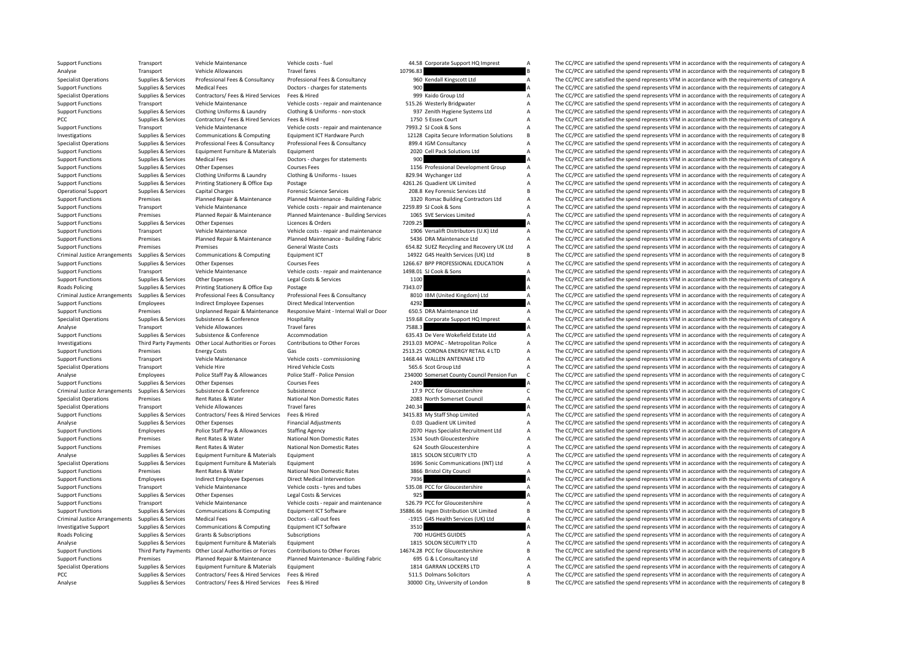|          | 44.58 Corporate Support HQ Imprest         |
|----------|--------------------------------------------|
| 10796.83 |                                            |
|          | 960 Kendall Kingscott Ltd                  |
| 900      |                                            |
|          | 999 Kaido Group Ltd                        |
|          | 515.26 Westerly Bridgwater                 |
|          | 937 Zenith Hygiene Systems Ltd             |
|          | 1750 5 Essex Court                         |
|          | 7993.2 SJ Cook & Sons                      |
|          | 12128 Capita Secure Information Solutions  |
|          |                                            |
|          | 899.4 IGM Consultancy                      |
|          | 2020 Cell Pack Solutions Ltd               |
| 900      |                                            |
|          | 1156 Professional Development Group        |
|          | 829.94 Wychanger Ltd                       |
|          | 4261.26 Quadient UK Limited                |
|          | 208.8 Key Forensic Services Ltd            |
|          | 3320 Romac Building Contractors Ltd        |
|          | 2259.89 SJ Cook & Sons                     |
|          | 1065 SVE Services Limited                  |
| 7209.25  |                                            |
|          | 1906 Versalift Distributors (U.K) Ltd      |
|          | 5436 DRA Maintenance Ltd                   |
|          | 654.82 SUEZ Recycling and Recovery UK Ltd  |
|          |                                            |
|          | 14922 G4S Health Services (UK) Ltd         |
|          | 1266.67 BPP PROFESSIONAL EDUCATION         |
|          | 1498.01 SJ Cook & Sons                     |
| 1100     |                                            |
| 7343.07  |                                            |
|          | 8010 IBM (United Kingdom) Ltd              |
| 4292     |                                            |
|          | 650.5 DRA Maintenance Ltd                  |
|          | 159.68 Corporate Support HQ Imprest        |
| 7588.3   |                                            |
|          | 635.43 De Vere Wokefield Estate Ltd        |
|          | 2913.03 MOPAC - Metropolitan Police        |
|          | 2513.25 CORONA ENERGY RETAIL 4 LTD         |
|          | 1468.44 WALLEN ANTENNAE LTD                |
|          | 565.6 Scot Group Ltd                       |
|          |                                            |
|          |                                            |
|          | 234000 Somerset County Council Pension Fun |
| 2400     |                                            |
|          | 17.9 PCC for Gloucestershire               |
|          | 2083 North Somerset Council                |
| 240.34   |                                            |
|          | 3415.83 My Staff Shop Limited              |
|          | 0.03 Quadient UK Limited                   |
|          | 2070 Hays Specialist Recruitment Ltd       |
|          | 1534 South Gloucestershire                 |
|          | 624 South Gloucestershire                  |
|          | 1815 SOLON SECURITY LTD                    |
|          |                                            |
|          | 1696 Sonic Communications (INT) Ltd        |
|          | 3866 Bristol City Council                  |
| 7936     |                                            |
|          | 535.08 PCC for Gloucestershire             |
| 925      |                                            |
|          | 526.79 PCC for Gloucestershire             |
|          | 35886.66 Ingen Distribution UK Limited     |
|          | -1915 G4S Health Services (UK) Ltd         |
| 3510     |                                            |
|          | 700 HUGHES GUIDES                          |
|          | 1815 SOLON SECURITY LTD                    |
|          | 14674.28 PCC for Gloucestershire           |
|          | 695 G & L Consultancy Ltd                  |
|          | 1814 GARRAN LOCKERS LTD                    |
|          | 511.5 Dolmans Solicitors                   |

Support Functions Transport Vehicle Maintenance Vehicle costs - fuel 44.58 Corporate Support HQ Imprest A The CC/PCC are satisfied the spend represents VFM in accordance with the requirements of category A The Almost Trans Analyse Transport Vehicle Allowances Travel fares Travel fares 10796.83 B The CC/PCC are satisfied the spend represents VFM in accordance with the requirements of category B<br>Superialist Operations Supplies & Services Profe Supplies & Services Professional Fees & Consultancy Professional Fees & Consultancy Consultancy Professional Fees & Consultancy Professional Fees & Consultancy 960 Kendall Kingscott Ltd A The CC/PCC are satisfied the spend The CC/PCC are satisfied the spend represents VFM in accordance with the requirements of category A Specialist Operations Supplies & Services Contractors/ Fees & Hired Services Fees & Hired 999 Kaido Group Ltd A The CC/PCC are satisfied the spend represents VFM in accordance with the requirements of category A Support Functions Transport Vehicle Maintenance Vehicle costs - repair and maintenance 515.26 Westerly Bridgwater A The CC/PCC are satisfied the spend represents VFM in accordance with the requirements of category A Suppor Support Functions Supplies & Services Clothing Uniforms & Laundry Clothing & Uniforms - non-stock 937 Zenith Hygiene Systems Ltd A The CC/PCC are satisfied the spend represents VFM in accordance with the requirements of ca PCC Supplies & Services Contractors/ Fees & Hired Services Fees & Hired 1750 5 Essex Court A The CC/PCC are satisfied the spend represents VFM in accordance with the requirements of category A Support Functions Transport Vehicle Maintenance Vehicle costs - repair and maintenance 7993.2 SJ Cook & Sons A The CC/PCC are satisfied the spend represents VFM in accordance with the requirements of category A Investigati Investigations Supplies & Services Communications & Computing Equipment ICT Hardware Purch 12128 Capita Secure Information Solutions B The CC/PCC are satisfied the spend represents VFM in accordance with the requirements o Supplies & Services Professional Fees & Consultancy Professional Fees & Consultancy and the CONSULTANCY CONSULTANCY CONSULTANCY CONSULTANCY THE CORPORT THE CORPORT SUPPORT OF THE OCLYPCC are satisfied the spend represents The CC/PCC are satisfied the spend represents VFM in accordance with the requirements of category A Support Functions Supplies & Services Medical Fees Doctors - charges for statements 900 A The CC/PCC are satisfied the spend represents VFM in accordance with the requirements of category A Support Functions Support Functi Support Functions Supplies & Services Other Expenses Courses Courses Fees 1156 Professional Development Group A The CC/PCC are satisfied the spend represents VFM in accordance with the requirements of category A Support Fu Support Functions Supplies & Services Clothing Uniforms & Laundry Clothing & Uniforms - Issues 829.94 Wychanger Ltd A The CC/PCC are satisfied the spend represents VFM in accordance with the requirements of category A Supp Support Functions Supplies & Services Printing Stationery & Office Exp Postage Postage and A 4261.26 Quadient UK Limited A The CC/PCC are satisfied the spend represents VFM in accordance with the requirements of category A Capital Charges Support Support Support Capital Charges Capital Charges Capital Charges Capital Charges Forensic Services 208.8 Key Forensic Services Ltd B The CC/PCC are satisfied the spend represents VFM in accordance wi Support Functions Premises Planned Repair & Maintenance Planned Maintenance Building Fabric 3320 Romac Building Contractors Ltd A The CC/PCC are satisfied the spend represents VFM in accordance with the requirements of cat Support Functions Transport Vehicle Maintenance Vehicle costs - repair and maintenance 2259.89 SJ Cook & Sons A The CC/PCC are satisfied the spend represents VFM in accordance with the requirements of category A Support Functions Premises Planned Repair & Maintenance Planned Maintenance - Building Services 1065 SVE Services Limited A The CC/PCC are satisfied the spend represents VFM in accordance with the requirements of category Support Functions Supplies A The CC/PCC are satisfied the spend represents VFM in accordance with the requirements of category A Support Functions Transport Vehicle Maintenance Vehicle Costs - repair and maintenance 1906 Versalift Distributors (U.K) Ltd A The CC/PCC are satisfied the spend represents VFM in accordance with the requirements of catego Support Functions Premises Planned Repair & Maintenance Planned Maintenance - Building Fabric 5436 DRA Maintenance Ltd A The CC/PCC are satisfied the spend represents VFM in accordance with the requirements of category A S Support Functions Premises Premises Premises Premises Connunications & Communications & Communications & Communications & Communications & Communications A Communications Communications and Equipment ICT Costs and the Supp The CC/PCC are satisfied the spend represents VFM in accordance with the requirements of category B Support Functions Supplies & Services Other Expenses Courses Fees 2266.67 BPP PROFESSIONAL EDUCATION A The CC/PCC are satisfied the spend represents VFM in accordance with the requirements of category A<br>Support Functions T Support Functions Transport Vehicle Maintenance Vehicle costs - repair and maintenance 1498.01 SJ Cook & Sons A The CC/PCC are satisfied the spend represents VFM in accordance with the requirements of category A Support Functions Supplies & Services Other Expenses Legal Costs & Services 1100 1100 A The CC/PCC are satisfied the spend represents VFM in accordance with the requirements of category A<br>Roads Policing Supplies & Services Roads Policing Supplies & Services Printing Stationery & Office Exp Postage Postage 7343.07 a The CC/PCC are satisfied the spend represents VFM in accordance with the requirements of category A Criminal Justice Arrangement A The CC/PCC are satisfied the spend represents VFM in accordance with the requirements of category A<br>A The CC/PCC are satisfied the spend represents VFM in accordance with the requirements of category A Support Functions Employees Indirect Employee Expenses Direct Medical Intervention 4292 A The CC/PCC are satisfied the spend represents VFM in accordance with the requirements of category A<br>Support Functions Premises Unpla Support Functions Premises Unplanned Repair & Maintenance Responsive Maint - Internal Wall or Door 650.5 DRA Maintenance Ltd A The CC/PCC are satisfied the spend represents VFM in accordance with the requirements of catego Supplies & Services Subsistence & Conference Hospitality 159.68 Corporate Support HQ Imprest A The CC/PCC are satisfied the spend represents VFM in accordance with the requirements of category A Analyse Transport Vehicle Allowances Travel fares Travel fares 7588.3 The CC/PCC are satisfied the spend represents VFM in accordance with the requirements of category A Support Functions Supplies & Services Subsistence & Conference Accommodation Accommodation 635.43 De Vere Wokefield Estate Ltd A The CC/PCC are satisfied the spend represents VFM in accordance with the requirements of cate Investigations Third Party Payments Other Local Authorities or Forces Contributions to Other Forces 2913.03 MOPAC - Metropolitan Police A The CC/PCC are satisfied the spend represents VFM in accordance with the requirement Premises Energy Costs Costs Gas CORONA ENERGY RETAIL 4 LTD A The CC/PCC are satisfied the spend represents VFM in accordance with the requirements of category A Support Functions Transport Vehicle Maintenance Vehicle costs - commissioning 1468.44 WALLEN ANTENNAE LTD A The CC/PCC are satisfied the spend represents VFM in accordance with the requirements of category A SGS According Specialist Operations Transport Vehicle Hire Hired Vehicle Costs Hired Vehicle Costs 565.6 Scot Group Ltd A The CC/PCC are satisfied the spend represents VFM in accordance with the requirements of category A The CAPCC are Analyse Employees Police Staff Pay & Allowances Police Staff - Police Pension 234000 Somerset County Council Pension Fun C The CC/PCC are satisfied the spend represents VFM in accordance with the requirements of category C Support Functions Supplies & Services Other Expenses Courses Fees 2400 2400 A The CC/PCC are satisfied the spend represents VFM in accordance with the requirements of category A Courses Fees 2000 Courses Fees 2000 and a Th Criminal Justice Arrangements Supplies & Services Subsistence Subsistence Subsistence Subsistence Subsistence Conference Subsistence and the Service of Criminal Justice are satisfied the spend represents VFM in accordance National Non Domestic Rates 2083 North Somerset Council A The CC/PCC are satisfied the spend represents VFM in accordance with the requirements of category A<br>The CC/PCC are satisfied the spend represents VFM in accordance Specialist Operations Transport Vehicle Allowances Travel fares 240.34 240.34 A The CC/PCC are satisfied the spend represents VFM in accordance with the requirements of category A Support Functions Supplies & Services Contractors/ Fees & Hired Services Fees & Hired Services Fees & Hired 3415.83 My Staff Shop Limited A The CC/PCC are satisfied the spend represents VFM in accordance with the requireme Analystments Comparison Comparison Comparison Comparison Comparison Comparison Comparison Comparison Comparison Comparison Comparison Comparison Comparison Comparison Comparison Comparison Comparison Comparison Comparison Support Functions Employees Police Staff Pay & Allowances Staffing Agency 2070 Hays Specialist Recruitment Ltd A The CC/PCC are satisfied the spend represents VFM in accordance with the requirements of category A Support Functions Premises Rent Rates & Water National Non Domestic Rates 1534 South Gloucestershire A The CC/PCC are satisfied the spend represents VFM in accordance with the requirements of category A Support Functions P Premises Rent Rates & Water National Non Domestic Rates 624 South Gloucestershire A The CC/PCC are satisfied the spend represents VFM in accordance with the requirements of category A Analyse Supplies & Services Equipment Furniture & Materials Equipment 1815 SOLON SECURITY LTD A The CC/PCC are satisfied the spend represents VFM in accordance with the requirements of category A Specialist Operations Supplies & Services Equipment Furniture & Materials Equipment Equipment 1696 Sonic Communications (INT) Ltd A The CC/PCC are satisfied the spend represents VFM in accordance with the requirements of c Support Functions Premises Rent Rates & Water National Non Domestic Rates 3866 Bristol City Council A The CC/PCC are satisfied the spend represents VFM in accordance with the requirements of category A<br>Support Functions Fu The CC/PCC are satisfied the spend represents VFM in accordance with the requirements of category A Support Functions Transport Vehicle Maintenance Vehicle costs - tyres and tubes 535.08 PCC for Gloucestershire A The CC/PCC are satisfied the spend represents VFM in accordance with the requirements of category A Support F Support Functions Supplies & Services Other Expenses Legal Costs & Services 925 A The CC/PCC are satisfied the spend represents VFM in accordance with the requirements of category A<br>Support Functions Transport Vehicle Main Transport Vehicle Maintenance Vehicle costs - repair and maintenance 526.79 PCC for Gloucestershire A The CC/PCC are satisfied the spend represents VFM in accordance with the requirements of category A SSRRG for Gloucester Support Functions Supplies & Services Communications & Computing Faujament ICT Software 35886.66 Ingen Distribution UK Limited B The CC/PCC are satisfied the spend represents VFM in accordance with the requirements of cate Criminal Justice Arrangements Supplies & Services Medical Fees Doctors - call out fees Doctors - call out fees<br>
1915 G4S Health Services (UK) Ltd A The CC/PCC are satisfied the spend represents VFM in accordance with the r Investigative Support Supplies & Services Communications & Computing Equipment ICT Software 3510 3510 A The CC/PCC are satisfied the spend represents VFM in accordance with the requirements of category A<br>
31 Roads Policing Roads Policing Supplies & Subscriptions Subscriptions Subscriptions Subscriptions 700 HUGHES GUIDES A The CC/PCC are satisfied the spend represents VFM in accordance with the requirements of category A Analyse Supplies & Services Equipment Furniture & Materials Equipment 1815 SOLON SECURITY LTD A The CC/PCC are satisfied the spend represents VFM in accordance with the requirements of category A Support Functions Third Party Payments Other Local Authorities or Forces Contributions to Other Forces 14674.28 PCC for Gloucestershire B<br>Support Functions Premises Planned Repair & Maintenance Planned Maintenance - Buildi Support Functions Premises Planned Repair & Maintenance Planned Maintenance - Building Fabric 695 G & L Consultancy Ltd A The CC/PCC are satisfied the spend represents VFM in accordance with the requirements of category A Specialist Operations Supplies & Services Equipment Furniture & Materials Equipment 1814 GARRAN LOCKERS LTD A The CC/PCC are satisfied the spend represents VFM in accordance with the requirements of category A recording th PCC Supplies Contractors/ Fees & Hired Services Fees & Hired Services Fees & Hired Services Fees & Hired 51.5 Dolmans Solicitors A The CC/PCC are satisfied the spend represents VFM in accordance with the requirements of ca Analyse Supplies & Services Contractors/ Fees & Hired Services Fees & Hired 30000 City, University of London B The CC/PCC are satisfied the spend represents VFM in accordance with the requirements of category B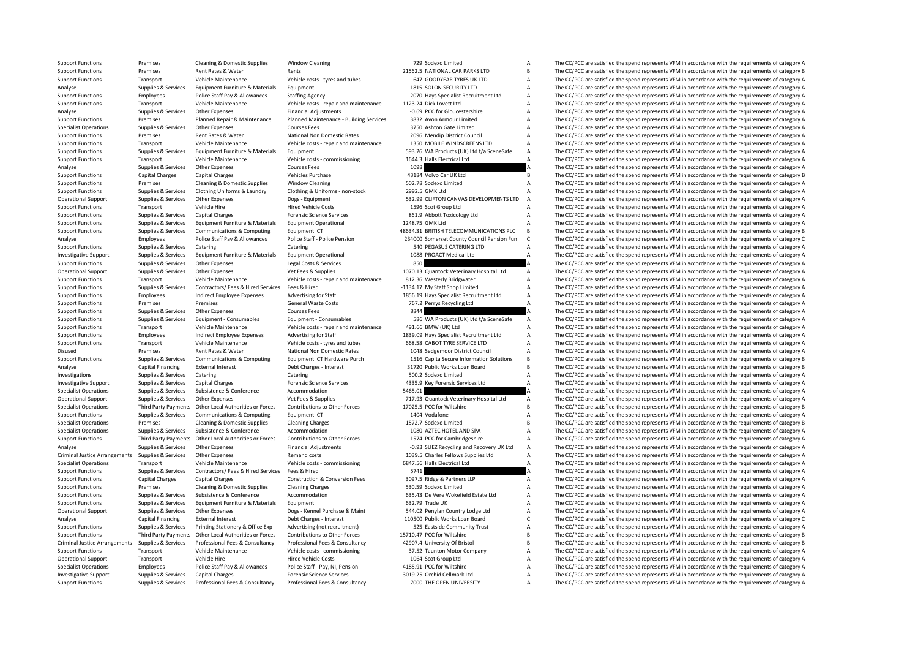|         | 729 Sodexo Limited                                      | A      |
|---------|---------------------------------------------------------|--------|
|         | 21562.5 NATIONAL CAR PARKS LTD                          | В      |
|         | 647 GOODYEAR TYRES UK LTD                               | А      |
|         | 1815 SOLON SECURITY LTD                                 | A      |
|         | 2070 Hays Specialist Recruitment Ltd                    | А      |
|         | 1123.24 Dick Lovett Ltd                                 | A      |
|         | -0.69 PCC for Gloucestershire                           | A      |
|         | 3832 Avon Armour Limited                                | A      |
|         | 3750 Ashton Gate Limited                                | A      |
|         | 2096 Mendip District Council                            | A      |
|         | 1350 MOBILE WINDSCREENS LTD                             | A      |
|         | 593.26 WA Products (UK) Ltd t/a SceneSafe               | А      |
|         | 1644.3 Halls Electrical Ltd                             | A      |
| 1098    |                                                         | A      |
|         | 43184 Volvo Car UK Ltd                                  | B      |
|         | 502.78 Sodexo Limited                                   | A      |
|         | 2992.5 GMK Ltd                                          | A      |
|         | 532.99 CLIFTON CANVAS DEVELOPMENTS LTD                  | A      |
|         | 1596 Scot Group Ltd                                     | A      |
|         | 861.9 Abbott Toxicology Ltd                             | A      |
|         | 1248.75 GMK Ltd                                         | A      |
|         | 8634.31 BRITISH TELECOMMUNICATIONS PLC                  | B      |
|         | 234000 Somerset County Council Pension Fun              | C      |
|         | 540 PEGASUS CATERING LTD                                | A      |
|         | 1088 PROACT Medical Ltd                                 | A      |
| 850     |                                                         | A      |
|         | 1070.13 Quantock Veterinary Hospital Ltd                | A      |
|         | 812.36 Westerly Bridgwater                              | A      |
|         | 1134.17 My Staff Shop Limited                           | A      |
|         | 1856.19 Hays Specialist Recruitment Ltd                 | A      |
|         | 767.2 Perrys Recycling Ltd                              | A      |
| 8844    |                                                         | A      |
|         | 586 WA Products (UK) Ltd t/a SceneSafe                  | A      |
|         | 491.66 BMW (UK) Ltd                                     | A      |
|         | 1839.09 Hays Specialist Recruitment Ltd                 | A      |
|         | 668.58 CABOT TYRE SERVICE LTD                           | A      |
|         | 1048 Sedgemoor District Council                         |        |
|         |                                                         |        |
|         |                                                         | А      |
|         | 1516 Capita Secure Information Solutions                | B      |
|         | 31720 Public Works Loan Board                           | B      |
|         | 500.2 Sodexo Limited                                    | A      |
|         | 4335.9 Key Forensic Services Ltd                        | A      |
| 5465.01 |                                                         | A      |
|         | 717.93 Quantock Veterinary Hospital Ltd                 | A      |
|         | 17025.5 PCC for Wiltshire                               | B      |
|         | 1404 Vodafone                                           | А      |
|         | 1572.7 Sodexo Limited                                   | В      |
|         | 1080 AZTEC HOTEL AND SPA                                | A      |
|         | 1574 PCC for Cambridgeshire                             | А      |
|         | -0.93 SUEZ Recycling and Recovery UK Ltd                | A      |
|         | 1039.5 Charles Fellows Supplies Ltd                     | A      |
|         | 5847.56 Halls Electrical Ltd                            | A      |
| 5741    |                                                         | A      |
|         | 3097.5 Ridge & Partners LLP                             | А      |
|         | 530.59 Sodexo Limited                                   | A      |
|         | 635.43 De Vere Wokefield Estate Ltd                     | A      |
|         | 632.79 Trade UK                                         | А      |
|         | 544.02 Penylan Country Lodge Ltd                        | A      |
|         | 110500 Public Works Loan Board                          | C      |
|         | 525 Eastside Community Trust                            | А      |
|         | 5710.47 PCC for Wiltshire                               | B      |
|         | 42907.4 University Of Bristol                           | В      |
|         | 37.52 Taunton Motor Company                             | А      |
|         | 1064 Scot Group Ltd                                     | Α      |
|         | 4185.91 PCC for Wiltshire                               | A      |
|         | 3019.25 Orchid Cellmark Ltd<br>7000 THE OPEN UNIVERSITY | A<br>A |

Support Functions Premises Cleaning & Domestic Supplies Window Cleaning 79 Sodexo Limited A The CC/PCC are satisfied the spend represents VFM in accordance with the requirements of category A Support Functions Premises Rent Rates & Water Rents Rents Rents Rents Rents Rents Rents Rents 21562.5 NATIONAL CAR PARKS LTD B The CC/PCC are satisfied the spend represents VFM in accordance with the requirements of catego Support Functions Transport Vehicle Maintenance Vehicle costs - tyres and tubes 647 GOODYEAR TYRES UK LTD A The CC/PCC are satisfied the spend represents VFM in accordance with the requirements of category A and the requir The CC/PCC are satisfied the spend represents VEM in accordance with the requirements of category A Support Functions Employees Police Staff Pay & Allowances Staffing Agency 2070 Hays Specialist Recruitment Ltd A The CC/PCC are satisfied the spend represents VFM in accordance with the requirements of category A Support Functions Transport Vehicle Maintenance Vehicle costs - repair and maintenance 1123.24 Dick Lovett Ltd A The CC/PCC are satisfied the spend represents VFM in accordance with the requirements of category A The Crite Analyse Supplies & Services Other Expenses Financial Adjustments -0.69 PCC for Gloucestershire -0.9 PC for Gloucestershire A The CC/PCC are satisfied the spend represents VFM in accordance with the requirements of category The CC/PCC are satisfied the spend represents VFM in accordance with the requirements of category A Specialist Operations Supplies & Services Other Expenses Courses Fees 3750 Ashton Gate Limited A The CC/PCC are satisfied the spend represents VFM in accordance with the requirements of category A Support Functions Premises Rent Rates & Water National Non Domestic Rates 2096 Mendip District Council A The CC/PCC are satisfied the spend represents VFM in accordance with the requirements of category A<br>Support Functions Support Functions Transport Vehicle Maintenance Vehicle costs - repair and maintenance 1350 MOBILE WINDSCREENS LTD A The CC/PCC are satisfied the spend represents VFM in accordance with the requirements of category A<br>Suppo Equipment Furniture & Materials Equipment Functions Equipment Furniture & Materials Equipment Functions of category A Services In Services Intel Commissions and the Services Intel Commissions and the spend represents VFM i Support Functions Transport Vehicle Maintenance Vehicle costs - commissioning 1644.3 Halls Electrical Ltd A The CC/PCC are satisfied the spend represents VFM in accordance with the requirements of category A Courses Course Analyse Supplies & Services Other Expenses Courses Fees 1098 1098 A The CC/PCC are satisfied the spend represents VFM in accordance with the requirements of category A Support Functions Capital Charges Capital Charges Vehicles Purchase Vehicles Purchase 43184 Volvo Car UK Ltd B The CC/PCC are satisfied the spend represents VFM in accordance with the requirements of category B Support Fun Support Functions Premises Cleaning & Domestic Supplies Window Cleaning Support Cleaning Support Functions and The CC/PCC are satisfied the spend represents VFM in accordance with the requirements of category A Support Fun The CC/PCC are satisfied the spend represents VFM in accordance with the requirements of category A Operational Support Supplies & Services Other Expenses Dogs - Equipment Dogs - Equipment 532.99 CLIFTON CANVAS DEVELOPMENTS LTD A The CC/PCC are satisfied the spend represents VFM in accordance with the requirements of cat Support Functions Transport Vehicle Hire Hire Hired Vehicle Costs 1596 Scot Group Ltd A The CC/PCC are satisfied the spend represents VFM in accordance with the requirements of category A Support Functions Supplies & Services Capital Charges Forensic Science Services 861.9 Abbott Toxicology Ltd A The CC/PCC are satisfied the spend represents VFM in accordance with the requirements of category A Support Func The CC/PCC are satisfied the spend represents VFM in accordance with the requirements of category A Support Functions Supplies & Services Communications & Computing Equipment ICT 48634.31 BRITISH TELECOMMUNICATIONS PLC B The CC/PCC are satisfied the spend represents VFM in accordance with the requirements of category B Analyse Employees Police Staff Pay & Allowances Police Pension Police Pension 234000 Somerset County Council Pension Fun C The CC/PCC are satisfied the spend represents VFM in accordance with the requirements of category C Support Functions Supplies & Services Catering Catering Catering Catering Catering Catering Catering Catering Catering Catering Support The CC/PCC are satisfied the spend represents VFM in accordance with the requirements The CC/PCC are satisfied the spend represents VFM in accordance with the requirements of category A Support Functions Supplies & Services Other Expenses Legal Costs & Services Base and Support Functions Support Functions Support Functions Support Functions Support Support Support Support Support Support Support Support S Vet Fees & Supplies **Expenses A The COVEC are satisfied the spend represents VFM in accordance with the requirements of category A** Support Functions Transport Vehicle Maintenance Vehicle costs - repair and maintenance 812.36 Westerly Bridgwater A The CC/PCC are satisfied the spend represents VFM in accordance with the requirements of category A Suppor Support Functions Supplies & Services Contractors/ Fees & Hired Services Fees & Hired Fees Advertising for Staff -1134.17 My Staff Shop Limited A The CC/PCC are satisfied the spend represents VFM in accordance with the req The CC/PCC are satisfied the spend represents VFM in accordance with the requirements of category A Support Functions Premises Premises Premises General Waste Costs 767.2 Perrys Recycling Ltd A The CC/PCC are satisfied the spend represents VFM in accordance with the requirements of category A Support Functions Supplies & Services Other Expenses Courses Fees 8844 8844 B and the CC/PCC are satisfied the spend represents VFM in accordance with the requirements of category A Support Functions Supplies & Services Equipment - Consumables Equipment - Consumables Equipment - Consumables<br>
Support Functions Transport Vehicle Maintenance Vehicle Maintenance Vehicle Costs repair and maintenance 491.66 Support Functions Transport Vehicle Maintenance Vehicle costs - repair and maintenance 491.66 BMW (UK) Ltd A The CC/PCC are satisfied the spend represents VFM in accordance with the requirements of category A Support Functions Employees Indirect Employee Expenses Advertising for Staff 1839.09 Hays Specialist Recruitment Ltd A The CC/PCC are satisfied the spend represents VFM in accordance with the requirements of category A Veh Support Transport Vehicle Maintenance Vehicle costs - tyres and tubes 668.58 CABOT TYRE SERVICE LTD A The CC/PCC are satisfied the spend represents VFM in accordance with the requirements of category A<br>Premises Presents VF Disused Premises Rent Rates & Water National Non Domestic Rates 1048 Sedgemoor District Council A The CC/PCC are satisfied the spend represents VFM in accordance with the requirements of category A Suppoirt Functions Supplies & Services Communications & Computing Equipment ICT Hardware Purch 1516 Capita Secure Information Solutions B The CC/PCC are satisfied the spend represents VFM in accordance with the requirement Analyse Capital Financing External Interest Debt Charges - Interest Debt Charges - Interest 2017 Debt Charges - Interest 31720 Public Works Loan Board B The CC/PCC are satisfied the spend represents VFM in accordance with Catering Catering Catering SQL2 Sodexo Limited A The CC/PCC are satisfied the spend represents VFM in accordance with the requirements of category A Investigative Support Supplies & Services Capital Charges Forensic Science Services 4335.9 Key Forensic Services Ltd A The CC/PCC are satisfied the spend represents VFM in accordance with the requirements of category A Cha Specialist Operations Supplies & Services Subsistence & Conference Accommodation Accommodation Subsistence Accommodation Subsistence Accommodation Subsistence Accommodation Subsistence Accommodation Subsistence Accommodati Supplies & Services Other Expenses Vet Fees & Supplies Vet Fees & Supplies 717.93 Quantock Veterinary Hospital Ltd A The CC/PCC are satisfied the spend represents VFM in accordance with the requirements of category A Third Specialist Operations Third Party Payments Other Local Authorities or Forces Contributions to Other Forces 17025.5 PCC for Wiltshire B The CC/PCC are satisfied the spend represents VFM in accordance with the requirements o Support Functions Supplies & Services Communications & Computing Equipment ICT 1404 Vodafone 1404 Vodafone A The CC/PCC are satisfied the spend represents VFM in accordance with the requirements of category A Specialist Op Specialist Operations Premises Cleaning & Domestic Supplies Cleaning Charges Cleaning Charges 1572.7 Sodexo Limited B The CC/PCC are satisfied the spend represents VFM in accordance with the requirements of category B Spec Supplies & Services Subsistence & Conference Accommodation 1080 AZTEC HOTEL AND SPA A The CC/PCC are satisfied the spend represents VFM in accordance with the requirements of category A Support Functions Third Party Payments Other Local Authorities or Forces Contributions to Other Forces 1574 PCC for Cambridgeshire A The CC/PCC are satisfied the spend represents VFM in accordance with the requirements of Analyse Supplies & Services Other Expenses Financial Adjustments -0.93 SUEZ Recycling and Recovery UK Ltd A The CC/PCC are satisfied the spend represents VFM in accordance with the requirements of category A Criminal Justice Arrangements Supplies & Services Other Expenses Remand costs Remand costs 1039.5 Charles Fellows Supplies Ltd A The CC/PCC are satisfied the spend represents VFM in accordance with the requirements of cate Specialist Operations Transport Vehicle Maintenance Vehicle Costs - commissioning 6847.56 Halls Electrical Ltd A The CC/PCC are satisfied the spend represents VFM in accordance with the requirements of category A Support F Support Functions Supplies & Services Contractors/ Fees & Hired Services Fees & Hired Services Fees & Hired Services Fees & Hired 5741 a The CC/PCC are satisfied the spend represents VFM in accordance with the requirements The CC/PCC are satisfied the spend represents VFM in accordance with the requirements of category A Support Functions Premises Cleaning & Domestic Supplies Cleaning Charges 530.59 Sodexo Limited A The CC/PCC are satisfied the spend represents VFM in accordance with the requirements of category A Support Functions Supplies & Services Subsistence & Conference Accommodation Accommodation 635.43 De Vere Wokefield Estate Ltd A The CC/PCC are satisfied the spend represents VFM in accordance with the requirements of cate Equipment Functions Supplies A The CC/PCC are satisfied the spend represents VFM in accordance with the requirements of category A The CC/PCC are satisfied the spend represents VFM in accordance with the requirements of ca Operational Support Supplies & Services Other Expenses Dogs - Kennel Purchase & Maint 544.02 Penylan Country Lodge Ltd A The CC/PCC are satisfied the spend represents VFM in accordance with the requirements of category A Analyse Capital Financing External Interest Debt Charges - Interest Debt Charges - Interest 110500 Public Works Loan Board C The CC/PCC are satisfied the spend represents VFM in accordance with the requirements of category Supplies & Services Printing Stationery & Office Exp Advertising (not recruitment) 525 Eastside Community Trust<br>Third Party Payments Other Local Authorities or Forces Contributions to Other Forces 15710.47 PCC for Wiltshir Support Functions Third Party Payments Other Local Authorities or Forces Contributions to Other Forces 15710.47 PCC for Wiltshire B The CC/PCC are satisfied the spend represents VFM in accordance with the requirements of c Criminal Justice Arrangements Supplies & Services Professional Fees & Consultancy Professional Fees & Consultancy Professional Fees & Consultancy Professional Fees & Consultancy 42907.4 University Of Bristol B The CC/PCC a Support Functions Transport Vehicle Maintenance Vehicle costs - commissioning 37.52 Taunton Motor Company A The CC/PCC are satisfied the spend represents VFM in accordance with the requirements of category A Cherational Su Transport Vehicle Hire Hired Vehicle Costs 1064 Scot Group Ltd A The CC/PCC are satisfied the spend represents VFM in accordance with the requirements of category A Specialist Operations Employees Police Staff Pay & Allowances Police Staff - Pay, NI, Pension 4185.91 PCC for Wiltshire A The CC/PCC are satisfied the spend represents VFM in accordance with the requirements of category A Investigative Support Supplies & Services Capital Charges Forensic Science Services 3019.25 Orchid Cellmark Ltd A The CC/PCC are satisfied the spend represents VFM in accordance with the requirements of category A Support Functions Supplies & Services Professional Fees & Consultancy Professional Fees & Consultancy Professional Fees & Consultancy Consultancy 7000 THE OPEN UNIVERSITY A The CC/PCC are satisfied the spend represents VFM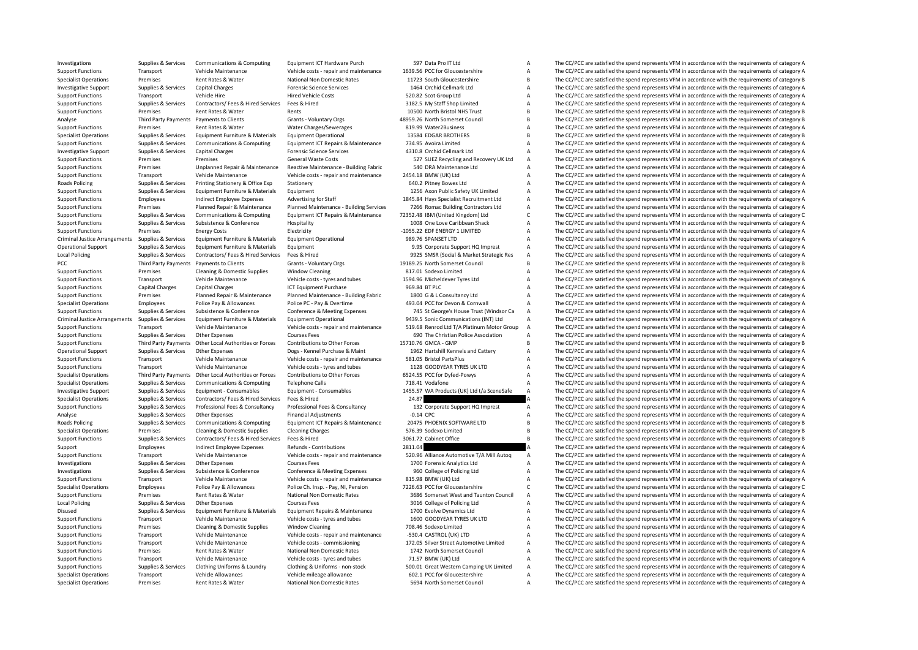Investigations Supplies & Services Communications & Computing Equipment ICT Hardware Purch 597 Data Pro IT Ltd A The CC/PCC are satisfied the spend represents VFM in accordance with the requirements of category A Supplies Support Functions Transport Vehicle Maintenance Vehicle costs - repair and maintenance 1639.56 PCC for Gloucestershire A The CC/PCC are satisfied the spend represents VFM in accordance with the requirements of category B<br>A Specialist Operations Premises Rent Rates & Water National Non Domestic Rates 11723 South Gloucestershire B The CC/PCC are satisfied the spend represents VFM in accordance with the requirements of category B Investigative Investigative Support Support Support Support Support Supplies A The CC/PCC are satisfied the spend represents VFM in accordance with the requirements of category A The CC/PCC are satisfied the spend represents VFM in acco Support Functions Transport Vehicle Hire Hire Hired Vehicle Costs 520.82 Scot Group Ltd A The CC/PCC are satisfied the spend represents VFM in accordance with the requirements of category A Support Functions Supplies & Services Contractors/ Fees & Hired Services Fees & Hired 3182.5 My Staff Shop Limited A The CC/PCC are satisfied the spend represents VFM in accordance with the requirements of category A Suppo Support Functions Premises Premises Rent Rates & Water Rents Rents Rents Rents Alternative Prents Rents Rents Rents Rents Analyse and the CC/PCC are satisfied the spend represents VFM in accordance with the requirements of The CC/PCC are satisfied the spend represents VFM in accordance with the requirements of category B Support Functions Premises Rent Rates & Water Water Charges/Sewerages 819.99 Water2Business A The CC/PCC are satisfied the spend represents VFM in accordance with the requirements of category A Charges and the result of ca Specialist Operations Supplies & Services Equipment Furniture & Materials Equipment Operational 13584 EDGAR BROTHERS B The CC/PCC are satisfied the spend represents VFM in accordance with the requirements of category B Sup Support Functions Supplies & Services Communications & Computing Equipment ICT Repairs & Maintenance 734.95 Avoira Limited A The CC/PCC are satisfied the spend represents VFM in accordance with the requirements of category The CC/PCC are satisfied the spend represents VFM in accordance with the requirements of category A Support Functions Premises Premises Premises Premises General Waste Costs 527 SUEZ Recycling and Recovery UK Ltd A The CC/PCC are satisfied the spend represents VFM in accordance with the requirements of category A Support Support Functions Premises Unplanned Repair & Maintenance Reactive Maintenance - Building Fabric 540 DRA Maintenance Ltd A The CC/PCC are satisfied the spend represents VFM in accordance with the requirements of category A Support Functions Transport Vehicle Maintenance Vehicle costs - repair and maintenance 2454.18 BMW (UK) Ltd A The CC/PCC are satisfied the spend represents VFM in accordance with the requirements of category A Roads Polici Roads Policing Supplies & Services Printing Stationery & Office Exp Stationery Stationery Stationery enterprison of category A The CC/PCC are satisfied the spend represents VFM in accordance with the requirements of catego Support Functions Support Tunctions Supplies Axon Public Safety UK Limited A The CC/PCC are satisfied the spend represents VFM in accordance with the requirements of category A<br>Advertising for Staff Materials A The CC/PCC Support Functions Employees Indirect Employee Expenses Advertising for Staff 1845.84 Hays Specialist Recruitment Ltd A The CC/PCC are satisfied the spend represents VFM in accordance with the requirements of category A Sup Support Functions Premises Planned Repair & Maintenance Planned Maintenance Building Services 7266 Romac Building Contractors Ltd A The CC/PCC are satisfied the spend represents VFM in accordance with the requirements of c Support Functions Supplies & Services Communications & Computing Equipment ICT Repairs & Maintenance 72352.48 IBM (United Kingdom) Ltd C The CC/PCC are satisfied the spend represents VFM in accordance with the requirements Support Functions Supplies Supplies Supplies Supplies Supplies Supplies Supplies State A The CC/PCC are satisfied the spend represents VFM in accordance with the requirements of category A Support Functions Premises Energy Costs Electricity Electricity -1055.22 EDF ENERGY 1 LIMITED A The CC/PCC are satisfied the spend represents VFM in accordance with the requirements of category A Criminal lustice Aramont C Criminal Justice Arrangements Supplies & Services Equipment Furniture & Materials Equipment Operational exacts equipment Operational 989.76 SPANSET LTD A The CC/PCC are satisfied the spend represents VFM in accordance with Operational Support Supplies & Services Equipment Furniture & Materials Equipment extends Equipment 9.95 Corporate Support HQ Imprest A The CC/PCC are satisfied the spend represents VFM in accordance with the requirements 9925 SMSR (Social & Market Strategic Res Antively 2015) The CC/PCC are satisfied the spend represents VFM in accordance with the requirements of category A<br>The CC/PCC are satisfied the spend represents VFM in accordance wi PCC Third Party Payments Payments to Clients Grants - Voluntary Orgs 19189.25 North Somerset Council B The CC/PCC are satisfied the spend represents VFM in accordance with the requirements of category B<br>Support Functions P Cleaning & Domestic Supplies Window Cleaning 800 and the COLEC are satisfied the spend represents VFM in accordance with the requirements of category A The CC/PCC are satisfied the spend represents VFM in accordance with t Support Functions Transport Vehicle Maintenance Vehicle costs - tyres and tubes 1594.96 Micheldever Tyres Ltd A The CC/PCC are satisfied the spend represents VFM in accordance with the requirements of category A The Crime Support Functions Capital Charges Capital Charges ICT Equipment Purchase 969.84 BT PLC A The CC/PCC are satisfied the spend represents VFM in accordance with the requirements of category A Support Functions Premises Planne Planned Maintenance - Building Fabric 1800 G & L Consultancy Ltd A The CC/PCC are satisfied the spend represents VFM in accordance with the requirements of category A The CC/PCC are satisfied the spend represents VFM in ac Specialist Operations Employees Police Pay & Allowances Police PC - Pay & Overtime 493.04 PCC for Devon & Cornwall A The CC/PCC are satisfied the spend represents VFM in accordance with the requirements of category A Supplies & Supplies & Services Subsistence & Conference Conference Conference A Meeting Expenses 745 St George's House Trust (Windsor Ca A The CC/PCC are satisfied the spend represents VFM in accordance with the requiremen Criminal Justice Arrangements Supplies & Services Equipment Furniture & Materials Equipment Operational Supplement of category A 9439.5 Sonic Communications (INT) Ltd A The CC/PCC are satisfied the spend represents VFM in Support Functions Transport Vehicle Maintenance Vehicle costs - repair and maintenance 519.68 Reprod Itd T/A Platinum Motor Group A The CC/PCC are satisfied the spend represents VFM in accordance with the requirements of c Support Functions Supplies & Services Other Expenses Courses Fees Courses Fees 690 The Christian Police Association A The CC/PCC are satisfied the spend represents VFM in accordance with the requirements of category A Support Functions Third Party Payments Other Local Authorities or Forces Contributions to Other Forces 15710.76 GMCA - GMP B The CC/PCC are satisfied the spend represents VFM in accordance with the requirements of category A The CC/PCC are satisfied the spend represents VFM in accordance with the requirements of category A Support Functions Transport Vehicle Maintenance Vehicle costs - repair and maintenance 581.05 Bristol PartsPlus A The CC/PCC are satisfied the spend represents VFM in accordance with the requirements of category A Vehicle Support Functions Transport Vehicle Maintenance Vehicle costs - tyres and tubes 1128 GOODYEAR TYRES UK LTD A The CC/PCC are satisfied the spend represents VFM in accordance with the requirements of category A<br>Specialist Op Other Local Authorities or Forces Contributions to Other Forces 6524.55 PCC for Dyfed-Powys A The CC/PCC are satisfied the spend represents VFM in accordance with the requirements of category A<br>Communications & Computing T Specialist Operations Supplies & Services Communications & Computing Telephone Calls Telephone Calls 718.41 Vodafone A The CC/PCC are satisfied the spend represents VFM in accordance with the requirements of category A The Equipment - Consumables and Consument Consument - Consument - Consument - Consument - Consuments of category A<br>
Supplies & Services Contractors/ Fees & Hired Services Fees & Hired Services Fees & Hired Services Fees & Hire Specialist Operations Specialist Operations Supplies Tees & Hired 24.87 24.87 2012 Contractors/ Fees & Hired Services Fees & Hired 2001 24.87 2012 Corporate Support HQ Imprest A The CC/PCC are satisfied the spend represent Suppliers & Suppliers & Services Professional Fees & Consultancy Professional Fees & Consultancy Professional Fees & Consultancy Professional Fees & Consultancy 132 Corporate Support HO Imprest A The CC/PCC are satisfied t Analyse Supplies & Services Other Expenses Financial Adjustments -0.14 CPC -0.14 CPC A The CC/PCC are satisfied the spend represents VFM in accordance with the requirements of category A Chads Policing Supplies & Services Roads Policing Supplies & Services Communications & Computing Equipment ICT Repairs & Maintenance 20475 PHOENIX SOFTWARE LTD B The CC/PCC are satisfied the spend represents VFM in accordance with the requirements of catego Premises Cleaning & Domestic Supplies Cleaning Charges Specialist Charges 576.39 Sodexo Limited The CC/PCC are satisfied the spend represents VFM in accordance with the requirements of category B Support Functions Supplies & Services Contractors/ Fees & Hired Services Fees & Hired Services Fees & Hired 3061.72 Cabinet Office B The CC/PCC are satisfied the spend represents VFM in accordance with the requirements of Support Employees Indirect Employee Expenses Refunds - Contributions 2811.04 2511.04 A The CC/PCC are satisfied the spend represents VFM in accordance with the requirements of category A Support Functions Transport Vehicle Maintenance Vehicle costs - repair and maintenance 520.96 Alliance Automotive T/A Mill Autog A The CC/PCC are satisfied the spend represents VFM in accordance with the requirements of ca Investigations Supplies & Services Other Expenses Courses Fees Courses Fees 1700 Forensic Analytics Ltd A The CC/PCC are satisfied the spend represents VFM in accordance with the requirements of category A Investigations S Investigations Supplies & Services Subsistence & Conference Conference Conference Conference Conference Conference Conference Conference and the properties of category A The CC/PCC are satisfied the spend represents VFM in The CC/PCC are satisfied the spend represents VFM in accordance with the requirements of category A Specialist Operations Employees Police Pay & Allowances Police Ch. Insp. - Pay, NI, Pension 7226.63 PCC for Gloucestershire C. The CC/PCC are satisfied the spend represents VFM in accordance with the requirements of catego Support Functions Premises Rent Rates & Water National Non Domestic Rates 3686 Somerset West and Taunton Council A The CC/PCC are satisfied the spend represents VFM in accordance with the requirements of category A Local P Courses Fees Courses Fees 3016 College of Policing Ltd A The CC/PCC are satisfied the spend represents VFM in accordance with the requirements of category A<br>Folioment Runaire 1700 For Duramics Itd A The CC/PCC are satisfie Disused Supplies & Services Equipment Furniture & Materials Equipment Repairs & Maintenance 1700 Evolve Dynamics Itd A The CC/PCC are satisfied the spend represents VFM in accordance with the requirements of category A Support Functions Transport Vehicle Maintenance Vehicle costs - tyres and tubes 1600 GOODYEAR TYRES UK LTD A The CC/PCC are satisfied the spend represents VFM in accordance with the requirements of category A<br>Support Funct Support Functions Premises Cleaning & Domestic Supplies Window Cleaning 708.46 Sodexo Limited A The CC/PCC are satisfied the spend represents VFM in accordance with the requirements of category A Support Functions Transpor Transport Vehicle Maintenance Vehicle costs - repair and maintenance -530.4 CASTROL (UK) LTD A The CC/PCC are satisfied the spend represents VFM in accordance with the requirements of category A Support Functions Transport Vehicle Maintenance Vehicle costs - commissioning 172.05 Silver Street Automotive Limited A The CC/PCC are satisfied the spend represents VFM in accordance with the requirements of category A Support Functions Premises Rent Rates & Water National Non Domestic Rates 1742 North Somerset Council A The CC/PCC are satisfied the spend represents VFM in accordance with the requirements of category A<br>Support Functions Support Functions Transport Vehicle Maintenance Vehicle costs - tyres and tubes 71.57 BMW (UK) Ltd A The CC/PCC are satisfied the spend represents VFM in accordance with the requirements of category A Support Functions Sup Support Functions Supplies & Services Clothing Uniforms & Laundry Clothing & Uniforms - non-stock 500.01 Great Western Camping UK Limited A The CC/PCC are satisfied the spend represents VFM in accordance with the requireme The CC/PCC are satisfied the spend represents VEM in accordance with the requirements of category  $\Lambda$ Specialist Operations Premises Rent Rates & Water National Non Domestic Rates 5694 North Somerset Council A The CC/PCC are satisfied the spend represents VFM in accordance with the requirements of category A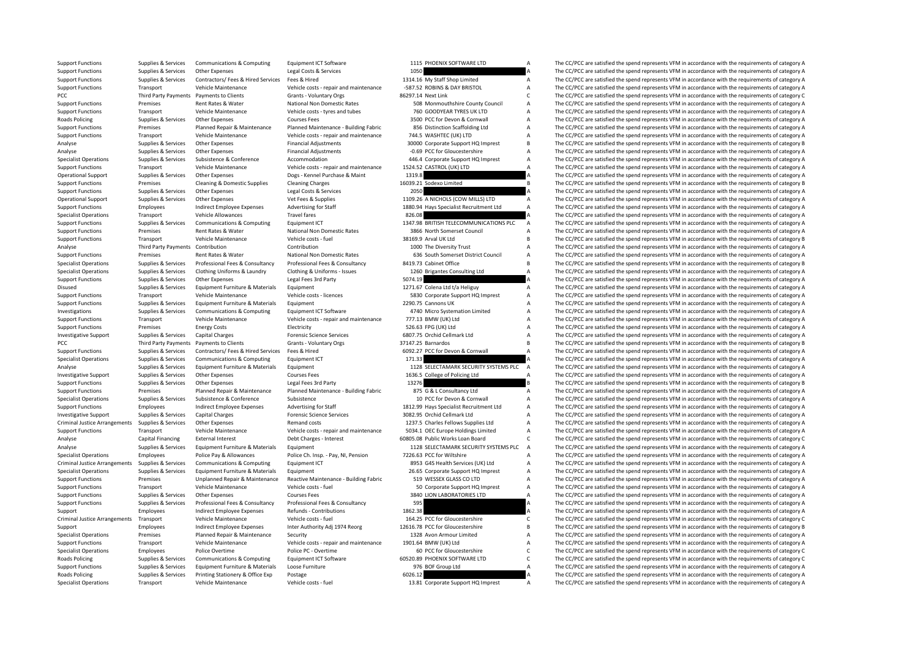|         | 1115 PHOENIX SOFTWARE LID               | F                        |
|---------|-----------------------------------------|--------------------------|
| 1050    |                                         | ı                        |
|         | 1314.16 My Staff Shop Limited           | ŀ                        |
|         | -587.52 ROBINS & DAY BRISTOL            | ŀ                        |
|         | 86297.14 Next Link                      | $\overline{a}$           |
|         | 508 Monmouthshire County Council        | ŀ                        |
|         | 760 GOODYEAR TYRES UK LTD               | ŀ                        |
|         | 3500 PCC for Devon & Cornwall           | $\overline{r}$           |
|         | 856 Distinction Scaffolding Ltd         | ŀ                        |
|         | 744.5 WASHTEC (UK) LTD                  | $\overline{t}$           |
|         | 30000 Corporate Support HQ Imprest      | E                        |
|         | -0.69 PCC for Gloucestershire           | f                        |
|         | 446.4 Corporate Support HQ Imprest      | ŀ                        |
|         | 1524.52 CASTROL (UK) LTD                | ŀ                        |
| 1319.8  |                                         | 7                        |
|         | 16039.21 Sodexo Limited                 | E                        |
| 2050    |                                         | $\overline{1}$           |
|         | 1109.26 A NICHOLS (COW MILLS) LTD       | ŀ                        |
|         | 1880.94 Hays Specialist Recruitment Ltd | f                        |
| 826.08  |                                         | ı                        |
|         | 1347.98 BRITISH TELECOMMUNICATIONS PLC  | ŀ                        |
|         | 3866 North Somerset Council             | f                        |
|         | 38169.9 Arval UK Ltd                    | E                        |
|         | 1000 The Diversity Trust                | ŀ                        |
|         | 636 South Somerset District Council     | ŀ                        |
|         | 8419.73 Cabinet Office                  | E                        |
|         | 1260 Brigantes Consulting Ltd           | ŀ                        |
| 5074.19 |                                         | ı                        |
|         | 1271.67 Colena Ltd t/a Heliguy          | ŀ                        |
|         | 5830 Corporate Support HQ Imprest       | $\overline{t}$           |
|         | 2290.75 Cannons UK                      | ŀ                        |
|         | 4740 Micro Systemation Limited          | ŀ                        |
|         | 777.13 BMW (UK) Ltd                     | ŀ                        |
|         |                                         |                          |
|         | 526.63 FPG (UK) Ltd                     | ŀ                        |
|         | 6807.75 Orchid Cellmark Ltd             | ŀ                        |
|         | 37147.25 Barnardos                      | E                        |
|         | 6092.27 PCC for Devon & Cornwall        | $\overline{t}$           |
| 171.33  |                                         | $\overline{\phantom{a}}$ |
|         | 1128 SELECTAMARK SECURITY SYSTEMS PLC   | f                        |
|         | 1636.5 College of Policing Ltd          | $\overline{t}$           |
| 13276   |                                         | E                        |
|         | 875 G & L Consultancy Ltd               | ŀ                        |
|         | 10 PCC for Devon & Cornwall             | ŀ                        |
|         | 1812.99 Hays Specialist Recruitment Ltd | $\overline{t}$           |
|         | 3082.95 Orchid Cellmark Ltd             | $\overline{1}$           |
|         | 1237.5 Charles Fellows Supplies Ltd     | $\overline{1}$           |
|         | 5034.1 OEC Europe Holdings Limited      | ŀ                        |
|         | 60805.08 Public Works Loan Board        | $\overline{a}$           |
|         | 1128 SELECTAMARK SECURITY SYSTEMS PLC   | $\overline{t}$           |
|         | 7226.63 PCC for Wiltshire               | ŀ                        |
|         | 8953 G4S Health Services (UK) Ltd       | $\overline{1}$           |
|         | 26.65 Corporate Support HQ Imprest      | $\overline{1}$           |
|         | 519 WESSEX GLASS CO LTD                 | ŀ                        |
|         | 50 Corporate Support HQ Imprest         | ŀ                        |
|         | 3840 LION LABORATORIES LTD              | ŀ                        |
| 595     |                                         | ŀ                        |
| 1862.38 |                                         | ŀ                        |
|         | 164.25 PCC for Gloucestershire          | Ó                        |
|         | 12616.78 PCC for Gloucestershire        | E                        |
|         | 1328 Avon Armour Limited                | ŀ                        |
|         | 1901.64 BMW (UK) Ltd                    | ŀ                        |
|         | 60 PCC for Gloucestershire              | $\mathsf{C}$             |
|         | 60520.89 PHOENIX SOFTWARE LTD           | $\mathbf{C}$<br>ŀ        |
| 6026.12 | 976 BOF Group Ltd                       | $\overline{1}$           |

Support Functions Supplies & Services Communications & Computing Faultoment ICT Software 1115 PHOENIX SOFTWARE LTD A The CC/PCC are satisfied the spend represents VFM in accordance with the requirements of category A Support Functions Supplies & Services Other Expenses Legal Costs & Services Legal Costs & Services Legal Costs & Services 1050 1050 A The CC/PCC are satisfied the spend represents VFM in accordance with the requirements of Support Functions Supplies & Services Contractors/ Fees & Hired Services Fees & Hired 1314.16 My Staff Shop Limited A The CC/PCC are satisfied the spend represents VFM in accordance with the requirements of category A Vehi Transport Vehicle Maintenance Vehicle costs - repair and maintenance -587.52 ROBINS & DAY BRISTOL A The CC/PCC are satisfied the spend represents VFM in accordance with the requirements of category A<br>Third Party Payments P PCC The CC/PCC are satisfied the spend represents VFM in accordance with the requirements of category C Grants - Voluntary Orgs 86297.14 Next Link C The CC/PCC are satisfied the spend represents VFM in accordance with the Support Functions Premises Rent Rates & Water National Non Domestic Rates SOB Monmouthshire County Council A The CC/PCC are satisfied the spend represents VFM in accordance with the requirements of category A Vehicle Cost Support Functions Transport Vehicle Maintenance Vehicle costs - tyres and tubes 760 GOODYEAR TYRES UK LTD A The CC/PCC are satisfied the spend represents VFM in accordance with the requirements of category A Randy Policine The CC/PCC are satisfied the spend represents VFM in accordance with the requirements of category A Support Functions Premises Planned Repair & Maintenance Planned Maintenance Building Fabric and a metal and the CC/PCC are satisfied the spend represents VFM in accordance with the requirements of category A<br>Support Functi Transport Vehicle Maintenance Vehicle costs - repair and maintenance 744.5 WASHTEC (UK) LTD A The CC/PCC are satisfied the spend represents VFM in accordance with the requirements of category A<br>Support HO In the Support HO Analyse Supplies & Services Other Expenses Financial Adjustments 30000 Corporate Support HQ Imprest B The CC/PCC are satisfied the spend represents VFM in accordance with the requirements of category B<br>Analyse Sunnlies & S Analyse Supplies & Services Other Expenses Financial Adjustments -0.69 PCC for Gloucestershire A The CC/PCC are satisfied the spend represents VFM in accordance with the requirements of category A Contents of category A Co Specialist Operations Supplies & Services Subsistence & Conference Accommodation 446.4 Corporate Support HQ Imprest A The CC/PCC are satisfied the spend represents VFM in accordance with the requirements of category A Supp Vehicle costs - repair and maintenance 1524.52 CASTROL (UK) LTD 1999 A The CC/PCC are satisfied the spend represents VFM in accordance with the requirements of category A The CC/PCC are satisfied the spend represents VFM i Operational Support Supplies & Services Other Expenses Dogs - Kennel Purchase & Maint 1319.8 A The CC/PCC are satisfied the spend represents VFM in accordance with the requirements of category A<br>
Support Functions Premises Support Functions Premises Cleaning & Domestic Supplies Cleaning Charges 16039.21 Sodexo Limited B The CC/PCC are satisfied the spend represents VFM in accordance with the requirements of category B a real Costs and the re The CC/PCC are satisfied the spend represents VFM in accordance with the requirements of category A Operational Support Supplies & Services Other Expenses Vet Fees & Supplies Vet Fees & Supplies 1109.26 A NICHOLS (COW MILLS) LTD A The CC/PCC are satisfied the spend represents VFM in accordance with the requirements of ca Support Functions Employees Indirect Employee Expenses Advertising for Staff 1880.94 Hays Specialist Recruitment Ltd A The CC/PCC are satisfied the spend represents VFM in accordance with the requirements of category A Specialist Operations Transport Vehicle Allowances Travel fares Travel fares 826.08 A The CC/PCC are satisfied the spend represents VFM in accordance with the requirements of category A Sunnort Fundance with the requiremen The CC/PCC are satisfied the spend represents VEM in accordance with the requirements of category  $\overline{A}$ Support Functions Premises Rent Rates & Water National Non Domestic Rates 3866 North Somerset Council A The CC/PCC are satisfied the spend represents VFM in accordance with the requirements of category A<br>Support Functions Support Functions Transport Vehicle Maintenance Vehicle costs - fuel and Vehicle costs - fuel 38169.9 Arval UK Ltd B The CC/PCC are satisfied the spend represents VFM in accordance with the requirements of category B Contr Analyse Third Party Payments Contribution Contribution Contribution Contribution Contribution Contribution Contribution a 1000 The Diversity Trust A The CC/PCC are satisfied the spend represents VFM in accordance with the Fremises Rent Rates & Water National Non Domestic Rates 636 South Somerset District Council A The CC/PCC are satisfied the spend represents VFM in accordance with the requirements of category A<br>Sunnlige & Considerate Profe Supplies & Services Professional Fees & Consultancy Professional Fees & Consultancy Professional Fees & Consultancy Professional Fees & Consultancy 8419.73 Cabinet Office Berger Based on The CC/PCC are satisfied the spend The CC/PCC are satisfied the spend represents VEM in accordance with the requirements of category A Support Functions Supplies & Services Other Expenses Legal Fees 3rd Party Legal Fees 3rd Party 5074.19 Support The CC/PCC are satisfied the spend represents VFM in accordance with the requirements of category A The CC/PCC Disused Supplies & Services Equipment Furniture & Materials Equipment Equipment 1271.67 Colena Ltd t/a Heliguy A The CC/PCC are satisfied the spend represents VFM in accordance with the requirements of category A Vehicle M Vehicle Maintenance Vehicle costs - licences 5830 Corporate Support HQ Imprest A The CC/PCC are satisfied the spend represents VFM in accordance with the requirements of category A The CC/PCC are satisfied the spend repres Support Functions Supplies & Services Equipment Furniture & Materials Equipment 2290.75 Cannons UK A The CC/PCC are satisfied the spend represents VFM in accordance with the requirements of category A Investigations Supplies & Services Communications & Computing Equipment ICT Software 4740 Micro Systemation Limited A The CC/PCC are satisfied the spend represents VFM in accordance with the requirements of category A Support Functions Transport Vehicle Maintenance Vehicle costs - repair and maintenance 777.13 BMW (UK) Ltd A The CC/PCC are satisfied the spend represents VFM in accordance with the requirements of category A Support Functions Premises Functions Electricity Functions Electricity 526.63 FPG (UK) Ltd A The CC/PCC are satisfied the spend represents VFM in accordance with the requirements of category A Investigative Support Supplies & Services Capital Charges Forensic Science Services Forensic Science Services 6807.75 Orchid Cellmark Ltd A The CC/PCC are satisfied the spend represents VFM in accordance with the requireme PCC Third Party Payments Payments of Category B Grants - Voluntary Orgs 37147.25 Barnardos and the Secure of The CC/PCC are satisfied the spend represents VFM in accordance with the requirements of category B Support Funct Support Functions Supplies & Services Contractors/ Fees & Hired Services Fees & Hired 6092.27 PCC for Devon & Cornwall A The CC/PCC are satisfied the spend represents VFM in accordance with the requirements of category A Specialist Operations Supplies & Services Communications & Computing Equipment ICT 171.33 1999 a The CC/PCC are satisfied the spend represents VFM in accordance with the requirements of category A Analyse Supplies & Services Equipment Furniture & Materials Equipment 1128 SELECTAMARK SECURITY SYSTEMS PLC A The CC/PCC are satisfied the spend represents VFM in accordance with the requirements of category A Courses Cour Supplies & Services Other Expenses Courses Fees Courses Fees 1636.5 College of Policing Ltd A The CC/PCC are satisfied the spend represents VFM in accordance with the requirements of category A Support of the Search 2012 o Support Functions Supplies & Services Other Expenses Legal Fees 3rd Party 13276 B The CC/PCC are satisfied the spend represents VFM in accordance with the requirements of category B Dannel Paris Party and Multiproper Party Support Functions Premises Planned Repair & Maintenance Planned Maintenance - Building Fabric 875 G & L Consultancy Ltd A The CC/PCC are satisfied the spend represents VFM in accordance with the requirements of category A Subsistence Subsistence Subsistence Subsistence Subsistence Cornect Subsistence Subsistence Subsistence Cornect Subsistence and PCC for Devon & Cornwall A The CC/PCC are satisfied the spend represents VFM in accordance wit Support Functions Employees Indirect Employee Expenses Advertising for Staff 1812.99 Hays Specialist Recruitment Ltd A The CC/PCC are satisfied the spend represents VFM in accordance with the requirements of category A Investigative Support Supplies & Services Capital Charges Support Charges Forensic Science Services 3082.95 Orchid Cellmark Ltd A The CC/PCC are satisfied the spend represents VFM in accordance with the requirements of cat Criminal During The Criminal Supplies Arrangements of category Arrangements of category Arrangements of category A<br>1237.5 Charles Fellows Supplies Ltd A The CC/PCC are satisfied the spend represents VFM in accordance with Support Functions Transport Vehicle Maintenance Vehicle costs - repair and maintenance 5034.1 OEC Europe Holdings Limited A The CC/PCC are satisfied the spend represents VFM in accordance with the requirements of category Analyse Capital Financing External Interest Debt Charges - Interest Debt Charges - Interest 60805.08 Public Works Loan Board C The CC/PCC are satisfied the spend represents VFM in accordance with the requirements of catego Analyse Supplies & Services Equipment Furniture & Materials Equipment 1128 SELECTAMARK SECURITY SYSTEMS PLC A The CC/PCC are satisfied the spend represents VFM in accordance with the requirements of category A Specialist Operations Employees Police Pay & Allowances Police Ch. Insp. - Pay, NI, Pension 7226.63 PCC for Wiltshire A The CC/PCC are satisfied the spend represents VFM in accordance with the requirements of category A Criminal Justice Arrangements Supplies & Services Communications & Computing Equipment ICT examples and a services (UK) Ltd A The CC/PCC are satisfied the spend represents VFM in accordance with the requirements of categor Specialist Operations Supplies & Services Equipment Furniture & Materials Equipment Equipment 26.65 Corporate Support HQ Imprest A The CC/PCC are satisfied the spend represents VFM in accordance with the requirements of ca The  $CC/PCC$  are satisfied the spend represents VFM in accordance with the requirements of category A Support Functions Transport Vehicle Maintenance Vehicle costs - fuel Support HOM and the COVEC are satisfied the spend represents VFM in accordance with the requirements of category A Support HQ Imprest A The CC/PCC are sa Support Functions Supplies & Services Other Expenses Courses Fees Courses Fees 3840 LION LABORATORIES LTD A The CC/PCC are satisfied the spend represents VFM in accordance with the requirements of category A<br>Support Functi Professional Fees & Consultancy 595 595 595 Professional Fees & Consultancy 595 Professional Fees & Consultancy<br>A The CC/PCC are satisfied the spend represents VFM in accordance with the requirements of category A Support Employees Indirect Employee Expenses Refunds - Contributions 1862.38 1862.38 A The CC/PCC are satisfied the spend represents VFM in accordance with the requirements of category A Criminal Justice Arrangements Transport Vehicle Maintenance Vehicle Costs - fuel Vehicle costs - fuel Vehicle costs - fuel Vehicle costs - fuel 164.25 PCC for Gloucestershire C The CC/PCC are satisfied the spend represents Support Employees Indirect Employee Expenses Inter Authority Adj 1974 Reorg 12616.78 PCC for Gloucestershire B The CC/PCC are satisfied the spend represents VFM in accordance with the requirements of category B<br>Specialist Premises Planned Repair & Maintenance Security 1328 Avon Armour Limited A The CC/PCC are satisfied the spend represents VFM in accordance with the requirements of category A Support Functions Transport Vehicle Maintenance Vehicle costs - repair and maintenance 1901.64 BMW (UK) Ltd A The CC/PCC are satisfied the spend represents VFM in accordance with the requirements of category A Specialist Operations Employees Police Overtime Police PC - Overtime Police PC - Overtime 60 PCC for Gloucestershire C The CC/PCC are satisfied the spend represents VFM in accordance with the requirements of category C Roa Roads Policing Supplies & Services Communications & Computing Equipment ICT Software 60520.89 PHOENIX SOFTWARE LTD C The CC/PCC are satisfied the spend represents VFM in accordance with the requirements of category C Support Functions Supplies & Services Equipment Furniture & Materials Loose Furniture and the service of category A The CC/PCC are satisfied the spend represents VFM in accordance with the requirements of category A Roads Roads Policing Supplies Supplies Supplies Printing Stationery & Office Exp Postage 6026.12 A The CC/PCC are satisfied the spend represents VEM in accordance with the requirements of category A The CC/PCC are satisfied the Specialist Operations Transport Vehicle Maintenance Vehicle costs - fuel 13.81 Corporate Support HQ Imprest A The CC/PCC are satisfied the spend represents VFM in accordance with the requirements of category A